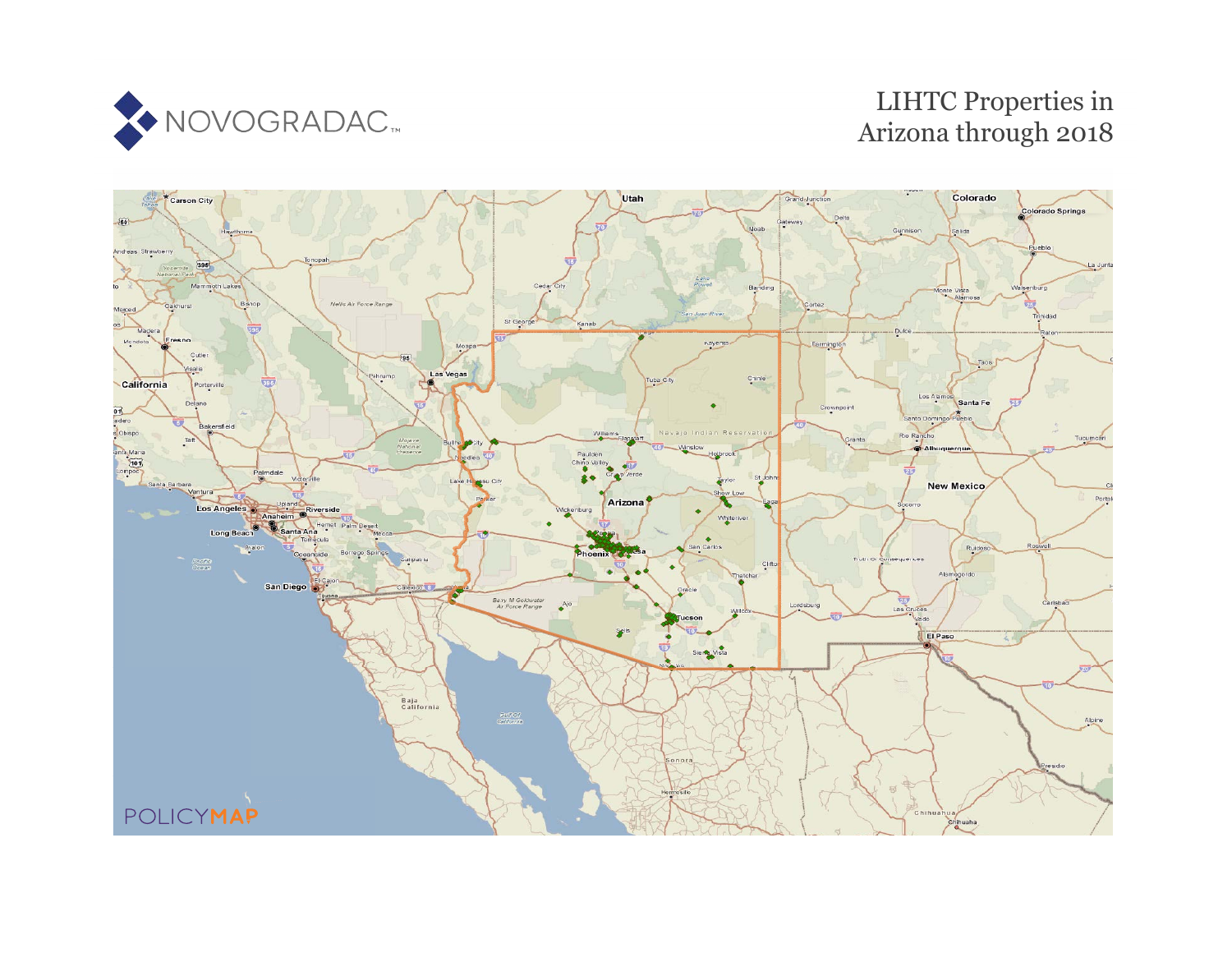

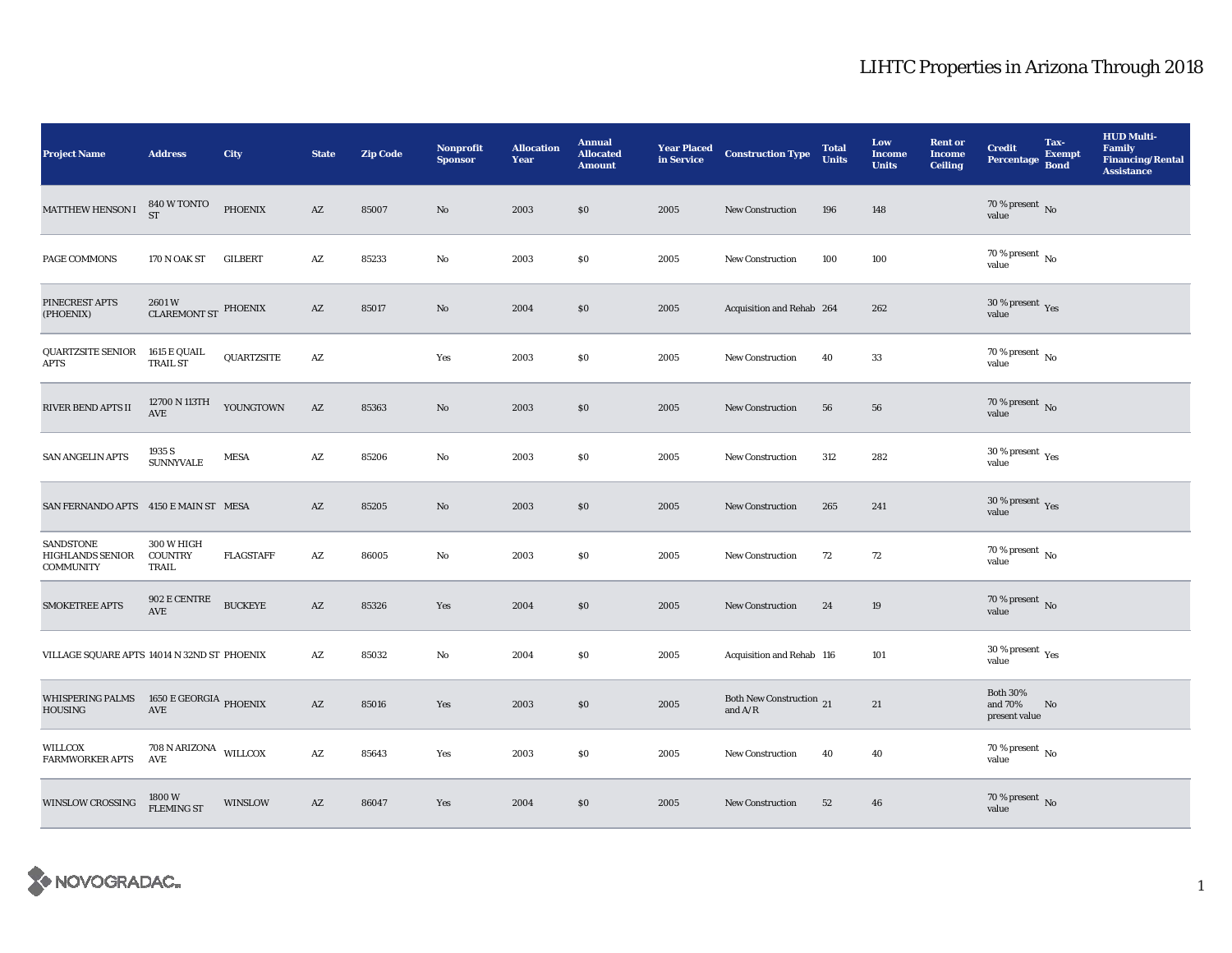| <b>Project Name</b>                                       | <b>Address</b>                               | City              | <b>State</b>           | <b>Zip Code</b> | Nonprofit<br><b>Sponsor</b> | <b>Allocation</b><br>Year | <b>Annual</b><br><b>Allocated</b><br><b>Amount</b> | <b>Year Placed</b><br>in Service | <b>Construction Type</b>                   | <b>Total</b><br><b>Units</b> | Low<br><b>Income</b><br><b>Units</b> | <b>Rent</b> or<br><b>Income</b><br><b>Ceiling</b> | <b>Credit</b><br>Percentage Bond            | Tax-<br><b>Exempt</b> | <b>HUD Multi-</b><br><b>Family</b><br><b>Financing/Rental</b><br><b>Assistance</b> |
|-----------------------------------------------------------|----------------------------------------------|-------------------|------------------------|-----------------|-----------------------------|---------------------------|----------------------------------------------------|----------------------------------|--------------------------------------------|------------------------------|--------------------------------------|---------------------------------------------------|---------------------------------------------|-----------------------|------------------------------------------------------------------------------------|
| MATTHEW HENSON I                                          | 840 W TONTO<br><b>ST</b>                     | <b>PHOENIX</b>    | AZ                     | 85007           | No                          | 2003                      | \$0                                                | 2005                             | <b>New Construction</b>                    | 196                          | 148                                  |                                                   | $70$ % present $\,$ No value                |                       |                                                                                    |
| PAGE COMMONS                                              | 170 N OAK ST                                 | <b>GILBERT</b>    | $\mathbf{A}\mathbf{Z}$ | 85233           | No                          | 2003                      | $\$0$                                              | 2005                             | <b>New Construction</b>                    | 100                          | 100                                  |                                                   | 70 % present $\,$ No $\,$<br>value          |                       |                                                                                    |
| PINECREST APTS<br>(PHOENIX)                               | $2601\,\mathrm{W}$ CLAREMONT ST $\,$ PHOENIX |                   | $\mathbf{A}\mathbf{Z}$ | 85017           | No                          | 2004                      | \$0                                                | 2005                             | Acquisition and Rehab 264                  |                              | 262                                  |                                                   | $30\,\%$ present $\,$ Yes value             |                       |                                                                                    |
| QUARTZSITE SENIOR<br><b>APTS</b>                          | 1615 E QUAIL<br><b>TRAIL ST</b>              | <b>QUARTZSITE</b> | $\mathbf{A}\mathbf{Z}$ |                 | Yes                         | 2003                      | \$0                                                | 2005                             | <b>New Construction</b>                    | 40                           | 33                                   |                                                   | $70$ % present $\,$ No $\,$<br>value        |                       |                                                                                    |
| RIVER BEND APTS II                                        | 12700 N 113TH<br>$\operatorname{AVE}$        | YOUNGTOWN         | $\mathbf{A}\mathbf{Z}$ | 85363           | No                          | 2003                      | $\$0$                                              | 2005                             | New Construction                           | ${\bf 56}$                   | 56                                   |                                                   | 70 % present $\,$ No $\,$<br>value          |                       |                                                                                    |
| <b>SAN ANGELIN APTS</b>                                   | 1935 S<br><b>SUNNYVALE</b>                   | <b>MESA</b>       | AZ                     | 85206           | No                          | 2003                      | \$0                                                | 2005                             | <b>New Construction</b>                    | 312                          | 282                                  |                                                   | $30\,\%$ present $\,$ $\rm{Yes}$<br>value   |                       |                                                                                    |
| SAN FERNANDO APTS 4150 E MAIN ST MESA                     |                                              |                   | AZ                     | 85205           | No                          | 2003                      | $\$0$                                              | 2005                             | <b>New Construction</b>                    | 265                          | 241                                  |                                                   | 30 % present $\gamma_{\rm e s}$<br>value    |                       |                                                                                    |
| SANDSTONE<br><b>HIGHLANDS SENIOR</b><br><b>COMMUNITY</b>  | 300 W HIGH<br><b>COUNTRY</b><br>TRAIL        | <b>FLAGSTAFF</b>  | AZ                     | 86005           | No                          | 2003                      | \$0                                                | 2005                             | <b>New Construction</b>                    | 72                           | 72                                   |                                                   | $70$ % present $\,$ No $\,$<br>value        |                       |                                                                                    |
| <b>SMOKETREE APTS</b>                                     | 902 E CENTRE<br>$\operatorname{AVE}$         | <b>BUCKEYE</b>    | $\mathbf{A}\mathbf{Z}$ | 85326           | Yes                         | 2004                      | \$0                                                | 2005                             | <b>New Construction</b>                    | 24                           | 19                                   |                                                   | 70 % present $\,$ No $\,$<br>value          |                       |                                                                                    |
| VILLAGE SQUARE APTS 14014 N 32ND ST PHOENIX               |                                              |                   | $\mathbf{A}\mathbf{Z}$ | 85032           | No                          | 2004                      | $\$0$                                              | 2005                             | Acquisition and Rehab 116                  |                              | 101                                  |                                                   | 30 % present $\rm \gamma_{\rm es}$<br>value |                       |                                                                                    |
| WHISPERING PALMS 1650 E GEORGIA PHOENIX<br><b>HOUSING</b> | AVE                                          |                   | AZ                     | 85016           | Yes                         | 2003                      | \$0\$                                              | 2005                             | Both New Construction 21<br>and $\rm{A/R}$ |                              | 21                                   |                                                   | <b>Both 30%</b><br>and 70%<br>present value | No                    |                                                                                    |
| WILLCOX<br><b>FARMWORKER APTS</b>                         | 708 N ARIZONA WILLCOX<br>AVE                 |                   | $\mathbf{A}\mathbf{Z}$ | 85643           | Yes                         | 2003                      | \$0                                                | 2005                             | <b>New Construction</b>                    | 40                           | 40                                   |                                                   | 70 % present $\,$ No $\,$<br>value          |                       |                                                                                    |
| <b>WINSLOW CROSSING</b>                                   | 1800W<br><b>FLEMING ST</b>                   | WINSLOW           | AZ                     | 86047           | Yes                         | 2004                      | $\$0$                                              | 2005                             | <b>New Construction</b>                    | 52                           | 46                                   |                                                   | 70 % present $\overline{N}$<br>value        |                       |                                                                                    |

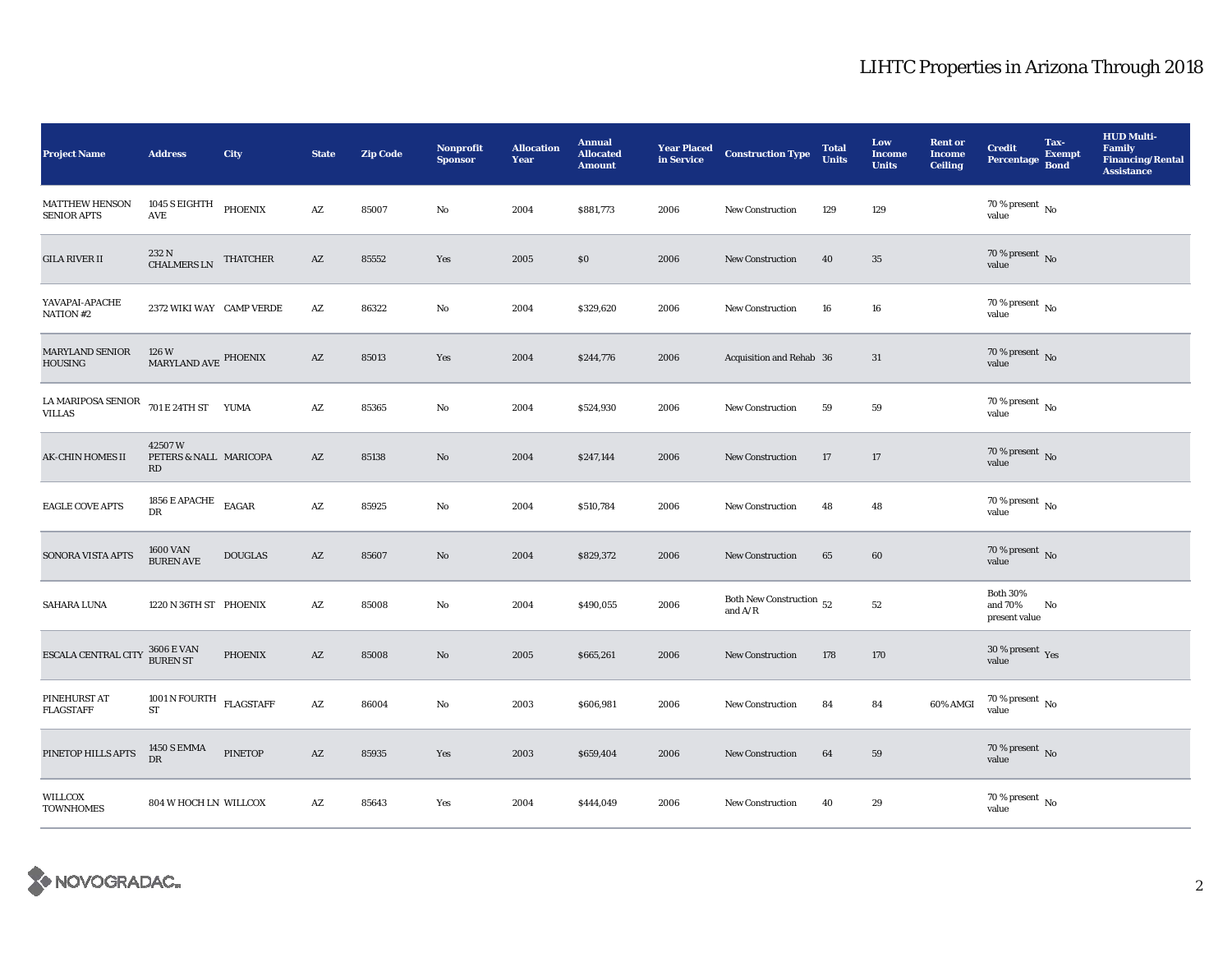| <b>Project Name</b>                                                                                                                  | <b>Address</b>                               | City           | <b>State</b>           | <b>Zip Code</b> | <b>Nonprofit</b><br><b>Sponsor</b> | <b>Allocation</b><br>Year | <b>Annual</b><br><b>Allocated</b><br><b>Amount</b> | <b>Year Placed</b><br>in Service | <b>Construction Type</b>              | <b>Total</b><br><b>Units</b> | Low<br><b>Income</b><br><b>Units</b> | <b>Rent or</b><br><b>Income</b><br><b>Ceiling</b> | <b>Credit</b><br>Percentage Bond            | Tax-<br><b>Exempt</b> | <b>HUD Multi-</b><br><b>Family</b><br><b>Financing/Rental</b><br><b>Assistance</b> |
|--------------------------------------------------------------------------------------------------------------------------------------|----------------------------------------------|----------------|------------------------|-----------------|------------------------------------|---------------------------|----------------------------------------------------|----------------------------------|---------------------------------------|------------------------------|--------------------------------------|---------------------------------------------------|---------------------------------------------|-----------------------|------------------------------------------------------------------------------------|
| <b>MATTHEW HENSON</b><br><b>SENIOR APTS</b>                                                                                          | 1045 S EIGHTH<br>AVE                         | PHOENIX        | $\mathbf{A}\mathbf{Z}$ | 85007           | No                                 | 2004                      | \$881,773                                          | 2006                             | <b>New Construction</b>               | 129                          | 129                                  |                                                   | $70$ % present $\,$ No $\,$<br>value        |                       |                                                                                    |
| <b>GILA RIVER II</b>                                                                                                                 | 232 N<br>CHALMERS LN THATCHER                |                | $\mathbf{A}\mathbf{Z}$ | 85552           | Yes                                | 2005                      | \$0                                                | 2006                             | <b>New Construction</b>               | 40                           | $35\,$                               |                                                   | $70$ % present $\,$ No value                |                       |                                                                                    |
| YAVAPAI-APACHE<br>NATION #2                                                                                                          | 2372 WIKI WAY CAMP VERDE                     |                | AZ                     | 86322           | $\mathbf{N}\mathbf{o}$             | 2004                      | \$329,620                                          | 2006                             | New Construction                      | 16                           | 16                                   |                                                   | 70 % present $\,$ No $\,$<br>value          |                       |                                                                                    |
| <b>MARYLAND SENIOR</b><br><b>HOUSING</b>                                                                                             | $126\ \rm{W}$ MARYLAND AVE $\rm{PHOENIX}$    |                | $\mathbf{A}\mathbf{Z}$ | 85013           | Yes                                | 2004                      | \$244,776                                          | 2006                             | Acquisition and Rehab 36              |                              | 31                                   |                                                   | $70$ % present $\,$ No value                |                       |                                                                                    |
| LA MARIPOSA SENIOR $701 E 24TH ST$ YUMA<br><b>VILLAS</b>                                                                             |                                              |                | $\mathbf{A}\mathbf{Z}$ | 85365           | $\rm No$                           | 2004                      | \$524,930                                          | 2006                             | <b>New Construction</b>               | 59                           | 59                                   |                                                   | $70$ % present $\,$ No $\,$<br>value        |                       |                                                                                    |
| <b>AK-CHIN HOMES II</b>                                                                                                              | 42507W<br>PETERS & NALL MARICOPA<br>RD       |                | $\mathbf{A}\mathbf{Z}$ | 85138           | $\mathbf{N}\mathbf{o}$             | 2004                      | \$247,144                                          | 2006                             | <b>New Construction</b>               | 17                           | 17                                   |                                                   | 70 % present $_{\rm No}$<br>value           |                       |                                                                                    |
| <b>EAGLE COVE APTS</b>                                                                                                               | 1856 E APACHE<br>DR                          | EAGAR          | $\mathbf{A}\mathbf{Z}$ | 85925           | No                                 | 2004                      | \$510,784                                          | 2006                             | <b>New Construction</b>               | 48                           | 48                                   |                                                   | $70$ % present $\,$ No $\,$<br>value        |                       |                                                                                    |
| SONORA VISTA APTS                                                                                                                    | <b>1600 VAN</b><br><b>BUREN AVE</b>          | <b>DOUGLAS</b> | AZ                     | 85607           | No                                 | 2004                      | \$829,372                                          | 2006                             | <b>New Construction</b>               | 65                           | 60                                   |                                                   | $70$ % present $\,$ No value                |                       |                                                                                    |
| <b>SAHARA LUNA</b>                                                                                                                   | 1220 N 36TH ST PHOENIX                       |                | $\mathbf{A}\mathbf{Z}$ | 85008           | No                                 | 2004                      | \$490,055                                          | 2006                             | Both New Construction 52<br>and $A/R$ |                              | 52                                   |                                                   | <b>Both 30%</b><br>and 70%<br>present value | No                    |                                                                                    |
| $\begin{array}{lll} \texttt{ESCALA CENTRAL CITY} & \begin{array}{l} 3606 \text{ E VAN} \\ \texttt{BUREN ST} \end{array} \end{array}$ |                                              | <b>PHOENIX</b> | $\mathbf{A}\mathbf{Z}$ | 85008           | $\rm No$                           | 2005                      | \$665,261                                          | 2006                             | <b>New Construction</b>               | 178                          | 170                                  |                                                   | 30 % present $\rm \gamma_{es}$<br>value     |                       |                                                                                    |
| PINEHURST AT<br><b>FLAGSTAFF</b>                                                                                                     | 1001 N FOURTH $$\rm FLAGSTAFF$$<br><b>ST</b> |                | $\mathbf{A}\mathbf{Z}$ | 86004           | No                                 | 2003                      | \$606,981                                          | 2006                             | <b>New Construction</b>               | 84                           | 84                                   | 60% AMGI                                          | $70\,\%$ present $\,$ No value              |                       |                                                                                    |
| PINETOP HILLS APTS                                                                                                                   | <b>1450 S EMMA</b><br>$_{\rm DR}$            | <b>PINETOP</b> | $\mathbf{A}\mathbf{Z}$ | 85935           | Yes                                | 2003                      | \$659,404                                          | 2006                             | <b>New Construction</b>               | 64                           | 59                                   |                                                   | $70$ % present $\,$ No $\,$<br>value        |                       |                                                                                    |
| WILLCOX<br><b>TOWNHOMES</b>                                                                                                          | 804 W HOCH LN WILLCOX                        |                | AZ                     | 85643           | Yes                                | 2004                      | \$444,049                                          | 2006                             | <b>New Construction</b>               | 40                           | 29                                   |                                                   | $70\,\%$ present $\,$ No value              |                       |                                                                                    |

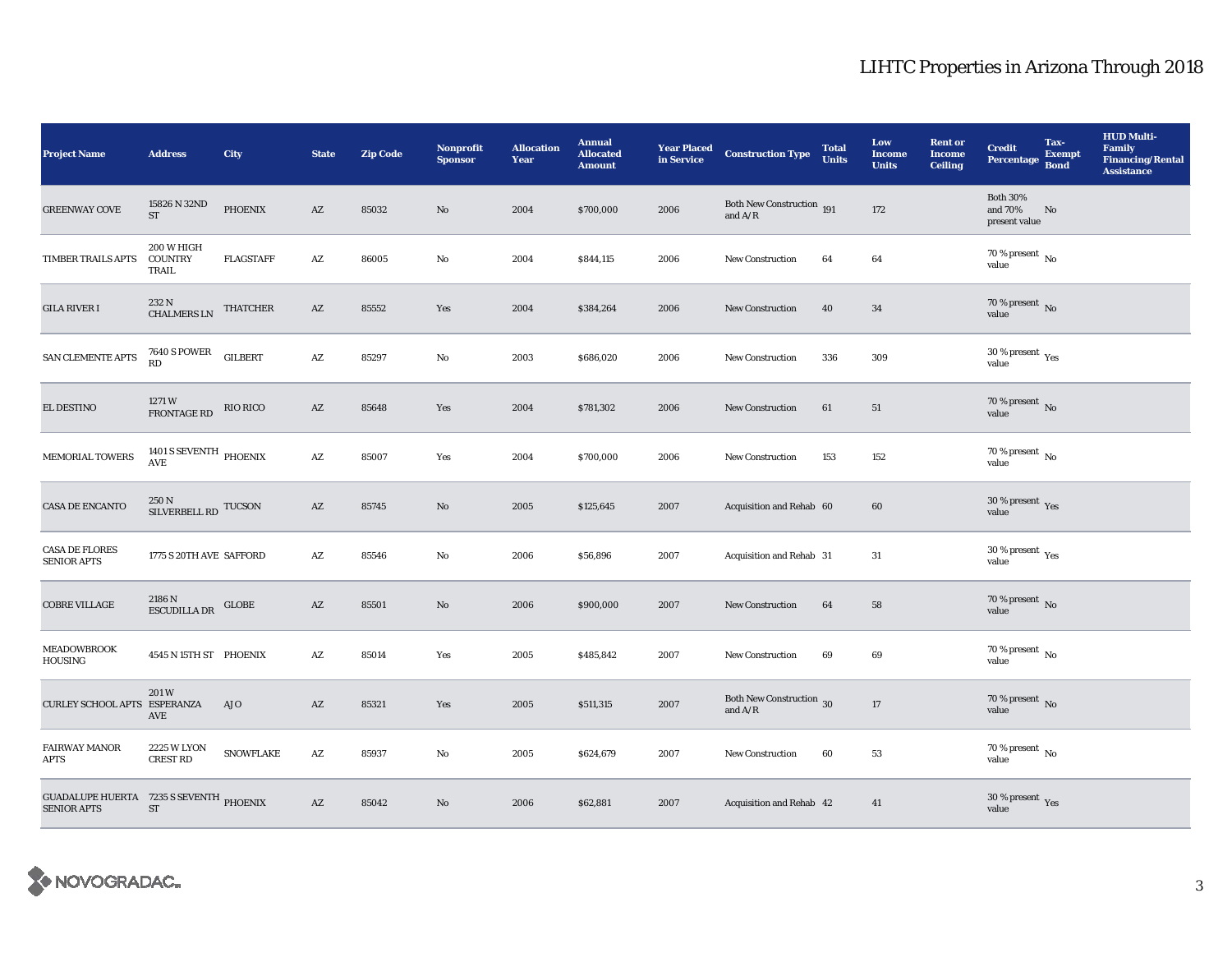| <b>Project Name</b>                                                  | <b>Address</b>                         | City             | <b>State</b>           | <b>Zip Code</b> | <b>Nonprofit</b><br><b>Sponsor</b> | <b>Allocation</b><br>Year | <b>Annual</b><br><b>Allocated</b><br><b>Amount</b> | <b>Year Placed</b><br>in Service | <b>Construction Type</b>                                 | <b>Total</b><br><b>Units</b> | Low<br><b>Income</b><br><b>Units</b> | <b>Rent or</b><br><b>Income</b><br><b>Ceiling</b> | <b>Credit</b><br><b>Percentage</b>          | Tax-<br><b>Exempt</b><br><b>Bond</b> | <b>HUD Multi-</b><br><b>Family</b><br><b>Financing/Rental</b><br><b>Assistance</b> |
|----------------------------------------------------------------------|----------------------------------------|------------------|------------------------|-----------------|------------------------------------|---------------------------|----------------------------------------------------|----------------------------------|----------------------------------------------------------|------------------------------|--------------------------------------|---------------------------------------------------|---------------------------------------------|--------------------------------------|------------------------------------------------------------------------------------|
| <b>GREENWAY COVE</b>                                                 | 15826 N 32ND<br><b>ST</b>              | <b>PHOENIX</b>   | $\mathbf{A}\mathbf{Z}$ | 85032           | $\rm No$                           | 2004                      | \$700,000                                          | 2006                             | Both New Construction 191<br>and $\mathrm{A}/\mathrm{R}$ |                              | 172                                  |                                                   | <b>Both 30%</b><br>and 70%<br>present value | No                                   |                                                                                    |
| TIMBER TRAILS APTS                                                   | 200 W HIGH<br><b>COUNTRY</b><br>TRAIL  | <b>FLAGSTAFF</b> | AZ                     | 86005           | No                                 | 2004                      | \$844,115                                          | 2006                             | <b>New Construction</b>                                  | 64                           | 64                                   |                                                   | 70 % present $\,$ No $\,$<br>value          |                                      |                                                                                    |
| <b>GILA RIVER I</b>                                                  | $232$ N CHALMERS LN                    | <b>THATCHER</b>  | $\mathbf{A}\mathbf{Z}$ | 85552           | Yes                                | 2004                      | \$384,264                                          | 2006                             | <b>New Construction</b>                                  | 40                           | 34                                   |                                                   | $70$ % present $\,$ No value                |                                      |                                                                                    |
| SAN CLEMENTE APTS                                                    | $7640\text{ S}$ POWER<br>RD            | <b>GILBERT</b>   | $\mathbf{A}\mathbf{Z}$ | 85297           | $\rm No$                           | 2003                      | \$686,020                                          | 2006                             | New Construction                                         | 336                          | 309                                  |                                                   | $30\,\%$ present $\,$ Yes value             |                                      |                                                                                    |
| <b>EL DESTINO</b>                                                    | 1271 W<br>FRONTAGE RD                  | RIO RICO         | AZ                     | 85648           | Yes                                | 2004                      | \$781,302                                          | 2006                             | <b>New Construction</b>                                  | 61                           | 51                                   |                                                   | $70$ % present $\,$ No value                |                                      |                                                                                    |
| MEMORIAL TOWERS                                                      | 1401 S SEVENTH $\,$ PHOENIX AVE        |                  | $\mathbf{A}\mathbf{Z}$ | 85007           | Yes                                | 2004                      | \$700,000                                          | 2006                             | New Construction                                         | 153                          | 152                                  |                                                   | 70 % present $\overline{N_0}$<br>value      |                                      |                                                                                    |
| <b>CASA DE ENCANTO</b>                                               | $250\,\mathrm{N}$ SILVERBELL RD TUCSON |                  | AZ                     | 85745           | $\rm No$                           | 2005                      | \$125,645                                          | 2007                             | Acquisition and Rehab 60                                 |                              | 60                                   |                                                   | $30\,\%$ present $\,$ Yes value             |                                      |                                                                                    |
| <b>CASA DE FLORES</b><br><b>SENIOR APTS</b>                          | 1775 S 20TH AVE SAFFORD                |                  | A Z                    | 85546           | No                                 | 2006                      | \$56,896                                           | 2007                             | Acquisition and Rehab 31                                 |                              | 31                                   |                                                   | $30\,\%$ present $\rm \chi_{ES}$<br>value   |                                      |                                                                                    |
| <b>COBRE VILLAGE</b>                                                 | 2186 N<br><b>ESCUDILLA DR</b>          | <b>GLOBE</b>     | AZ                     | 85501           | $\rm No$                           | 2006                      | \$900,000                                          | 2007                             | New Construction                                         | 64                           | 58                                   |                                                   | $70$ % present $\,$ No value                |                                      |                                                                                    |
| <b>MEADOWBROOK</b><br><b>HOUSING</b>                                 | 4545 N 15TH ST PHOENIX                 |                  | AZ                     | 85014           | Yes                                | 2005                      | \$485,842                                          | 2007                             | New Construction                                         | 69                           | 69                                   |                                                   | $70\,\%$ present $\overline{N_0}$<br>value  |                                      |                                                                                    |
| CURLEY SCHOOL APTS ESPERANZA                                         | 201W<br>AVE                            | AJO              | AZ                     | 85321           | Yes                                | 2005                      | \$511,315                                          | 2007                             | Both New Construction 30<br>and $A/R$                    |                              | $17\,$                               |                                                   | $70\,\%$ present $\,$ No value              |                                      |                                                                                    |
| <b>FAIRWAY MANOR</b><br><b>APTS</b>                                  | <b>2225 W LYON</b><br><b>CREST RD</b>  | <b>SNOWFLAKE</b> | $\mathbf{A}\mathbf{Z}$ | 85937           | No                                 | 2005                      | \$624,679                                          | 2007                             | <b>New Construction</b>                                  | 60                           | 53                                   |                                                   | $70\,\%$ present $\,$ No value              |                                      |                                                                                    |
| <b>GUADALUPE HUERTA</b> 7235 S SEVENTH PHOENIX<br><b>SENIOR APTS</b> | <b>ST</b>                              |                  | AZ                     | 85042           | No                                 | 2006                      | \$62,881                                           | 2007                             | Acquisition and Rehab 42                                 |                              | 41                                   |                                                   | $30\,\%$ present $\,\mathrm{Yes}$ value     |                                      |                                                                                    |

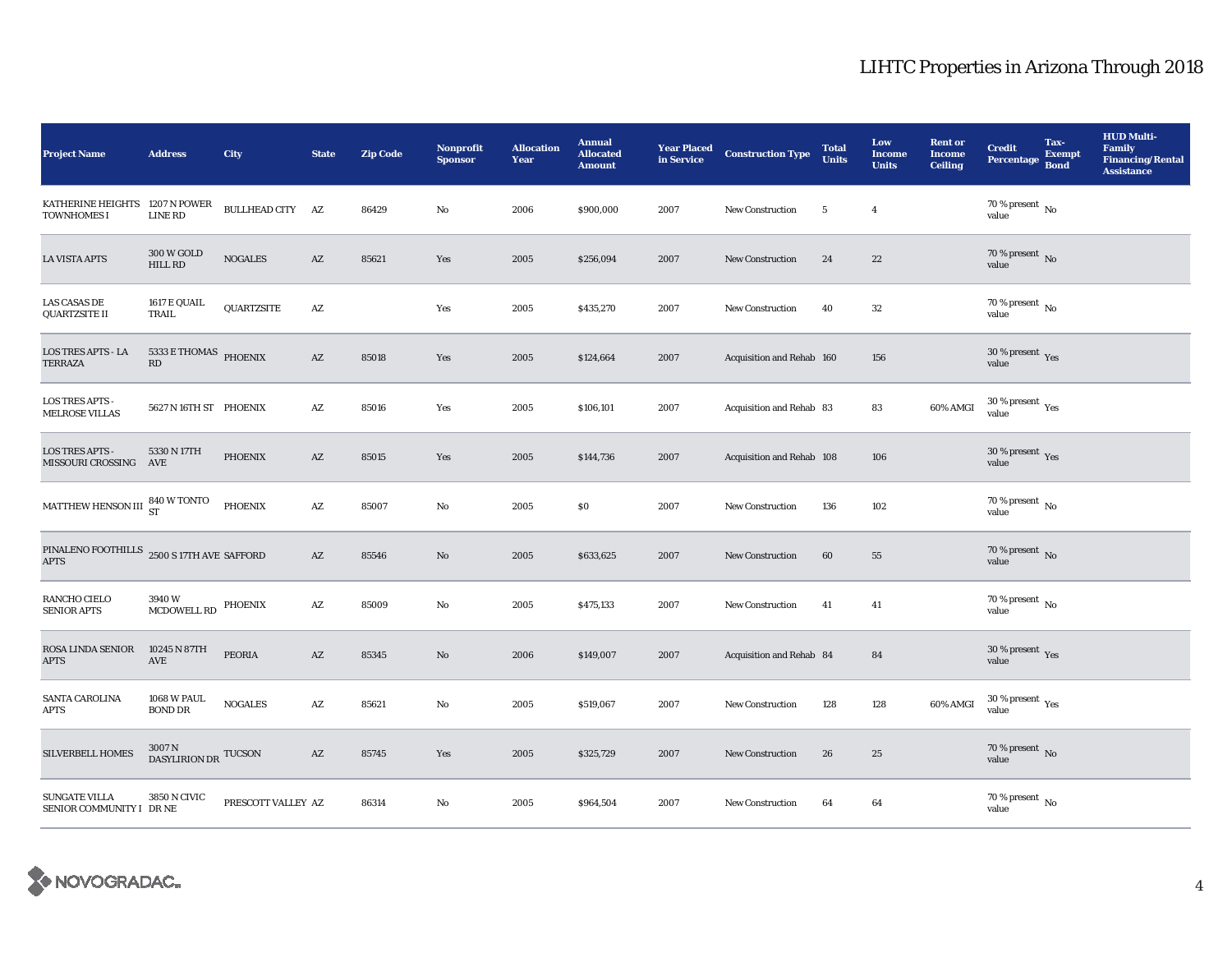| <b>Project Name</b>                                       | <b>Address</b>                                                   | City               | <b>State</b>           | <b>Zip Code</b> | <b>Nonprofit</b><br><b>Sponsor</b> | <b>Allocation</b><br>Year | <b>Annual</b><br><b>Allocated</b><br><b>Amount</b> | <b>Year Placed</b><br>in Service | <b>Construction Type</b>  | <b>Total</b><br><b>Units</b> | Low<br><b>Income</b><br><b>Units</b> | <b>Rent or</b><br><b>Income</b><br><b>Ceiling</b> | <b>Credit</b><br>Percentage Bond               | Tax-<br><b>Exempt</b> | <b>HUD Multi-</b><br><b>Family</b><br><b>Financing/Rental</b><br><b>Assistance</b> |
|-----------------------------------------------------------|------------------------------------------------------------------|--------------------|------------------------|-----------------|------------------------------------|---------------------------|----------------------------------------------------|----------------------------------|---------------------------|------------------------------|--------------------------------------|---------------------------------------------------|------------------------------------------------|-----------------------|------------------------------------------------------------------------------------|
| KATHERINE HEIGHTS<br><b>TOWNHOMES I</b>                   | 1207 N POWER<br><b>LINE RD</b>                                   | BULLHEAD CITY AZ   |                        | 86429           | $\mathbf{No}$                      | 2006                      | \$900,000                                          | 2007                             | <b>New Construction</b>   | $\overline{\mathbf{5}}$      | $\overline{4}$                       |                                                   | $70$ % present $\,$ No $\,$<br>value           |                       |                                                                                    |
| <b>LA VISTA APTS</b>                                      | <b>300 W GOLD</b><br><b>HILL RD</b>                              | <b>NOGALES</b>     | $\mathbf{A}\mathbf{Z}$ | 85621           | Yes                                | 2005                      | \$256,094                                          | 2007                             | <b>New Construction</b>   | 24                           | 22                                   |                                                   | 70 % present $\overline{N_0}$<br>value         |                       |                                                                                    |
| <b>LAS CASAS DE</b><br><b>QUARTZSITE II</b>               | 1617 E QUAIL<br>TRAIL                                            | QUARTZSITE         | AZ                     |                 | Yes                                | 2005                      | \$435,270                                          | 2007                             | New Construction          | 40                           | $32\,$                               |                                                   | $70$ % present $\,$ No $\,$<br>value           |                       |                                                                                    |
| <b>LOS TRES APTS - LA</b><br><b>TERRAZA</b>               | $5333\,\mathrm{E}$ THOMAS $\,$ PHOENIX<br>$\mathbb{R}\mathbb{D}$ |                    | $\mathbf{A}\mathbf{Z}$ | 85018           | Yes                                | 2005                      | \$124,664                                          | 2007                             | Acquisition and Rehab 160 |                              | 156                                  |                                                   | 30 % present $\sqrt{\gamma_{\rm PS}}$<br>value |                       |                                                                                    |
| <b>LOS TRES APTS -</b><br><b>MELROSE VILLAS</b>           | 5627 N 16TH ST PHOENIX                                           |                    | $\mathbf{A}\mathbf{Z}$ | 85016           | Yes                                | 2005                      | \$106,101                                          | 2007                             | Acquisition and Rehab 83  |                              | 83                                   | 60% AMGI                                          | $30$ % present $\,$ $\rm Yes$<br>value         |                       |                                                                                    |
| <b>LOS TRES APTS -</b><br>MISSOURI CROSSING AVE           | 5330 N 17TH                                                      | <b>PHOENIX</b>     | $\mathbf{A}\mathbf{Z}$ | 85015           | Yes                                | 2005                      | \$144,736                                          | 2007                             | Acquisition and Rehab 108 |                              | 106                                  |                                                   | 30 % present $\gamma_{\rm{es}}$<br>value       |                       |                                                                                    |
| MATTHEW HENSON III 840 W TONTO                            |                                                                  | PHOENIX            | $\mathbf{A}\mathbf{Z}$ | 85007           | No                                 | 2005                      | \$0                                                | 2007                             | New Construction          | 136                          | 102                                  |                                                   | $70$ % present $\,$ No $\,$<br>value           |                       |                                                                                    |
| PINALENO FOOTHILLS 2500 S 17TH AVE SAFFORD<br><b>APTS</b> |                                                                  |                    | $\mathbf{A}\mathbf{Z}$ | 85546           | $\mathbf{N}\mathbf{o}$             | 2005                      | \$633,625                                          | 2007                             | <b>New Construction</b>   | 60                           | 55                                   |                                                   | $70$ % present $\,$ No value                   |                       |                                                                                    |
| RANCHO CIELO<br><b>SENIOR APTS</b>                        | 3940W<br>MCDOWELL RD                                             | PHOENIX            | $\mathbf{A}\mathbf{Z}$ | 85009           | No                                 | 2005                      | \$475,133                                          | 2007                             | New Construction          | 41                           | 41                                   |                                                   | $70$ % present $\,$ No $\,$<br>value           |                       |                                                                                    |
| ROSA LINDA SENIOR<br><b>APTS</b>                          | 10245 N 87TH<br>$\operatorname{AVE}$                             | PEORIA             | AZ                     | 85345           | $\rm No$                           | 2006                      | \$149,007                                          | 2007                             | Acquisition and Rehab 84  |                              | 84                                   |                                                   | 30 % present $\gamma_{\rm e s}$<br>value       |                       |                                                                                    |
| SANTA CAROLINA<br>APTS                                    | <b>1068 W PAUL</b><br><b>BOND DR</b>                             | <b>NOGALES</b>     | $\mathbf{A}\mathbf{Z}$ | 85621           | No                                 | 2005                      | \$519,067                                          | 2007                             | <b>New Construction</b>   | 128                          | 128                                  | 60% AMGI                                          | $30\,\%$ present $\,$ $\rm Yes$<br>value       |                       |                                                                                    |
| <b>SILVERBELL HOMES</b>                                   | $3007\,\mathrm{N}$ DASYLIRION DR $\,$ TUCSON $\,$                |                    | $\mathbf{A}\mathbf{Z}$ | 85745           | Yes                                | 2005                      | \$325,729                                          | 2007                             | <b>New Construction</b>   | 26                           | 25                                   |                                                   | 70 % present $\,$ No $\,$<br>value             |                       |                                                                                    |
| <b>SUNGATE VILLA</b><br>SENIOR COMMUNITY I DR NE          | 3850 N CIVIC                                                     | PRESCOTT VALLEY AZ |                        | 86314           | $\mathbf{No}$                      | 2005                      | \$964,504                                          | 2007                             | <b>New Construction</b>   | 64                           | 64                                   |                                                   | $70\,\%$ present $\,$ No value                 |                       |                                                                                    |

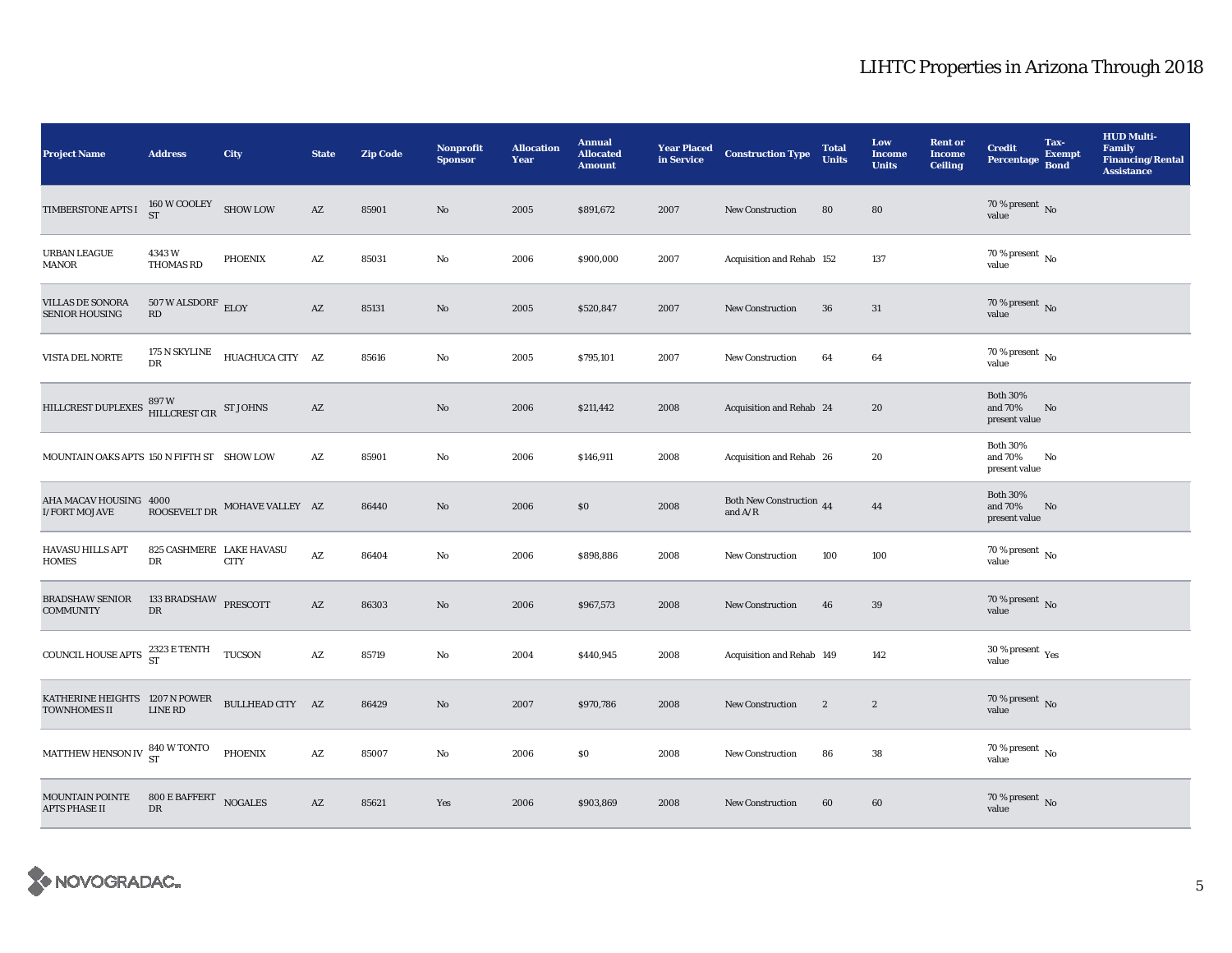| <b>Project Name</b>                                   | <b>Address</b>                                                    | City                          | <b>State</b>           | <b>Zip Code</b> | <b>Nonprofit</b><br><b>Sponsor</b> | <b>Allocation</b><br>Year | <b>Annual</b><br><b>Allocated</b><br><b>Amount</b> | <b>Year Placed</b><br>in Service | <b>Construction Type</b>                                                                        | <b>Total</b><br><b>Units</b> | Low<br><b>Income</b><br><b>Units</b> | <b>Rent or</b><br><b>Income</b><br><b>Ceiling</b> | <b>Credit</b><br><b>Percentage</b>              | Tax-<br><b>Exempt</b><br><b>Bond</b> | <b>HUD Multi-</b><br><b>Family</b><br><b>Financing/Rental</b><br><b>Assistance</b> |
|-------------------------------------------------------|-------------------------------------------------------------------|-------------------------------|------------------------|-----------------|------------------------------------|---------------------------|----------------------------------------------------|----------------------------------|-------------------------------------------------------------------------------------------------|------------------------------|--------------------------------------|---------------------------------------------------|-------------------------------------------------|--------------------------------------|------------------------------------------------------------------------------------|
| TIMBERSTONE APTS I                                    | $160\,\rm{W}\, \rm{COOL} \rm{E} \rm{Y}$ SHOW LOW<br><b>ST</b>     |                               | $\mathbf{A}\mathbf{Z}$ | 85901           | No                                 | 2005                      | \$891,672                                          | 2007                             | <b>New Construction</b>                                                                         | 80                           | 80                                   |                                                   | $70\,\%$ present $\,$ No value                  |                                      |                                                                                    |
| URBAN LEAGUE<br>MANOR                                 | 4343W<br>THOMAS RD                                                | <b>PHOENIX</b>                | $\mathbf{A}\mathbf{Z}$ | 85031           | $\mathbf{N}\mathbf{o}$             | 2006                      | \$900,000                                          | 2007                             | Acquisition and Rehab 152                                                                       |                              | 137                                  |                                                   | 70 % present $\,$ No $\,$<br>value              |                                      |                                                                                    |
| <b>VILLAS DE SONORA</b><br><b>SENIOR HOUSING</b>      | $507$ W ALSDORF $\,$ ELOY<br>RD                                   |                               | $\mathbf{A}\mathbf{Z}$ | 85131           | No                                 | 2005                      | \$520,847                                          | 2007                             | <b>New Construction</b>                                                                         | 36                           | 31                                   |                                                   | $70$ % present $\,$ No value                    |                                      |                                                                                    |
| VISTA DEL NORTE                                       | 175 N SKYLINE<br><b>DR</b>                                        | HUACHUCA CITY AZ              |                        | 85616           | No                                 | 2005                      | \$795,101                                          | 2007                             | <b>New Construction</b>                                                                         | 64                           | 64                                   |                                                   | 70 % present $\,$ No $\,$<br>value              |                                      |                                                                                    |
| HILLCREST DUPLEXES                                    | $897\,\mathrm{W}$ $$\rm{ST}$ JOHNS HILLCREST CIR $$\rm{ST}$ JOHNS |                               | $\mathbf{A}\mathbf{Z}$ |                 | $\rm\thinspace No$                 | 2006                      | \$211,442                                          | 2008                             | Acquisition and Rehab 24                                                                        |                              | 20                                   |                                                   | <b>Both 30%</b><br>and 70%<br>present value     | No                                   |                                                                                    |
| MOUNTAIN OAKS APTS 150 N FIFTH ST SHOW LOW            |                                                                   |                               | A Z                    | 85901           | No                                 | 2006                      | \$146,911                                          | 2008                             | Acquisition and Rehab 26                                                                        |                              | 20                                   |                                                   | <b>Both 30%</b><br>and 70%<br>present value     | No                                   |                                                                                    |
| AHA MACAV HOUSING 4000<br><b>I/FORT MOJAVE</b>        |                                                                   | ROOSEVELT DR MOHAVE VALLEY AZ |                        | 86440           | $\mathbf{N}\mathbf{o}$             | 2006                      | \$0                                                | 2008                             | Both New Construction 44<br>and $\ensuremath{\mathrm{A}}\xspace/\ensuremath{\mathrm{R}}\xspace$ |                              | 44                                   |                                                   | <b>Both 30%</b><br>and 70%<br>present value     | No                                   |                                                                                    |
| <b>HAVASU HILLS APT</b><br><b>HOMES</b>               | 825 CASHMERE LAKE HAVASU<br>DR                                    | <b>CITY</b>                   | AZ                     | 86404           | $\mathbf{N}\mathbf{o}$             | 2006                      | \$898,886                                          | 2008                             | New Construction                                                                                | 100                          | 100                                  |                                                   | 70 % present $\hbox{~No}$<br>value              |                                      |                                                                                    |
| <b>BRADSHAW SENIOR</b><br><b>COMMUNITY</b>            | 133 BRADSHAW PRESCOTT<br>DR                                       |                               | $\mathbf{A}\mathbf{Z}$ | 86303           | $\mathbf{N}\mathbf{o}$             | 2006                      | \$967,573                                          | 2008                             | New Construction                                                                                | 46                           | 39                                   |                                                   | 70 % present $\,$ No $\,$<br>value              |                                      |                                                                                    |
| COUNCIL HOUSE APTS $^{2323}_{\rm ST}$ E TENTH         |                                                                   | <b>TUCSON</b>                 | $\mathbf{A}\mathbf{Z}$ | 85719           | No                                 | 2004                      | \$440,945                                          | 2008                             | Acquisition and Rehab 149                                                                       |                              | 142                                  |                                                   | $30\,\%$ present $\rm\thinspace_{Yes}$<br>value |                                      |                                                                                    |
| KATHERINE HEIGHTS 1207 N POWER<br><b>TOWNHOMES II</b> | <b>LINE RD</b>                                                    | BULLHEAD CITY AZ              |                        | 86429           | No                                 | 2007                      | \$970,786                                          | 2008                             | <b>New Construction</b>                                                                         | $\boldsymbol{2}$             | $\boldsymbol{2}$                     |                                                   | $70\,\%$ present $\,$ No value                  |                                      |                                                                                    |
| MATTHEW HENSON IV $^{840}_{ST}$ W TONTO               |                                                                   | PHOENIX                       | $\mathbf{A}\mathbf{Z}$ | 85007           | No                                 | 2006                      | \$0                                                | 2008                             | <b>New Construction</b>                                                                         | 86                           | 38                                   |                                                   | $70\,\%$ present $\,$ No value                  |                                      |                                                                                    |
| MOUNTAIN POINTE<br><b>APTS PHASE II</b>               | 800 E BAFFERT NOGALES<br>DR.                                      |                               | AZ                     | 85621           | Yes                                | 2006                      | \$903,869                                          | 2008                             | <b>New Construction</b>                                                                         | 60                           | 60                                   |                                                   | 70 % present $\overline{N_0}$<br>value          |                                      |                                                                                    |

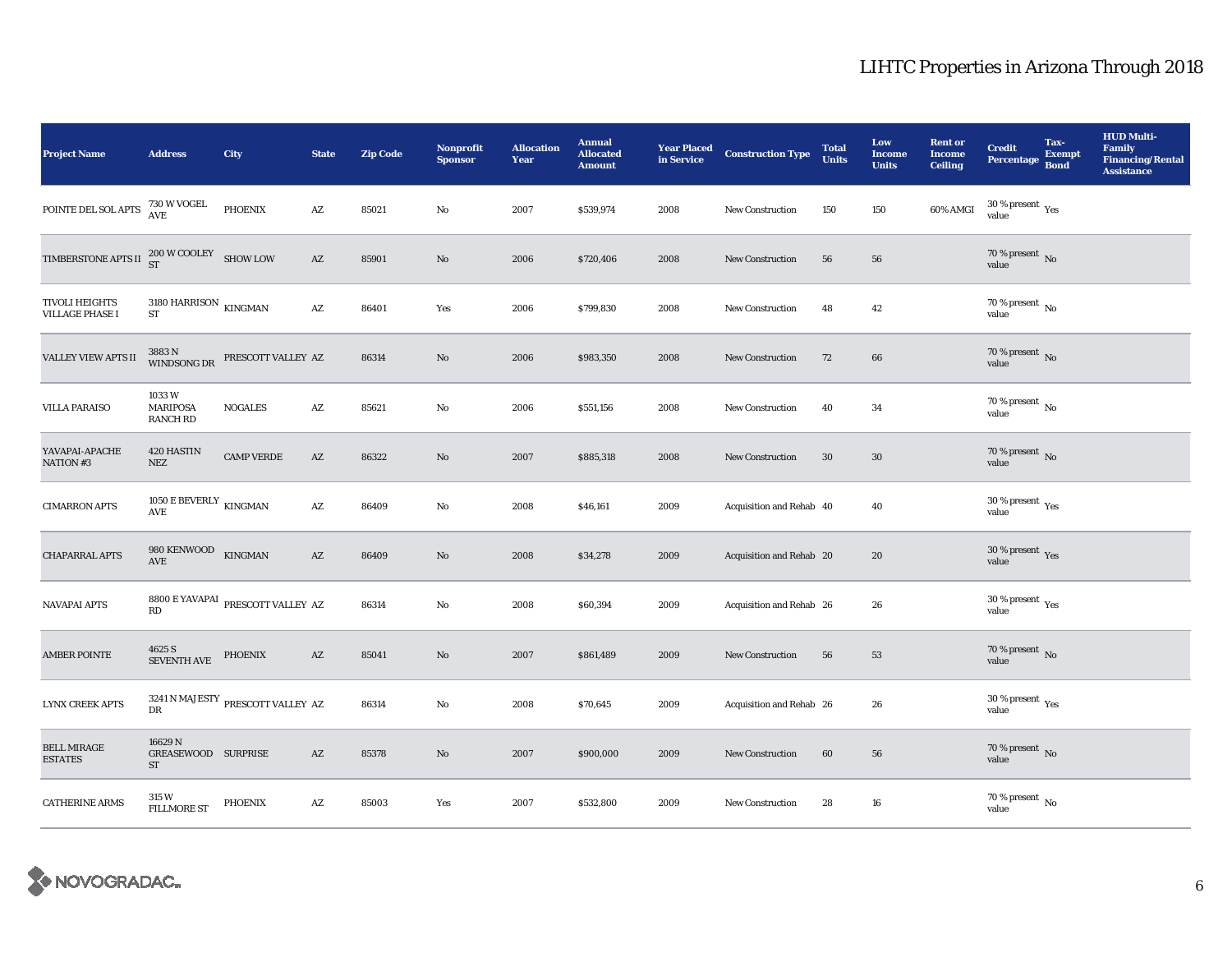| <b>Project Name</b>                                                                    | <b>Address</b>                                               | City                                                                | <b>State</b>           | <b>Zip Code</b> | <b>Nonprofit</b><br><b>Sponsor</b> | <b>Allocation</b><br><b>Year</b> | <b>Annual</b><br><b>Allocated</b><br><b>Amount</b> | <b>Year Placed<br/>in Service</b> | <b>Construction Type</b> | <b>Total</b><br><b>Units</b> | Low<br><b>Income</b><br><b>Units</b> | <b>Rent or</b><br><b>Income</b><br><b>Ceiling</b> | <b>Credit</b><br>Percentage Bond                | Tax-<br><b>Exempt</b> | <b>HUD Multi-</b><br><b>Family</b><br><b>Financing/Rental</b><br><b>Assistance</b> |
|----------------------------------------------------------------------------------------|--------------------------------------------------------------|---------------------------------------------------------------------|------------------------|-----------------|------------------------------------|----------------------------------|----------------------------------------------------|-----------------------------------|--------------------------|------------------------------|--------------------------------------|---------------------------------------------------|-------------------------------------------------|-----------------------|------------------------------------------------------------------------------------|
| POINTE DEL SOL APTS $\begin{array}{cc} 730 \ \text{AVVOGEL} \\ \text{AVE} \end{array}$ |                                                              | PHOENIX                                                             | $\mathbf{A}\mathbf{Z}$ | 85021           | No                                 | 2007                             | \$539,974                                          | 2008                              | <b>New Construction</b>  | 150                          | 150                                  | 60% AMGI                                          | $30\,\%$ present $\,$ Yes value                 |                       |                                                                                    |
| TIMBERSTONE APTS II $^{200}_{ST}$ W COOLEY SHOW LOW                                    |                                                              |                                                                     | $\mathbf{A}\mathbf{Z}$ | 85901           | $\mathbf{No}$                      | 2006                             | \$720,406                                          | 2008                              | <b>New Construction</b>  | 56                           | 56                                   |                                                   | $70$ % present $\,$ No value                    |                       |                                                                                    |
| <b>TIVOLI HEIGHTS</b><br><b>VILLAGE PHASE I</b>                                        | $3180\text{ HARRISON}$ KINGMAN<br><b>ST</b>                  |                                                                     | AZ                     | 86401           | Yes                                | 2006                             | \$799,830                                          | 2008                              | <b>New Construction</b>  | 48                           | 42                                   |                                                   | 70 % present $\,$ No $\,$<br>value              |                       |                                                                                    |
| VALLEY VIEW APTS II                                                                    | 3883 N<br>WINDSONG DR                                        | PRESCOTT VALLEY AZ                                                  |                        | 86314           | $\mathbf{N}\mathbf{o}$             | 2006                             | \$983,350                                          | 2008                              | New Construction         | 72                           | 66                                   |                                                   | $70$ % present $\,$ No value                    |                       |                                                                                    |
| <b>VILLA PARAISO</b>                                                                   | 1033W<br><b>MARIPOSA</b><br><b>RANCH RD</b>                  | <b>NOGALES</b>                                                      | $\mathbf{A}\mathbf{Z}$ | 85621           | No                                 | 2006                             | \$551,156                                          | 2008                              | <b>New Construction</b>  | 40                           | 34                                   |                                                   | $70$ % present $\,$ No $\,$<br>value            |                       |                                                                                    |
| YAVAPAI-APACHE<br>NATION #3                                                            | 420 HASTIN<br>${\rm NEZ}$                                    | <b>CAMP VERDE</b>                                                   | AZ                     | 86322           | No                                 | 2007                             | \$885,318                                          | 2008                              | <b>New Construction</b>  | $30\,$                       | $30\,$                               |                                                   | $70$ % present $\,$ No value                    |                       |                                                                                    |
| <b>CIMARRON APTS</b>                                                                   | 1050 E BEVERLY $\,$ KINGMAN<br>$\operatorname{\mathsf{AVE}}$ |                                                                     | $\mathbf{A}\mathbf{Z}$ | 86409           | No                                 | 2008                             | \$46,161                                           | 2009                              | Acquisition and Rehab 40 |                              | 40                                   |                                                   | $30\,\%$ present $\rm\thinspace_{Yes}$<br>value |                       |                                                                                    |
| <b>CHAPARRAL APTS</b>                                                                  | 980 KENWOOD KINGMAN<br>$\operatorname{AVE}$                  |                                                                     | $\mathbf{A}\mathbf{Z}$ | 86409           | No                                 | 2008                             | \$34,278                                           | 2009                              | Acquisition and Rehab 20 |                              | 20                                   |                                                   | $30\,\%$ present $\,$ Yes value                 |                       |                                                                                    |
| <b>NAVAPAI APTS</b>                                                                    | RD                                                           | 8800 E YAVAPAI $_{\rm PRESCOTT}$ VALLEY AZ                          |                        | 86314           | No                                 | 2008                             | \$60,394                                           | 2009                              | Acquisition and Rehab 26 |                              | 26                                   |                                                   | $30\,\%$ present $\rm\thinspace_{Yes}$<br>value |                       |                                                                                    |
| <b>AMBER POINTE</b>                                                                    | 4625 S<br>SEVENTH AVE                                        | PHOENIX                                                             | $\mathbf{A}\mathbf{Z}$ | 85041           | No                                 | 2007                             | \$861,489                                          | 2009                              | New Construction         | 56                           | 53                                   |                                                   | $70\,\%$ present $\,$ No value                  |                       |                                                                                    |
| <b>LYNX CREEK APTS</b>                                                                 | $_{\rm DR}$                                                  | $3241\,\mathrm{N}\,\mathrm{MAJESTY}$ $_\mathrm{PRESCOTT}$ VALLEY AZ |                        | 86314           | $\rm No$                           | 2008                             | \$70,645                                           | 2009                              | Acquisition and Rehab 26 |                              | 26                                   |                                                   | $30\,\%$ present $\rm\thinspace_{Yes}$<br>value |                       |                                                                                    |
| <b>BELL MIRAGE</b><br><b>ESTATES</b>                                                   | 16629N<br>GREASEWOOD SURPRISE<br>ST                          |                                                                     | AZ                     | 85378           | No                                 | 2007                             | \$900,000                                          | 2009                              | <b>New Construction</b>  | 60                           | 56                                   |                                                   | $70\,\%$ present $\,$ No value                  |                       |                                                                                    |
| <b>CATHERINE ARMS</b>                                                                  | 315 W<br><b>FILLMORE ST</b>                                  | PHOENIX                                                             | AZ                     | 85003           | Yes                                | 2007                             | \$532,800                                          | 2009                              | <b>New Construction</b>  | 28                           | 16                                   |                                                   | $70\,\%$ present $\,$ No value                  |                       |                                                                                    |

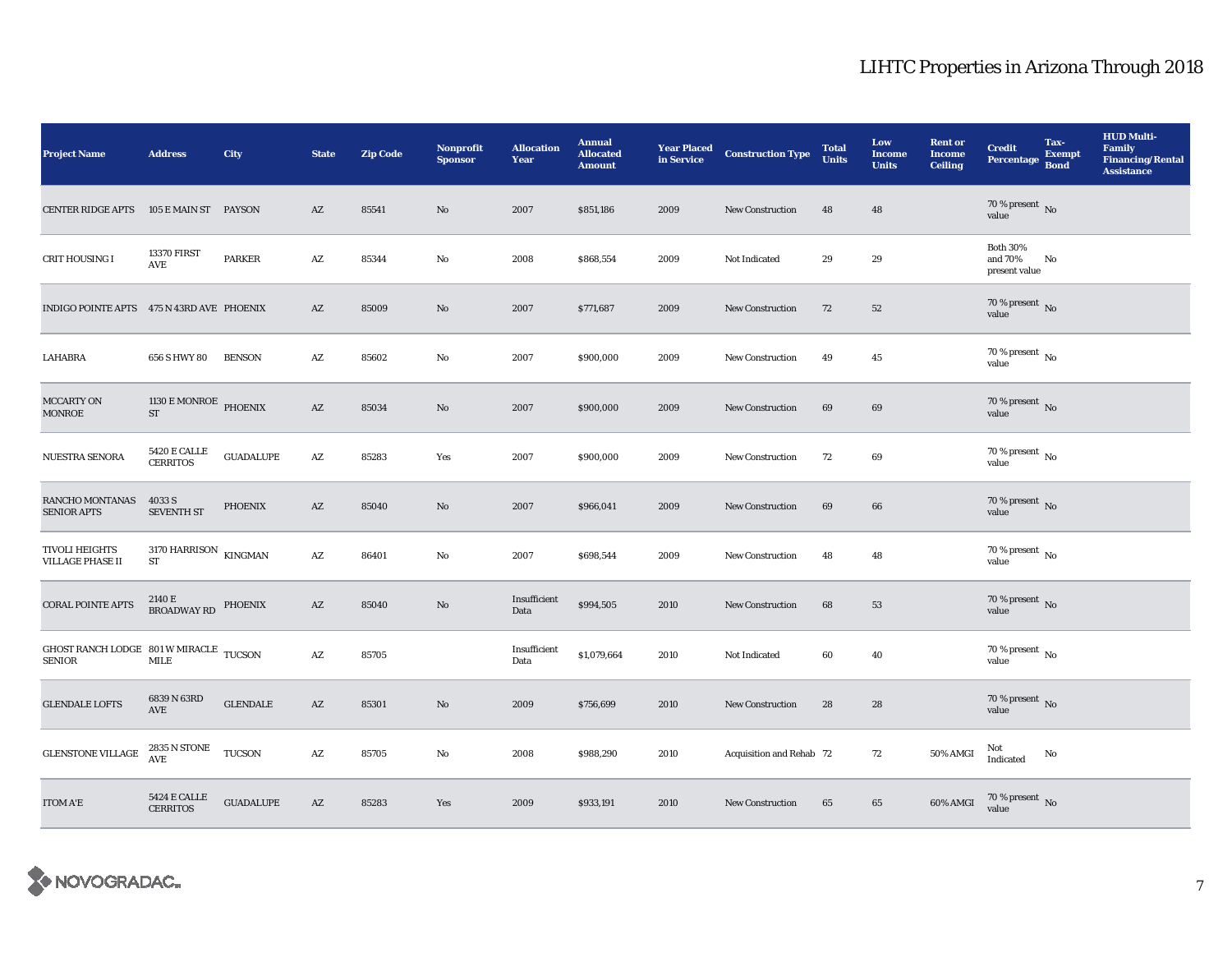| <b>Project Name</b>                                     | <b>Address</b>                                    | <b>City</b>                | <b>State</b>           | <b>Zip Code</b> | <b>Nonprofit</b><br><b>Sponsor</b> | <b>Allocation</b><br>Year | <b>Annual</b><br><b>Allocated</b><br><b>Amount</b> | <b>Year Placed</b><br>in Service | <b>Construction Type</b> | <b>Total</b><br><b>Units</b> | Low<br><b>Income</b><br><b>Units</b> | <b>Rent or</b><br><b>Income</b><br><b>Ceiling</b> | <b>Credit</b><br><b>Percentage</b>          | Tax-<br><b>Exempt</b><br><b>Bond</b> | <b>HUD Multi-</b><br><b>Family</b><br><b>Financing/Rental</b><br><b>Assistance</b> |
|---------------------------------------------------------|---------------------------------------------------|----------------------------|------------------------|-----------------|------------------------------------|---------------------------|----------------------------------------------------|----------------------------------|--------------------------|------------------------------|--------------------------------------|---------------------------------------------------|---------------------------------------------|--------------------------------------|------------------------------------------------------------------------------------|
| <b>CENTER RIDGE APTS</b>                                | 105 E MAIN ST PAYSON                              |                            | AZ                     | 85541           | No                                 | 2007                      | \$851,186                                          | 2009                             | <b>New Construction</b>  | 48                           | 48                                   |                                                   | $70\,\%$ present $\,$ No value              |                                      |                                                                                    |
| CRIT HOUSING I                                          | <b>13370 FIRST</b><br>AVE                         | PARKER                     | AZ                     | 85344           | No                                 | 2008                      | \$868,554                                          | 2009                             | Not Indicated            | 29                           | 29                                   |                                                   | <b>Both 30%</b><br>and 70%<br>present value | No                                   |                                                                                    |
| INDIGO POINTE APTS 475 N 43RD AVE PHOENIX               |                                                   |                            | AZ                     | 85009           | No                                 | 2007                      | \$771,687                                          | 2009                             | <b>New Construction</b>  | 72                           | 52                                   |                                                   | $70$ % present $\,$ No value                |                                      |                                                                                    |
| LAHABRA                                                 | 656 S HWY 80                                      | <b>BENSON</b>              | $\mathbf{A}\mathbf{Z}$ | 85602           | No                                 | 2007                      | \$900,000                                          | 2009                             | New Construction         | 49                           | $45\,$                               |                                                   | $70$ % present $\,$ No $\,$<br>value        |                                      |                                                                                    |
| <b>MCCARTY ON</b><br><b>MONROE</b>                      | 1130 E MONROE PHOENIX<br>ST                       |                            | $\mathbf{A}\mathbf{Z}$ | 85034           | No                                 | 2007                      | \$900,000                                          | 2009                             | <b>New Construction</b>  | 69                           | 69                                   |                                                   | $70$ % present $\,$ No value                |                                      |                                                                                    |
| NUESTRA SENORA                                          | <b>5420 E CALLE</b><br><b>CERRITOS</b>            | <b>GUADALUPE</b>           | $\mathbf{A}\mathbf{Z}$ | 85283           | Yes                                | 2007                      | \$900,000                                          | 2009                             | <b>New Construction</b>  | 72                           | 69                                   |                                                   | 70 % present $\,$ No $\,$<br>value          |                                      |                                                                                    |
| RANCHO MONTANAS<br><b>SENIOR APTS</b>                   | 4033 S<br><b>SEVENTH ST</b>                       | <b>PHOENIX</b>             | AZ                     | 85040           | No                                 | 2007                      | \$966,041                                          | 2009                             | <b>New Construction</b>  | 69                           | 66                                   |                                                   | $70\,\%$ present $\,$ No value              |                                      |                                                                                    |
| <b>TIVOLI HEIGHTS</b><br><b>VILLAGE PHASE II</b>        | $3170$ HARRISON $$\,{\rm KINGMAN}$$<br>${\rm ST}$ |                            | $\mathbf{A}\mathbf{Z}$ | 86401           | No                                 | 2007                      | \$698,544                                          | 2009                             | <b>New Construction</b>  | 48                           | 48                                   |                                                   | 70 % present $\,$ No $\,$<br>value          |                                      |                                                                                    |
| <b>CORAL POINTE APTS</b>                                | $2140\,\mathrm{E}$ BROADWAY RD PHOENIX            |                            | AZ                     | 85040           | No                                 | Insufficient<br>Data      | \$994,505                                          | 2010                             | <b>New Construction</b>  | 68                           | 53                                   |                                                   | $70\,\%$ present $\,$ No value              |                                      |                                                                                    |
| GHOST RANCH LODGE 801 W MIRACLE TUCSON<br><b>SENIOR</b> | MILE                                              |                            | AZ                     | 85705           |                                    | Insufficient<br>Data      | \$1,079,664                                        | 2010                             | Not Indicated            | 60                           | 40                                   |                                                   | $70$ % present $\,$ No $\,$<br>value        |                                      |                                                                                    |
| <b>GLENDALE LOFTS</b>                                   | 6839 N 63RD<br>$\operatorname{AVE}$               | <b>GLENDALE</b>            | AZ                     | 85301           | No                                 | 2009                      | \$756,699                                          | 2010                             | New Construction         | 28                           | 28                                   |                                                   | 70 % present $\,$ No $\,$<br>value          |                                      |                                                                                    |
| <b>GLENSTONE VILLAGE</b>                                | 2835 N STONE<br>$\operatorname{AVE}$              | <b>TUCSON</b>              | $\mathbf{A}\mathbf{Z}$ | 85705           | No                                 | 2008                      | \$988,290                                          | 2010                             | Acquisition and Rehab 72 |                              | 72                                   | 50% AMGI                                          | Not<br>Indicated                            | No                                   |                                                                                    |
| <b>ITOM A'E</b>                                         | $5424\to$ CALLE<br><b>CERRITOS</b>                | $\operatorname{GUADALUPE}$ | $\mathbf{A}\mathbf{Z}$ | 85283           | Yes                                | 2009                      | \$933,191                                          | 2010                             | <b>New Construction</b>  | 65                           | 65                                   | 60% AMGI                                          | $70\,\%$ present $\,$ No value              |                                      |                                                                                    |

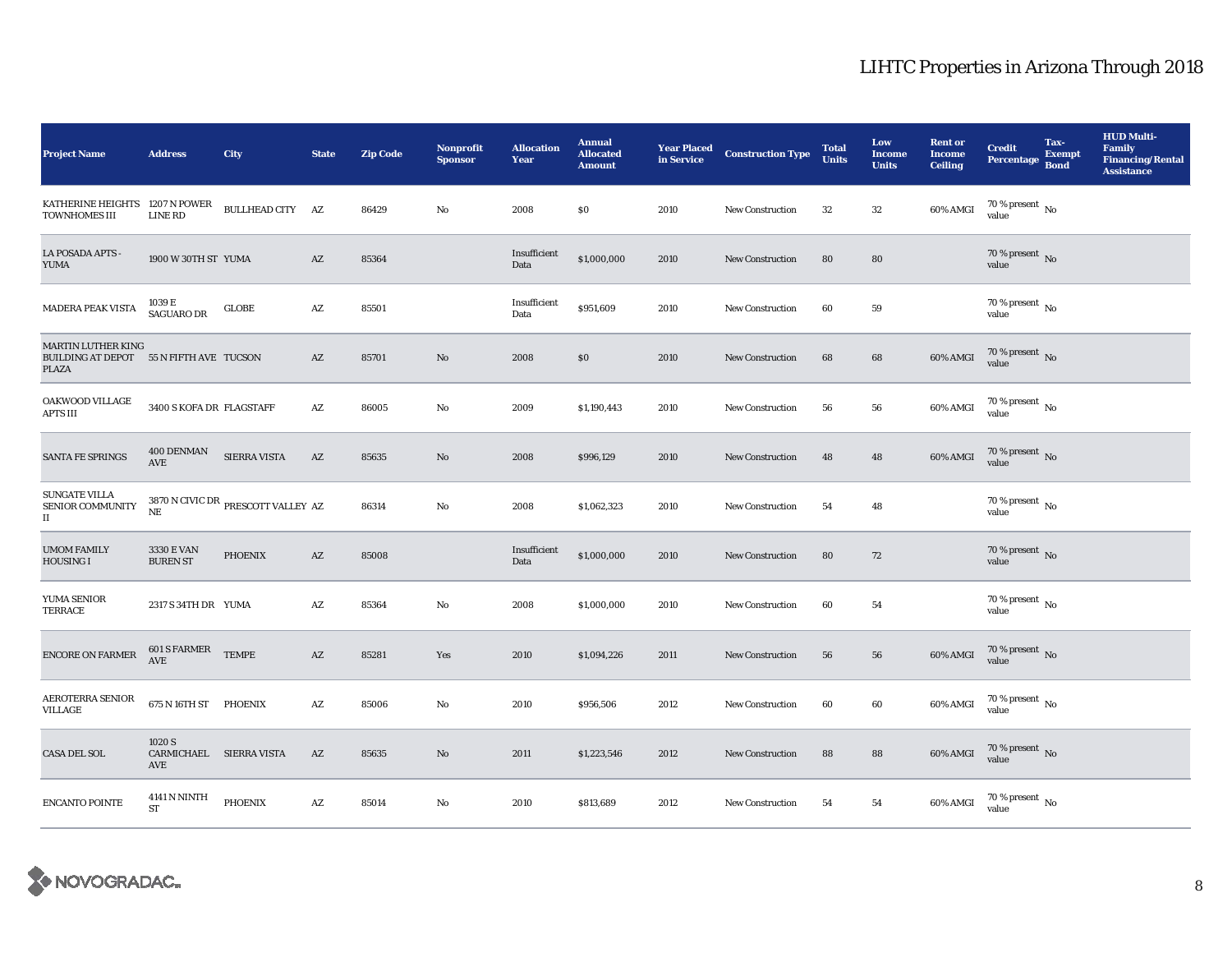| <b>Project Name</b>                                                           | <b>Address</b>                             | City                                                             | <b>State</b>           | <b>Zip Code</b> | <b>Nonprofit</b><br><b>Sponsor</b> | <b>Allocation</b><br>Year | <b>Annual</b><br><b>Allocated</b><br><b>Amount</b> | <b>Year Placed</b><br>in Service | <b>Construction Type</b> | <b>Total</b><br><b>Units</b> | Low<br><b>Income</b><br><b>Units</b> | <b>Rent or</b><br><b>Income</b><br><b>Ceiling</b> | <b>Credit</b><br>Percentage Bond       | Tax-<br><b>Exempt</b> | <b>HUD Multi-</b><br><b>Family</b><br><b>Financing/Rental</b><br><b>Assistance</b> |
|-------------------------------------------------------------------------------|--------------------------------------------|------------------------------------------------------------------|------------------------|-----------------|------------------------------------|---------------------------|----------------------------------------------------|----------------------------------|--------------------------|------------------------------|--------------------------------------|---------------------------------------------------|----------------------------------------|-----------------------|------------------------------------------------------------------------------------|
| KATHERINE HEIGHTS 1207 N POWER<br><b>TOWNHOMES III</b>                        | LINE RD                                    | BULLHEAD CITY AZ                                                 |                        | 86429           | No                                 | 2008                      | \$0                                                | 2010                             | <b>New Construction</b>  | $32\,$                       | $32\,$                               | 60% AMGI                                          | $70$ % present $\,$ No $\,$<br>value   |                       |                                                                                    |
| LA POSADA APTS -<br><b>YUMA</b>                                               | 1900 W 30TH ST YUMA                        |                                                                  | $\mathbf{A}\mathbf{Z}$ | 85364           |                                    | Insufficient<br>Data      | \$1,000,000                                        | 2010                             | <b>New Construction</b>  | 80                           | 80                                   |                                                   | 70 % present $\overline{N}$<br>value   |                       |                                                                                    |
| <b>MADERA PEAK VISTA</b>                                                      | 1039 E<br><b>SAGUARO DR</b>                | <b>GLOBE</b>                                                     | $\mathbf{A}\mathbf{Z}$ | 85501           |                                    | Insufficient<br>Data      | \$951,609                                          | 2010                             | New Construction         | 60                           | 59                                   |                                                   | 70 % present $\,$ No $\,$<br>value     |                       |                                                                                    |
| <b>MARTIN LUTHER KING</b><br>BUILDING AT DEPOT 55 N FIFTH AVE TUCSON<br>PLAZA |                                            |                                                                  | $\mathbf{A}\mathbf{Z}$ | 85701           | No                                 | 2008                      | $\$0$                                              | 2010                             | <b>New Construction</b>  | 68                           | 68                                   | $60\%$ AMGI                                       | $70$ % present $\,$ No value           |                       |                                                                                    |
| OAKWOOD VILLAGE<br>APTS III                                                   | 3400 S KOFA DR FLAGSTAFF                   |                                                                  | A Z                    | 86005           | No                                 | 2009                      | \$1,190,443                                        | 2010                             | <b>New Construction</b>  | 56                           | 56                                   | 60% AMGI                                          | $70\,\%$ present $\,$ No $\,$<br>value |                       |                                                                                    |
| SANTA FE SPRINGS                                                              | 400 DENMAN<br>AVE                          | SIERRA VISTA                                                     | AZ                     | 85635           | No                                 | 2008                      | \$996,129                                          | 2010                             | <b>New Construction</b>  | 48                           | 48                                   | 60% AMGI                                          | $70$ % present $\,$ No value           |                       |                                                                                    |
| <b>SUNGATE VILLA</b><br>SENIOR COMMUNITY<br>$\scriptstyle\rm II$              | $_{\rm NE}$                                | $3870\,\mathrm{N}$ CIVIC DR $_{\mathrm{PRESCOTT\,VALLEY\,\ AZ}}$ |                        | 86314           | No                                 | 2008                      | \$1,062,323                                        | 2010                             | <b>New Construction</b>  | 54                           | 48                                   |                                                   | $70$ % present $\,$ No $\,$<br>value   |                       |                                                                                    |
| <b>UMOM FAMILY</b><br><b>HOUSING I</b>                                        | 3330 E VAN<br><b>BUREN ST</b>              | <b>PHOENIX</b>                                                   | $\mathbf{A}\mathbf{Z}$ | 85008           |                                    | Insufficient<br>Data      | \$1,000,000                                        | 2010                             | <b>New Construction</b>  | 80                           | 72                                   |                                                   | 70 % present $\,$ No $\,$<br>value     |                       |                                                                                    |
| YUMA SENIOR<br>TERRACE                                                        | 2317 S 34TH DR YUMA                        |                                                                  | AZ                     | 85364           | No                                 | 2008                      | \$1,000,000                                        | 2010                             | <b>New Construction</b>  | 60                           | 54                                   |                                                   | $70$ % present $\,$ No $\,$<br>value   |                       |                                                                                    |
| ENCORE ON FARMER                                                              | $601$ S FARMER $\quad$ TEMPE<br><b>AVE</b> |                                                                  | AZ                     | 85281           | Yes                                | 2010                      | \$1,094,226                                        | 2011                             | <b>New Construction</b>  | 56                           | 56                                   | 60% AMGI                                          | $70\,\%$ present $\,$ No value         |                       |                                                                                    |
| <b>AEROTERRA SENIOR</b><br>VILLAGE                                            | 675 N 16TH ST PHOENIX                      |                                                                  | $\mathbf{A}\mathbf{Z}$ | 85006           | No                                 | 2010                      | \$956,506                                          | 2012                             | <b>New Construction</b>  | 60                           | 60                                   | 60% AMGI                                          | $70\,\%$ present $_{\rm{No}}$          |                       |                                                                                    |
| <b>CASA DEL SOL</b>                                                           | 1020 S<br>CARMICHAEL SIERRA VISTA<br>AVE   |                                                                  | AZ                     | 85635           | $\rm No$                           | 2011                      | \$1,223,546                                        | 2012                             | <b>New Construction</b>  | 88                           | 88                                   | 60% AMGI                                          | $70\,\%$ present $\,$ No value         |                       |                                                                                    |
| <b>ENCANTO POINTE</b>                                                         | 4141 N NINTH<br><b>ST</b>                  | PHOENIX                                                          | $\mathbf{A}\mathbf{Z}$ | 85014           | No                                 | 2010                      | \$813,689                                          | 2012                             | <b>New Construction</b>  | 54                           | 54                                   | 60% AMGI                                          | $70$ % present $\,$ No value           |                       |                                                                                    |

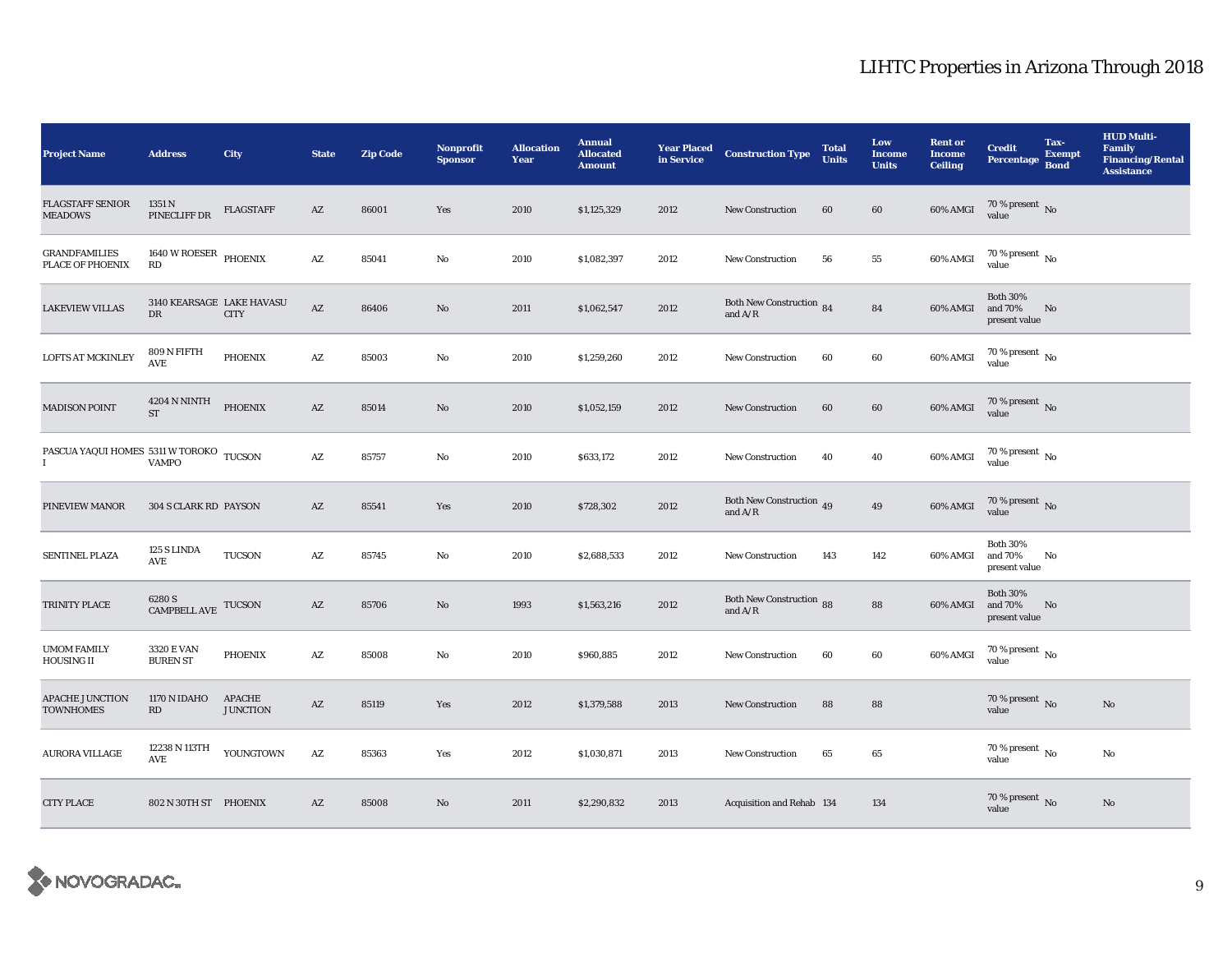| <b>Project Name</b>                                                                      | <b>Address</b>                                 | <b>City</b>               | <b>State</b>           | <b>Zip Code</b> | <b>Nonprofit</b><br><b>Sponsor</b> | <b>Allocation</b><br>Year | <b>Annual</b><br><b>Allocated</b><br><b>Amount</b> | <b>Year Placed<br/>in Service</b> | <b>Construction Type</b>                                                          | <b>Total</b><br><b>Units</b> | Low<br><b>Income</b><br><b>Units</b> | <b>Rent or</b><br><b>Income</b><br><b>Ceiling</b> | <b>Credit</b><br><b>Percentage</b>          | Tax-<br><b>Exempt</b><br><b>Bond</b> | <b>HUD Multi-</b><br><b>Family</b><br><b>Financing/Rental</b><br><b>Assistance</b> |
|------------------------------------------------------------------------------------------|------------------------------------------------|---------------------------|------------------------|-----------------|------------------------------------|---------------------------|----------------------------------------------------|-----------------------------------|-----------------------------------------------------------------------------------|------------------------------|--------------------------------------|---------------------------------------------------|---------------------------------------------|--------------------------------------|------------------------------------------------------------------------------------|
| <b>FLAGSTAFF SENIOR</b><br><b>MEADOWS</b>                                                | 1351 N<br>PINECLIFF DR                         | <b>FLAGSTAFF</b>          | $\mathbf{A}\mathbf{Z}$ | 86001           | Yes                                | 2010                      | \$1,125,329                                        | 2012                              | <b>New Construction</b>                                                           | 60                           | 60                                   | 60% AMGI                                          | $70\,\%$ present $\,$ No value              |                                      |                                                                                    |
| <b>GRANDFAMILIES</b><br>PLACE OF PHOENIX                                                 | 1640 W ROESER PHOENIX<br>RD                    |                           | $\mathbf{A}\mathbf{Z}$ | 85041           | $\mathbf{No}$                      | 2010                      | \$1,082,397                                        | 2012                              | New Construction                                                                  | 56                           | ${\bf 55}$                           | 60% AMGI                                          | $70\%$ present No<br>value                  |                                      |                                                                                    |
| <b>LAKEVIEW VILLAS</b>                                                                   | 3140 KEARSAGE LAKE HAVASU<br>DR                | <b>CITY</b>               | $\mathbf{A}\mathbf{Z}$ | 86406           | $\rm No$                           | 2011                      | \$1,062,547                                        | 2012                              | Both New Construction 84<br>and $A/R$                                             |                              | 84                                   | 60% AMGI                                          | <b>Both 30%</b><br>and 70%<br>present value | No                                   |                                                                                    |
| <b>LOFTS AT MCKINLEY</b>                                                                 | 809 N FIFTH<br>AVE                             | <b>PHOENIX</b>            | $\mathbf{A}\mathbf{Z}$ | 85003           | $\mathbf{No}$                      | 2010                      | \$1,259,260                                        | 2012                              | New Construction                                                                  | 60                           | $60\,$                               | $60\%$ AMGI                                       | $70$ % present $\,$ No value                |                                      |                                                                                    |
| <b>MADISON POINT</b>                                                                     | 4204 N NINTH<br><b>ST</b>                      | <b>PHOENIX</b>            | $\mathbf{A}\mathbf{Z}$ | 85014           | $\mathbf{N}\mathbf{o}$             | 2010                      | \$1,052,159                                        | 2012                              | <b>New Construction</b>                                                           | 60                           | 60                                   | 60% AMGI                                          | 70 % present No<br>value                    |                                      |                                                                                    |
| ${\bf PASCUA\;YAQUI\;HOMES\  \  \, 5311\;W\;TOROKO} \quad \  \, {\bf TUCSON} \\ {\bf I}$ |                                                |                           | $\mathbf{A}\mathbf{Z}$ | 85757           | $\mathbf{No}$                      | 2010                      | \$633,172                                          | 2012                              | <b>New Construction</b>                                                           | 40                           | 40                                   | 60% AMGI                                          | $70\,\%$ present $\,$ No value              |                                      |                                                                                    |
| PINEVIEW MANOR                                                                           | 304 S CLARK RD PAYSON                          |                           | $\mathbf{A}\mathbf{Z}$ | 85541           | Yes                                | 2010                      | \$728,302                                          | 2012                              | Both New Construction 49<br>and $\mathrm{A}/\mathrm{R}$                           |                              | 49                                   | 60% AMGI                                          | $70$ % present $\,$ No value                |                                      |                                                                                    |
| <b>SENTINEL PLAZA</b>                                                                    | 125 S LINDA<br>AVE                             | <b>TUCSON</b>             | $\mathbf{A}\mathbf{Z}$ | 85745           | $\mathbf{N}\mathbf{o}$             | 2010                      | \$2,688,533                                        | 2012                              | <b>New Construction</b>                                                           | 143                          | 142                                  | 60% AMGI                                          | <b>Both 30%</b><br>and 70%<br>present value | No                                   |                                                                                    |
| TRINITY PLACE                                                                            | $6280$ S $$\,{\rm CAMPBELL\,}$ TUCSON          |                           | $\mathbf{A}\mathbf{Z}$ | 85706           | No                                 | 1993                      | \$1,563,216                                        | 2012                              | Both New Construction 88<br>and $\ensuremath{\mathrm{A}}/\ensuremath{\mathrm{R}}$ |                              | 88                                   | 60% AMGI                                          | <b>Both 30%</b><br>and 70%<br>present value | No                                   |                                                                                    |
| <b>UMOM FAMILY</b><br><b>HOUSING II</b>                                                  | 3320 E VAN<br><b>BUREN ST</b>                  | PHOENIX                   | $\mathbf{A}\mathbf{Z}$ | 85008           | $\mathbf{No}$                      | 2010                      | \$960,885                                          | 2012                              | New Construction                                                                  | 60                           | 60                                   | 60% AMGI                                          | $70$ % present $\,$ No value                |                                      |                                                                                    |
| <b>APACHE JUNCTION</b><br><b>TOWNHOMES</b>                                               | 1170 N IDAHO<br>RD                             | APACHE<br><b>JUNCTION</b> | $\mathbf{A}\mathbf{Z}$ | 85119           | Yes                                | 2012                      | \$1,379,588                                        | 2013                              | <b>New Construction</b>                                                           | 88                           | 88                                   |                                                   | $70\,\%$ present $\,$ No value              |                                      | No                                                                                 |
| <b>AURORA VILLAGE</b>                                                                    | 12238 N 113TH<br>$\operatorname{\mathsf{AVE}}$ | YOUNGTOWN                 | $\mathbf{A}\mathbf{Z}$ | 85363           | Yes                                | 2012                      | \$1,030,871                                        | 2013                              | <b>New Construction</b>                                                           | 65                           | 65                                   |                                                   | 70 % present $\,$ No $\,$<br>value          |                                      | No                                                                                 |
| <b>CITY PLACE</b>                                                                        | 802 N 30TH ST PHOENIX                          |                           | $\mathbf{A}\mathbf{Z}$ | 85008           | No                                 | 2011                      | \$2,290,832                                        | 2013                              | Acquisition and Rehab 134                                                         |                              | 134                                  |                                                   | $70\,\%$ present $\,$ No value              |                                      | No                                                                                 |

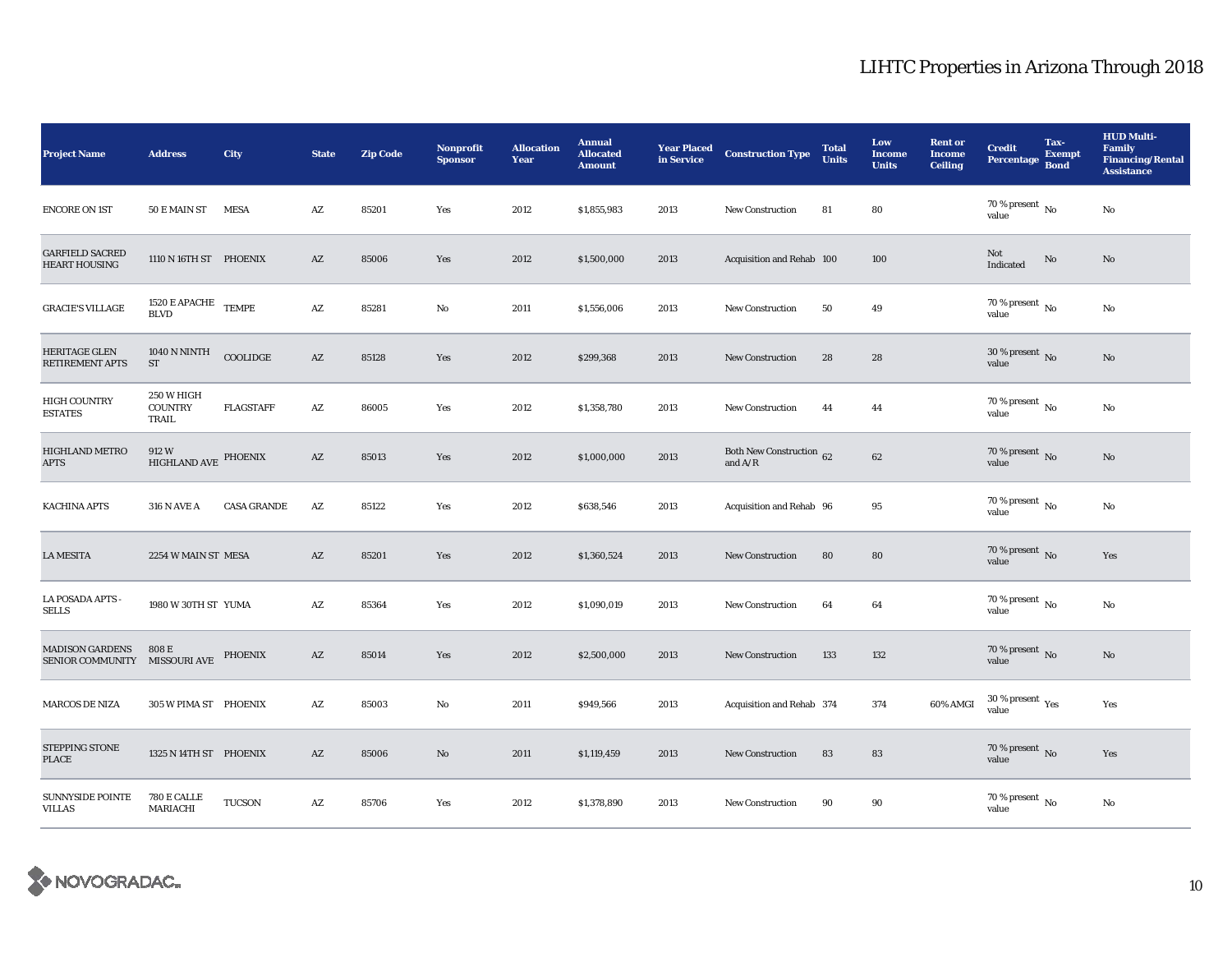| <b>Project Name</b>                                     | <b>Address</b>                                           | City               | <b>State</b>           | <b>Zip Code</b> | Nonprofit<br><b>Sponsor</b> | <b>Allocation</b><br>Year | <b>Annual</b><br><b>Allocated</b><br><b>Amount</b> | <b>Year Placed</b><br>in Service | <b>Construction Type</b>              | <b>Total</b><br><b>Units</b> | Low<br><b>Income</b><br><b>Units</b> | <b>Rent or</b><br><b>Income</b><br><b>Ceiling</b> | <b>Credit</b><br>Percentage                 | Tax-<br><b>Exempt</b><br><b>Bond</b> | <b>HUD Multi-</b><br>Family<br><b>Financing/Rental</b><br><b>Assistance</b> |
|---------------------------------------------------------|----------------------------------------------------------|--------------------|------------------------|-----------------|-----------------------------|---------------------------|----------------------------------------------------|----------------------------------|---------------------------------------|------------------------------|--------------------------------------|---------------------------------------------------|---------------------------------------------|--------------------------------------|-----------------------------------------------------------------------------|
| <b>ENCORE ON 1ST</b>                                    | 50 E MAIN ST MESA                                        |                    | $\mathbf{A}\mathbf{Z}$ | 85201           | Yes                         | 2012                      | \$1,855,983                                        | 2013                             | New Construction                      | 81                           | 80                                   |                                                   | 70 % present $\hbox{~No}$<br>value          |                                      | No                                                                          |
| <b>GARFIELD SACRED</b><br><b>HEART HOUSING</b>          | 1110 N 16TH ST PHOENIX                                   |                    | $\mathbf{A}\mathbf{Z}$ | 85006           | Yes                         | 2012                      | \$1,500,000                                        | 2013                             | Acquisition and Rehab 100             |                              | 100                                  |                                                   | Not<br>Indicated                            | No                                   | $\mathbf{N}\mathbf{o}$                                                      |
| <b>GRACIE'S VILLAGE</b>                                 | $1520\,\mathrm{E}\,\mathrm{APACHE}$ TEMPE<br><b>BLVD</b> |                    | $\mathbf{A}\mathbf{Z}$ | 85281           | No                          | 2011                      | \$1,556,006                                        | 2013                             | New Construction                      | 50                           | 49                                   |                                                   | 70 % present $\hbox{~No}$<br>value          |                                      | No                                                                          |
| <b>HERITAGE GLEN</b><br><b>RETIREMENT APTS</b>          | 1040 N NINTH<br>${\rm ST}$                               | $\sf COOLIDGE$     | $\mathbf{A}\mathbf{Z}$ | 85128           | Yes                         | 2012                      | \$299,368                                          | 2013                             | New Construction                      | 28                           | 28                                   |                                                   | 30 % present $\,$ No $\,$<br>value          |                                      | $\mathbf{N}\mathbf{o}$                                                      |
| <b>HIGH COUNTRY</b><br><b>ESTATES</b>                   | 250 W HIGH<br><b>COUNTRY</b><br>TRAIL                    | <b>FLAGSTAFF</b>   | $\mathbf{A}\mathbf{Z}$ | 86005           | Yes                         | 2012                      | \$1,358,780                                        | 2013                             | <b>New Construction</b>               | 44                           | 44                                   |                                                   | 70 % present $\,$ No $\,$<br>value          |                                      | $\mathbf{No}$                                                               |
| HIGHLAND METRO<br><b>APTS</b>                           | 912W<br>HIGHLAND AVE PHOENIX                             |                    | AZ                     | 85013           | Yes                         | 2012                      | \$1,000,000                                        | 2013                             | Both New Construction 62<br>and $A/R$ |                              | $62\,$                               |                                                   | 70 % present $\overline{N_0}$<br>value      |                                      | No                                                                          |
| <b>KACHINA APTS</b>                                     | <b>316 N AVE A</b>                                       | <b>CASA GRANDE</b> | $\mathbf{A}\mathbf{Z}$ | 85122           | Yes                         | 2012                      | \$638,546                                          | 2013                             | Acquisition and Rehab 96              |                              | 95                                   |                                                   | 70 % present $\hbox{~No}$<br>value          |                                      | No                                                                          |
| <b>LA MESITA</b>                                        | 2254 W MAIN ST MESA                                      |                    | AZ                     | 85201           | Yes                         | 2012                      | \$1,360,524                                        | 2013                             | <b>New Construction</b>               | 80                           | 80                                   |                                                   | 70 % present $\,$ No $\,$<br>value          |                                      | Yes                                                                         |
| LA POSADA APTS -<br><b>SELLS</b>                        | 1980 W 30TH ST YUMA                                      |                    | $\mathbf{A}\mathbf{Z}$ | 85364           | Yes                         | 2012                      | \$1,090,019                                        | 2013                             | New Construction                      | 64                           | 64                                   |                                                   | $70\,\%$ present $\overline{N_0}$<br>value  |                                      | No                                                                          |
| <b>MADISON GARDENS</b><br>SENIOR COMMUNITY MISSOURI AVE | 808 E                                                    | <b>PHOENIX</b>     | $\mathbf{A}\mathbf{Z}$ | 85014           | Yes                         | 2012                      | \$2,500,000                                        | 2013                             | <b>New Construction</b>               | 133                          | 132                                  |                                                   | 70 % present $\,$ No $\,$<br>value          |                                      | No                                                                          |
| <b>MARCOS DE NIZA</b>                                   | 305 W PIMA ST PHOENIX                                    |                    | $\mathbf{A}\mathbf{Z}$ | 85003           | No                          | 2011                      | \$949,566                                          | 2013                             | Acquisition and Rehab 374             |                              | 374                                  | 60% AMGI                                          | 30 % present $\rm\thinspace_{Yes}$<br>value |                                      | Yes                                                                         |
| STEPPING STONE<br><b>PLACE</b>                          | 1325 N 14TH ST PHOENIX                                   |                    | $\mathbf{A}\mathbf{Z}$ | 85006           | No                          | 2011                      | \$1,119,459                                        | 2013                             | <b>New Construction</b>               | 83                           | 83                                   |                                                   | 70 % present $\,$ No $\,$<br>value          |                                      | Yes                                                                         |
| SUNNYSIDE POINTE<br><b>VILLAS</b>                       | 780 E CALLE<br>MARIACHI                                  | <b>TUCSON</b>      | $\mathbf{A}\mathbf{Z}$ | 85706           | Yes                         | 2012                      | \$1,378,890                                        | 2013                             | <b>New Construction</b>               | 90                           | 90                                   |                                                   | 70 % present $\overline{N_0}$<br>value      |                                      | No                                                                          |

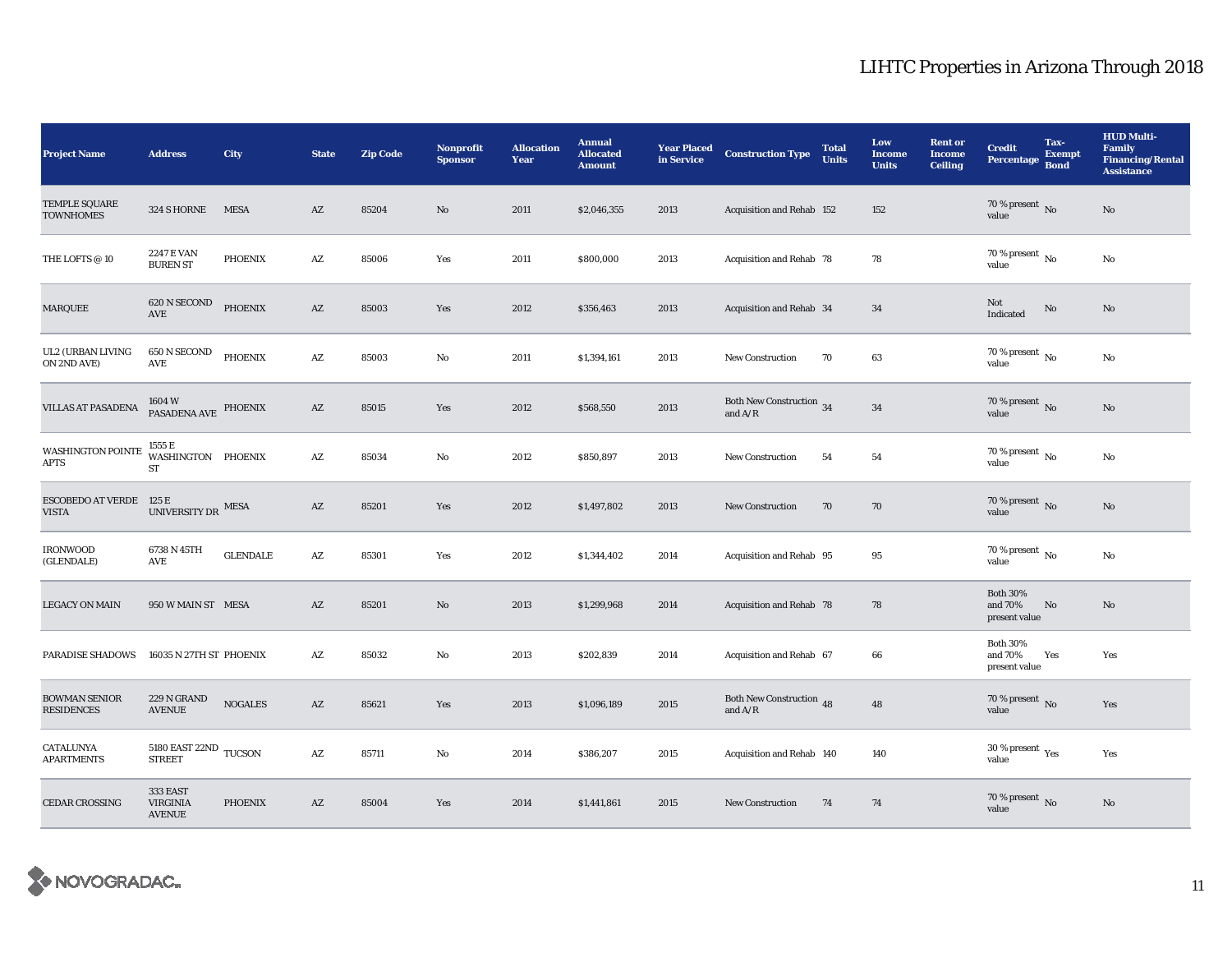| <b>Project Name</b>                       | <b>Address</b>                                      | <b>City</b>     | <b>State</b>           | <b>Zip Code</b> | <b>Nonprofit</b><br><b>Sponsor</b> | <b>Allocation</b><br>Year | <b>Annual</b><br><b>Allocated</b><br><b>Amount</b> | <b>Year Placed</b><br>in Service | <b>Construction Type</b>              | <b>Total</b><br><b>Units</b> | Low<br><b>Income</b><br><b>Units</b> | <b>Rent or</b><br><b>Income</b><br><b>Ceiling</b> | <b>Credit</b><br><b>Percentage</b>          | Tax-<br><b>Exempt</b><br><b>Bond</b> | <b>HUD Multi-</b><br>Family<br><b>Financing/Rental</b><br><b>Assistance</b> |
|-------------------------------------------|-----------------------------------------------------|-----------------|------------------------|-----------------|------------------------------------|---------------------------|----------------------------------------------------|----------------------------------|---------------------------------------|------------------------------|--------------------------------------|---------------------------------------------------|---------------------------------------------|--------------------------------------|-----------------------------------------------------------------------------|
| TEMPLE SQUARE<br><b>TOWNHOMES</b>         | 324 S HORNE                                         | <b>MESA</b>     | $\mathbf{A}\mathbf{Z}$ | 85204           | No                                 | 2011                      | \$2,046,355                                        | 2013                             | Acquisition and Rehab 152             |                              | 152                                  |                                                   | 70 % present $\,$ No $\,$<br>value          |                                      | $\mathbf{N}\mathbf{o}$                                                      |
| THE LOFTS @ 10                            | <b>2247 E VAN</b><br><b>BUREN ST</b>                | <b>PHOENIX</b>  | $\mathbf{A}\mathbf{Z}$ | 85006           | Yes                                | 2011                      | \$800,000                                          | 2013                             | Acquisition and Rehab 78              |                              | 78                                   |                                                   | 70 % present $\,$ No $\,$<br>value          |                                      | $\mathbf{N}\mathbf{o}$                                                      |
| <b>MARQUEE</b>                            | 620 N SECOND<br>AVE                                 | <b>PHOENIX</b>  | $\mathbf{A}\mathbf{Z}$ | 85003           | Yes                                | 2012                      | \$356,463                                          | 2013                             | Acquisition and Rehab 34              |                              | 34                                   |                                                   | Not<br>Indicated                            | No                                   | $\mathbf{N}\mathbf{o}$                                                      |
| UL2 (URBAN LIVING<br>ON 2ND AVE)          | 650 N SECOND<br>AVE                                 | <b>PHOENIX</b>  | $\mathbf{A}\mathbf{Z}$ | 85003           | No                                 | 2011                      | \$1,394,161                                        | 2013                             | <b>New Construction</b>               | 70                           | 63                                   |                                                   | 70 % present $\hbox{~No}$<br>value          |                                      | No                                                                          |
| VILLAS AT PASADENA                        | 1604 W<br>PASADENA AVE                              | PHOENIX         | $\mathbf{A}\mathbf{Z}$ | 85015           | Yes                                | 2012                      | \$568,550                                          | 2013                             | Both New Construction 34<br>and $A/R$ |                              | 34                                   |                                                   | 70 % present $\overline{N_0}$<br>value      |                                      | $\rm No$                                                                    |
| WASHINGTON POINTE<br><b>APTS</b>          | 1555 E<br>WASHINGTON PHOENIX<br>ST                  |                 | $\mathbf{A}\mathbf{Z}$ | 85034           | No                                 | 2012                      | \$850,897                                          | 2013                             | <b>New Construction</b>               | 54                           | 54                                   |                                                   | 70 % present $\,$ No $\,$<br>value          |                                      | No                                                                          |
| ESCOBEDO AT VERDE 125 E<br><b>VISTA</b>   | UNIVERSITY DR $^{\rm{MESA}}$                        |                 | $\mathbf{A}\mathbf{Z}$ | 85201           | Yes                                | 2012                      | \$1,497,802                                        | 2013                             | <b>New Construction</b>               | 70                           | 70                                   |                                                   | 70 % present $\overline{N_0}$<br>value      |                                      | $\mathbf{N}\mathbf{o}$                                                      |
| <b>IRONWOOD</b><br>(GLENDALE)             | 6738 N 45TH<br>AVE                                  | <b>GLENDALE</b> | $\mathbf{A}\mathbf{Z}$ | 85301           | Yes                                | 2012                      | \$1,344,402                                        | 2014                             | Acquisition and Rehab 95              |                              | 95                                   |                                                   | 70 % present $\,$ No $\,$<br>value          |                                      | No                                                                          |
| <b>LEGACY ON MAIN</b>                     | 950 W MAIN ST MESA                                  |                 | $\mathbf{A}\mathbf{Z}$ | 85201           | $\mathbf{N}\mathbf{o}$             | 2013                      | \$1,299,968                                        | 2014                             | Acquisition and Rehab 78              |                              | 78                                   |                                                   | <b>Both 30%</b><br>and 70%<br>present value | No                                   | No                                                                          |
| <b>PARADISE SHADOWS</b>                   | 16035 N 27TH ST PHOENIX                             |                 | $\mathbf{A}\mathbf{Z}$ | 85032           | No                                 | 2013                      | \$202,839                                          | 2014                             | Acquisition and Rehab 67              |                              | 66                                   |                                                   | <b>Both 30%</b><br>and 70%<br>present value | Yes                                  | Yes                                                                         |
| <b>BOWMAN SENIOR</b><br><b>RESIDENCES</b> | 229 N GRAND<br><b>AVENUE</b>                        | <b>NOGALES</b>  | $\mathbf{A}\mathbf{Z}$ | 85621           | Yes                                | 2013                      | \$1,096,189                                        | 2015                             | Both New Construction 48<br>and $A/R$ |                              | 48                                   |                                                   | 70 % present $\,$ No $\,$<br>value          |                                      | Yes                                                                         |
| CATALUNYA<br><b>APARTMENTS</b>            | $5180$ EAST $22\mathrm{ND}$ TUCSON<br><b>STREET</b> |                 | $\mathbf{A}\mathbf{Z}$ | 85711           | No                                 | 2014                      | \$386,207                                          | 2015                             | Acquisition and Rehab 140             |                              | 140                                  |                                                   | 30 % present $\rm\,Yes$<br>value            |                                      | Yes                                                                         |
| <b>CEDAR CROSSING</b>                     | 333 EAST<br><b>VIRGINIA</b><br><b>AVENUE</b>        | <b>PHOENIX</b>  | $\mathbf{A}\mathbf{Z}$ | 85004           | Yes                                | 2014                      | \$1,441,861                                        | 2015                             | <b>New Construction</b>               | 74                           | 74                                   |                                                   | 70 % present $\overline{N}$ o<br>value      |                                      | $\mathbf{No}$                                                               |

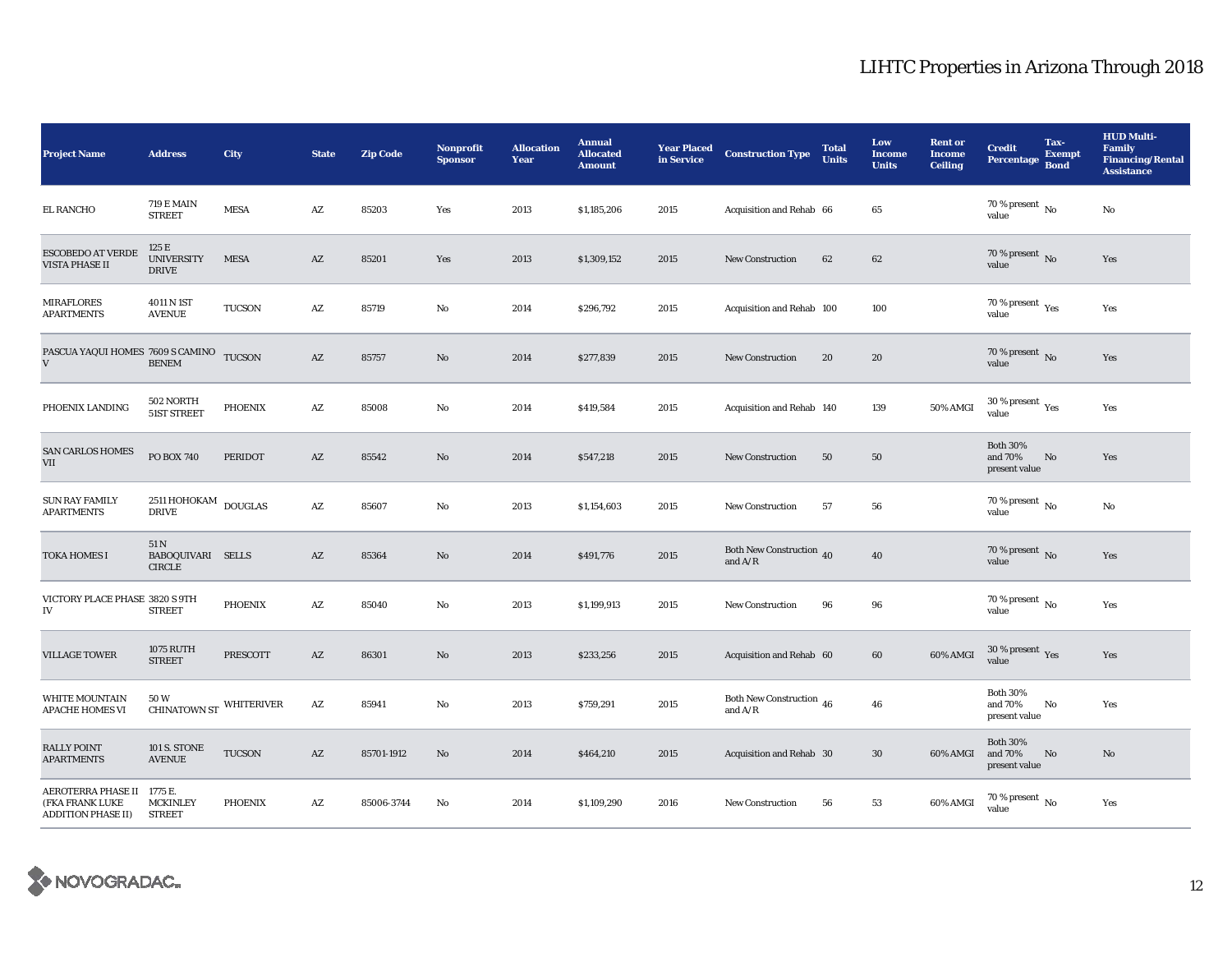| <b>Project Name</b>                                                       | <b>Address</b>                              | City                            | <b>State</b>           | <b>Zip Code</b> | Nonprofit<br><b>Sponsor</b> | <b>Allocation</b><br>Year | <b>Annual</b><br><b>Allocated</b><br><b>Amount</b> | <b>Year Placed</b><br>in Service | <b>Construction Type</b>              | <b>Total</b><br><b>Units</b> | Low<br><b>Income</b><br><b>Units</b> | <b>Rent or</b><br><b>Income</b><br><b>Ceiling</b> | <b>Credit</b><br><b>Percentage</b>          | Tax-<br><b>Exempt</b><br><b>Bond</b> | <b>HUD Multi-</b><br>Family<br><b>Financing/Rental</b><br><b>Assistance</b> |
|---------------------------------------------------------------------------|---------------------------------------------|---------------------------------|------------------------|-----------------|-----------------------------|---------------------------|----------------------------------------------------|----------------------------------|---------------------------------------|------------------------------|--------------------------------------|---------------------------------------------------|---------------------------------------------|--------------------------------------|-----------------------------------------------------------------------------|
| <b>EL RANCHO</b>                                                          | <b>719 E MAIN</b><br><b>STREET</b>          | <b>MESA</b>                     | AZ                     | 85203           | Yes                         | 2013                      | \$1,185,206                                        | 2015                             | Acquisition and Rehab 66              |                              | 65                                   |                                                   | 70 % present $\,$ No $\,$<br>value          |                                      | No                                                                          |
| <b>ESCOBEDO AT VERDE</b><br>VISTA PHASE II                                | 125 E<br><b>UNIVERSITY</b><br><b>DRIVE</b>  | <b>MESA</b>                     | AZ                     | 85201           | Yes                         | 2013                      | \$1,309,152                                        | 2015                             | <b>New Construction</b>               | 62                           | 62                                   |                                                   | 70 % present $\overline{N_0}$<br>value      |                                      | Yes                                                                         |
| <b>MIRAFLORES</b><br><b>APARTMENTS</b>                                    | 4011 N 1ST<br><b>AVENUE</b>                 | <b>TUCSON</b>                   | $\mathbf{A}\mathbf{Z}$ | 85719           | $\mathbf{No}$               | 2014                      | \$296,792                                          | 2015                             | Acquisition and Rehab 100             |                              | 100                                  |                                                   | 70 % present $\gamma_{\rm{es}}$<br>value    |                                      | Yes                                                                         |
| PASCUA YAQUI HOMES 7609 S CAMINO<br>$\mathbf V$                           | <b>BENEM</b>                                | <b>TUCSON</b>                   | $\mathbf{A}\mathbf{Z}$ | 85757           | No                          | 2014                      | \$277,839                                          | 2015                             | <b>New Construction</b>               | 20                           | 20                                   |                                                   | 70 % present $\,$ No $\,$<br>value          |                                      | Yes                                                                         |
| PHOENIX LANDING                                                           | 502 NORTH<br>51ST STREET                    | <b>PHOENIX</b>                  | AZ                     | 85008           | $\mathbf{No}$               | 2014                      | \$419,584                                          | 2015                             | Acquisition and Rehab 140             |                              | 139                                  | 50% AMGI                                          | $30$ % present $\,$ $\rm Yes$<br>value      |                                      | Yes                                                                         |
| <b>SAN CARLOS HOMES</b><br>$\rm{VII}$                                     | PO BOX 740                                  | <b>PERIDOT</b>                  | $\mathbf{A}\mathbf{Z}$ | 85542           | No                          | 2014                      | \$547,218                                          | 2015                             | <b>New Construction</b>               | 50                           | 50                                   |                                                   | <b>Both 30%</b><br>and 70%<br>present value | No                                   | Yes                                                                         |
| <b>SUN RAY FAMILY</b><br><b>APARTMENTS</b>                                | 2511 HOHOKAM<br><b>DRIVE</b>                | $\mathop{\rm DOUGLAS}\nolimits$ | $\mathbf{A}\mathbf{Z}$ | 85607           | $\rm No$                    | 2013                      | \$1,154,603                                        | 2015                             | New Construction                      | 57                           | ${\bf 56}$                           |                                                   | $70$ % present $\,$ No $\,$<br>value        |                                      | $\rm No$                                                                    |
| TOKA HOMES I                                                              | 51 N<br>BABOQUIVARI SELLS<br><b>CIRCLE</b>  |                                 | AZ                     | 85364           | No                          | 2014                      | \$491,776                                          | 2015                             | Both New Construction 40<br>and $A/R$ |                              | 40                                   |                                                   | 70 % present $\overline{N}$<br>value        |                                      | Yes                                                                         |
| VICTORY PLACE PHASE 3820 S 9TH<br>${\rm IV}$                              | <b>STREET</b>                               | <b>PHOENIX</b>                  | $\mathbf{A}\mathbf{Z}$ | 85040           | No                          | 2013                      | \$1,199,913                                        | 2015                             | <b>New Construction</b>               | 96                           | 96                                   |                                                   | 70 % present $\hbox{~No}$<br>value          |                                      | Yes                                                                         |
| <b>VILLAGE TOWER</b>                                                      | 1075 RUTH<br><b>STREET</b>                  | PRESCOTT                        | $\mathbf{A}\mathbf{Z}$ | 86301           | No                          | 2013                      | \$233,256                                          | 2015                             | Acquisition and Rehab 60              |                              | 60                                   | 60% AMGI                                          | 30 % present $\,$ $\rm Yes$<br>value        |                                      | Yes                                                                         |
| <b>WHITE MOUNTAIN</b><br><b>APACHE HOMES VI</b>                           | 50W<br><b>CHINATOWN ST</b>                  | WHITERIVER                      | $\mathbf{A}\mathbf{Z}$ | 85941           | No                          | 2013                      | \$759,291                                          | 2015                             | Both New Construction 46<br>and $A/R$ |                              | 46                                   |                                                   | <b>Both 30%</b><br>and 70%<br>present value | No                                   | Yes                                                                         |
| <b>RALLY POINT</b><br><b>APARTMENTS</b>                                   | <b>101 S. STONE</b><br><b>AVENUE</b>        | <b>TUCSON</b>                   | $\mathbf{A}\mathbf{Z}$ | 85701-1912      | No                          | 2014                      | \$464,210                                          | 2015                             | Acquisition and Rehab 30              |                              | 30                                   | 60% AMGI                                          | <b>Both 30%</b><br>and 70%<br>present value | No                                   | No                                                                          |
| <b>AEROTERRA PHASE II</b><br>(FKA FRANK LUKE<br><b>ADDITION PHASE II)</b> | 1775 E.<br><b>MCKINLEY</b><br><b>STREET</b> | <b>PHOENIX</b>                  | AZ                     | 85006-3744      | No                          | 2014                      | \$1,109,290                                        | 2016                             | <b>New Construction</b>               | 56                           | 53                                   | 60% AMGI                                          | $70$ % present $\,$ No $\,$<br>value        |                                      | Yes                                                                         |

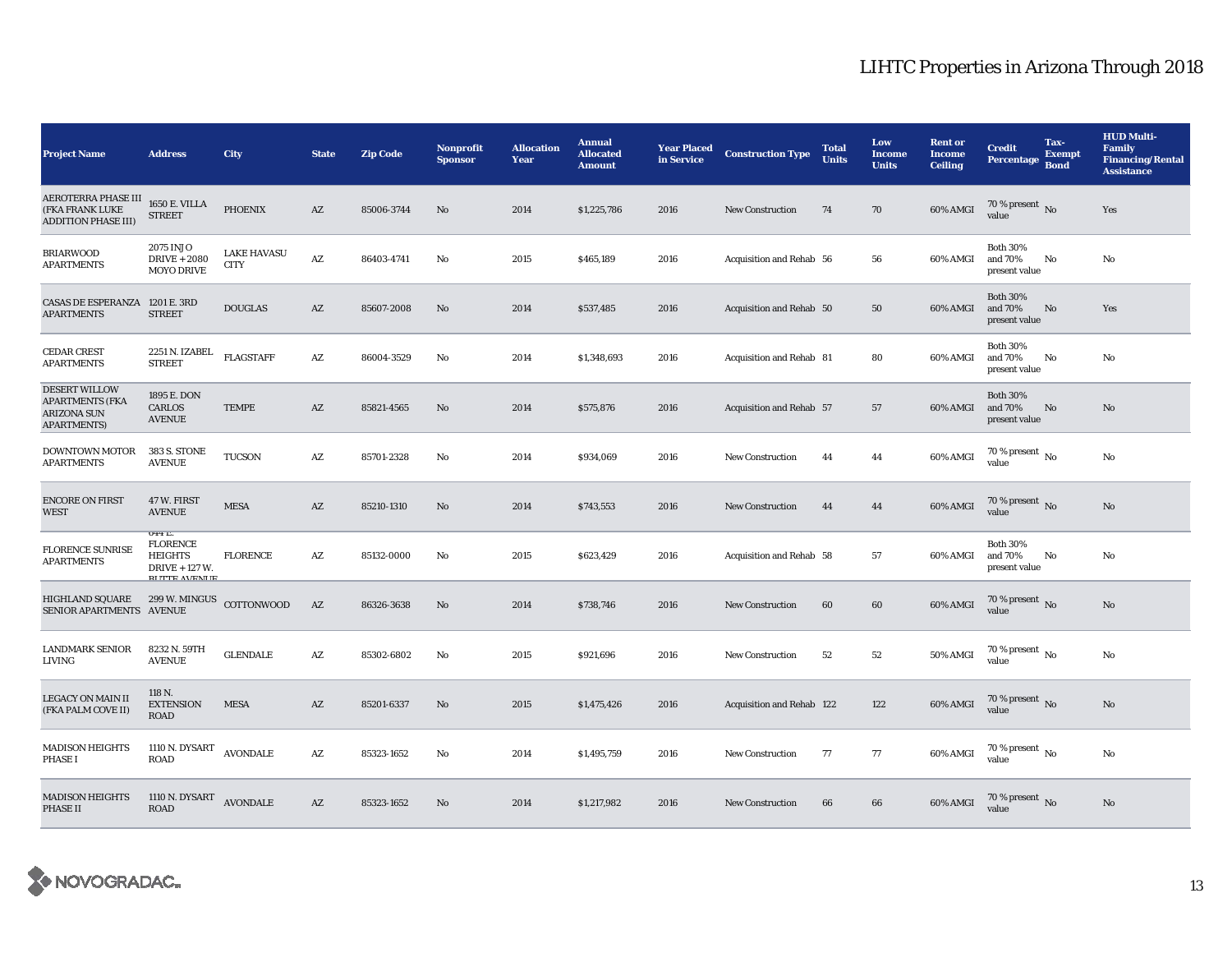| <b>Project Name</b>                                                                        | <b>Address</b>                                                                       | City                              | <b>State</b>           | <b>Zip Code</b> | <b>Nonprofit</b><br><b>Sponsor</b> | <b>Allocation</b><br>Year | <b>Annual</b><br><b>Allocated</b><br><b>Amount</b> | <b>Year Placed</b><br>in Service | <b>Construction Type</b>  | <b>Total</b><br><b>Units</b> | Low<br>Income<br><b>Units</b> | <b>Rent or</b><br><b>Income</b><br><b>Ceiling</b> | <b>Credit</b><br><b>Percentage</b>          | Tax-<br><b>Exempt</b><br><b>Bond</b> | <b>HUD Multi-</b><br><b>Family</b><br><b>Financing/Rental</b><br><b>Assistance</b> |
|--------------------------------------------------------------------------------------------|--------------------------------------------------------------------------------------|-----------------------------------|------------------------|-----------------|------------------------------------|---------------------------|----------------------------------------------------|----------------------------------|---------------------------|------------------------------|-------------------------------|---------------------------------------------------|---------------------------------------------|--------------------------------------|------------------------------------------------------------------------------------|
| <b>AEROTERRA PHASE III</b><br>(FKA FRANK LUKE<br><b>ADDITION PHASE III)</b>                | <b>1650 E. VILLA</b><br><b>STREET</b>                                                | <b>PHOENIX</b>                    | AZ                     | 85006-3744      | No                                 | 2014                      | \$1,225,786                                        | 2016                             | <b>New Construction</b>   | 74                           | 70                            | 60% AMGI                                          | 70 % present $\overline{N_0}$<br>value      |                                      | Yes                                                                                |
| <b>BRIARWOOD</b><br><b>APARTMENTS</b>                                                      | 2075 INJO<br><b>DRIVE + 2080</b><br><b>MOYO DRIVE</b>                                | <b>LAKE HAVASU</b><br><b>CITY</b> | $\mathbf{A}\mathbf{Z}$ | 86403-4741      | No                                 | 2015                      | \$465,189                                          | 2016                             | Acquisition and Rehab 56  |                              | 56                            | 60% AMGI                                          | <b>Both 30%</b><br>and 70%<br>present value | No                                   | No                                                                                 |
| <b>CASAS DE ESPERANZA</b><br><b>APARTMENTS</b>                                             | 1201 E. 3RD<br><b>STREET</b>                                                         | <b>DOUGLAS</b>                    | AZ                     | 85607-2008      | No                                 | 2014                      | \$537,485                                          | 2016                             | Acquisition and Rehab 50  |                              | 50                            | 60% AMGI                                          | <b>Both 30%</b><br>and 70%<br>present value | No                                   | Yes                                                                                |
| <b>CEDAR CREST</b><br><b>APARTMENTS</b>                                                    | 2251 N. IZABEL<br><b>STREET</b>                                                      | <b>FLAGSTAFF</b>                  | AZ                     | 86004-3529      | No                                 | 2014                      | \$1,348,693                                        | 2016                             | Acquisition and Rehab 81  |                              | 80                            | 60% AMGI                                          | <b>Both 30%</b><br>and 70%<br>present value | No                                   | No                                                                                 |
| <b>DESERT WILLOW</b><br><b>APARTMENTS (FKA</b><br><b>ARIZONA SUN</b><br><b>APARTMENTS)</b> | 1895 E. DON<br><b>CARLOS</b><br><b>AVENUE</b>                                        | <b>TEMPE</b>                      | $\mathbf{A}\mathbf{Z}$ | 85821-4565      | No                                 | 2014                      | \$575,876                                          | 2016                             | Acquisition and Rehab 57  |                              | 57                            | 60% AMGI                                          | <b>Both 30%</b><br>and 70%<br>present value | No                                   | No                                                                                 |
| <b>DOWNTOWN MOTOR</b><br><b>APARTMENTS</b>                                                 | 383 S. STONE<br><b>AVENUE</b>                                                        | <b>TUCSON</b>                     | A Z                    | 85701-2328      | No                                 | 2014                      | \$934,069                                          | 2016                             | <b>New Construction</b>   | 44                           | 44                            | 60% AMGI                                          | 70 % present $\overline{N_0}$<br>value      |                                      | No                                                                                 |
| <b>ENCORE ON FIRST</b><br><b>WEST</b>                                                      | 47 W. FIRST<br><b>AVENUE</b>                                                         | <b>MESA</b>                       | AZ                     | 85210-1310      | No                                 | 2014                      | \$743,553                                          | 2016                             | <b>New Construction</b>   | 44                           | 44                            | 60% AMGI                                          | 70 % present $\,$ No $\,$<br>value          |                                      | No                                                                                 |
| <b>FLORENCE SUNRISE</b><br><b>APARTMENTS</b>                                               | 044 E.<br><b>FLORENCE</b><br><b>HEIGHTS</b><br>DRIVE + 127 W.<br><b>RUTTE AVENUE</b> | <b>FLORENCE</b>                   | AZ                     | 85132-0000      | No                                 | 2015                      | \$623,429                                          | 2016                             | Acquisition and Rehab 58  |                              | 57                            | 60% AMGI                                          | <b>Both 30%</b><br>and 70%<br>present value | No                                   | No                                                                                 |
| <b>HIGHLAND SQUARE</b><br>SENIOR APARTMENTS AVENUE                                         | 299 W. MINGUS COTTONWOOD                                                             |                                   | AZ                     | 86326-3638      | No                                 | 2014                      | \$738,746                                          | 2016                             | <b>New Construction</b>   | 60                           | 60                            | 60% AMGI                                          | 70 % present $\,$ No $\,$<br>value          |                                      | No                                                                                 |
| <b>LANDMARK SENIOR</b><br>LIVING                                                           | 8232 N. 59TH<br><b>AVENUE</b>                                                        | <b>GLENDALE</b>                   | $\mathbf{A}\mathbf{Z}$ | 85302-6802      | $\rm No$                           | 2015                      | \$921,696                                          | 2016                             | <b>New Construction</b>   | 52                           | 52                            | <b>50% AMGI</b>                                   | 70 % present $\overline{N_0}$<br>value      |                                      | $_{\rm No}$                                                                        |
| LEGACY ON MAIN II<br>(FKA PALM COVE II)                                                    | 118 N.<br><b>EXTENSION</b><br><b>ROAD</b>                                            | <b>MESA</b>                       | AZ                     | 85201-6337      | No                                 | 2015                      | \$1,475,426                                        | 2016                             | Acquisition and Rehab 122 |                              | 122                           | 60% AMGI                                          | 70 % present $\hbox{~No}$<br>value          |                                      | No                                                                                 |
| <b>MADISON HEIGHTS</b><br><b>PHASE I</b>                                                   | 1110 N. DYSART<br>ROAD                                                               | <b>AVONDALE</b>                   | A Z                    | 85323-1652      | No                                 | 2014                      | \$1,495,759                                        | 2016                             | <b>New Construction</b>   | 77                           | 77                            | 60% AMGI                                          | 70 % present $\,$ No $\,$<br>value          |                                      | No                                                                                 |
| <b>MADISON HEIGHTS</b><br><b>PHASE II</b>                                                  | 1110 N. DYSART<br><b>ROAD</b>                                                        | <b>AVONDALE</b>                   | AZ                     | 85323-1652      | N <sub>o</sub>                     | 2014                      | \$1,217,982                                        | 2016                             | <b>New Construction</b>   | 66                           | 66                            | 60% AMGI                                          | 70 % present $\,$ No $\,$<br>value          |                                      | No                                                                                 |

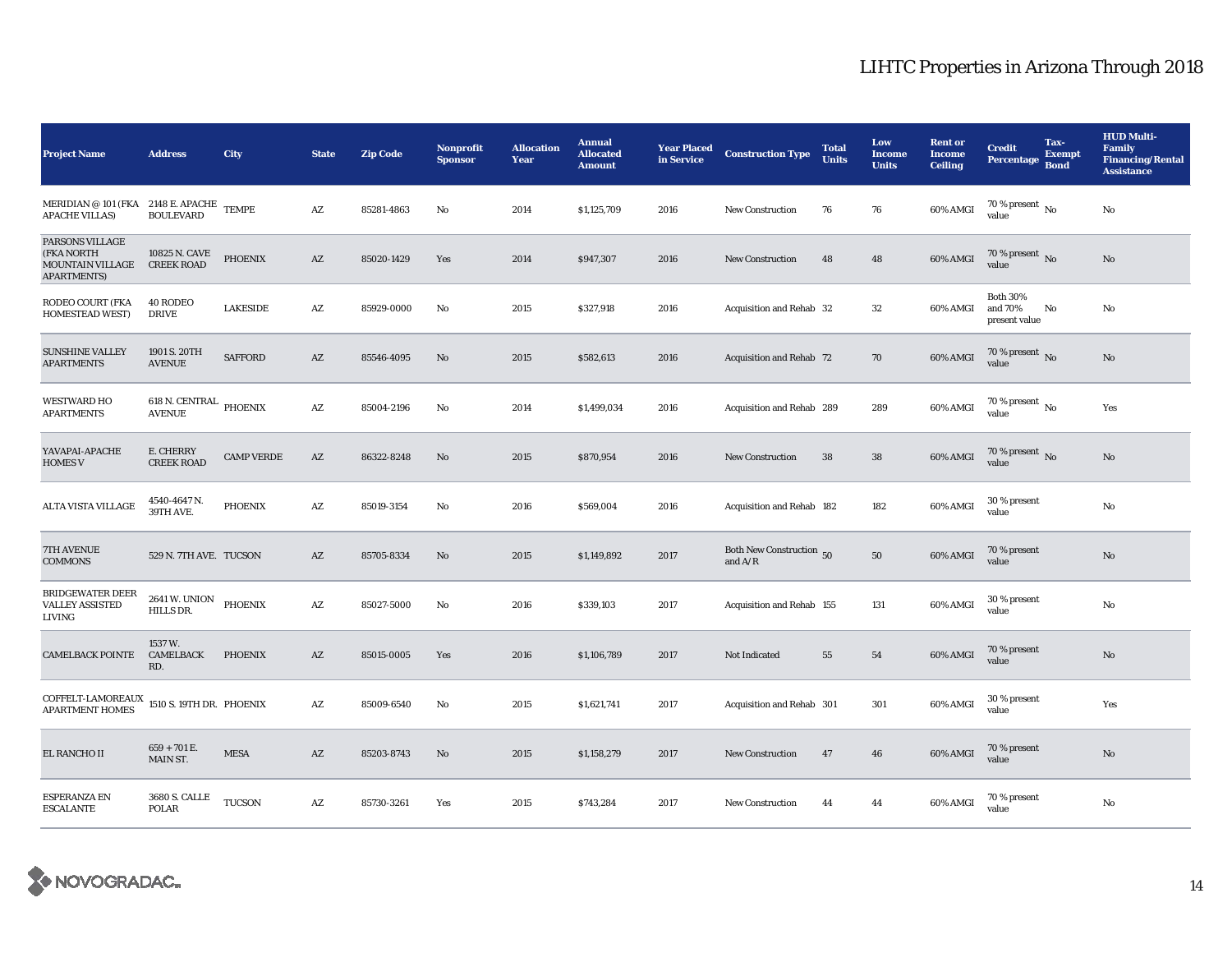| <b>Project Name</b>                                                                   | <b>Address</b>                          | City              | <b>State</b>           | <b>Zip Code</b> | <b>Nonprofit</b><br><b>Sponsor</b> | <b>Allocation</b><br>Year | <b>Annual</b><br><b>Allocated</b><br><b>Amount</b> | <b>Year Placed</b><br>in Service | <b>Construction Type</b>              | <b>Total</b><br><b>Units</b> | Low<br><b>Income</b><br><b>Units</b> | <b>Rent or</b><br><b>Income</b><br><b>Ceiling</b> | <b>Credit</b><br><b>Percentage</b>          | Tax-<br><b>Exempt</b><br><b>Bond</b> | <b>HUD Multi-</b><br><b>Family</b><br><b>Financing/Rental</b><br><b>Assistance</b> |
|---------------------------------------------------------------------------------------|-----------------------------------------|-------------------|------------------------|-----------------|------------------------------------|---------------------------|----------------------------------------------------|----------------------------------|---------------------------------------|------------------------------|--------------------------------------|---------------------------------------------------|---------------------------------------------|--------------------------------------|------------------------------------------------------------------------------------|
| MERIDIAN @ 101 (FKA 2148 E. APACHE<br><b>APACHE VILLAS)</b>                           | <b>BOULEVARD</b>                        | <b>TEMPE</b>      | AZ                     | 85281-4863      | No                                 | 2014                      | \$1,125,709                                        | 2016                             | <b>New Construction</b>               | 76                           | 76                                   | 60% AMGI                                          | 70 % present $\,$ No $\,$<br>value          |                                      | No                                                                                 |
| <b>PARSONS VILLAGE</b><br>(FKA NORTH<br><b>MOUNTAIN VILLAGE</b><br><b>APARTMENTS)</b> | 10825 N. CAVE<br><b>CREEK ROAD</b>      | <b>PHOENIX</b>    | $\mathbf{A}\mathbf{Z}$ | 85020-1429      | Yes                                | 2014                      | \$947,307                                          | 2016                             | <b>New Construction</b>               | 48                           | 48                                   | 60% AMGI                                          | 70 % present $\,$ No $\,$<br>value          |                                      | $\mathbf{N}\mathbf{o}$                                                             |
| <b>RODEO COURT (FKA</b><br><b>HOMESTEAD WEST)</b>                                     | <b>40 RODEO</b><br><b>DRIVE</b>         | <b>LAKESIDE</b>   | AZ                     | 85929-0000      | No                                 | 2015                      | \$327,918                                          | 2016                             | Acquisition and Rehab 32              |                              | 32                                   | 60% AMGI                                          | <b>Both 30%</b><br>and 70%<br>present value | No                                   | No                                                                                 |
| <b>SUNSHINE VALLEY</b><br><b>APARTMENTS</b>                                           | 1901 S. 20TH<br><b>AVENUE</b>           | <b>SAFFORD</b>    | $\mathbf{A}\mathbf{Z}$ | 85546-4095      | No                                 | 2015                      | \$582,613                                          | 2016                             | Acquisition and Rehab 72              |                              | 70                                   | 60% AMGI                                          | 70 % present $\,$ No $\,$<br>value          |                                      | $\mathbf{N}\mathbf{o}$                                                             |
| <b>WESTWARD HO</b><br><b>APARTMENTS</b>                                               | 618 N. CENTRAL PHOENIX<br><b>AVENUE</b> |                   | AZ                     | 85004-2196      | No                                 | 2014                      | \$1,499,034                                        | 2016                             | Acquisition and Rehab 289             |                              | 289                                  | 60% AMGI                                          | 70 % present $\,$ No $\,$<br>value          |                                      | Yes                                                                                |
| YAVAPAI-APACHE<br><b>HOMES V</b>                                                      | E. CHERRY<br><b>CREEK ROAD</b>          | <b>CAMP VERDE</b> | AZ                     | 86322-8248      | No                                 | 2015                      | \$870,954                                          | 2016                             | <b>New Construction</b>               | 38                           | 38                                   | 60% AMGI                                          | 70 % present $\,$ No $\,$<br>value          |                                      | $\mathbf{N}\mathbf{o}$                                                             |
| <b>ALTA VISTA VILLAGE</b>                                                             | 4540-4647 N.<br>39TH AVE.               | <b>PHOENIX</b>    | AZ                     | 85019-3154      | No                                 | 2016                      | \$569,004                                          | 2016                             | Acquisition and Rehab 182             |                              | 182                                  | 60% AMGI                                          | 30 % present<br>value                       |                                      | No                                                                                 |
| 7TH AVENUE<br><b>COMMONS</b>                                                          | 529 N. 7TH AVE. TUCSON                  |                   | AZ                     | 85705-8334      | No                                 | 2015                      | \$1,149,892                                        | 2017                             | Both New Construction 50<br>and $A/R$ |                              | ${\bf 50}$                           | 60% AMGI                                          | 70 % present<br>value                       |                                      | $\mathbf{N}\mathbf{o}$                                                             |
| <b>BRIDGEWATER DEER</b><br><b>VALLEY ASSISTED</b><br>LIVING                           | 2641 W. UNION PHOENIX<br>HILLS DR.      |                   | AZ                     | 85027-5000      | No                                 | 2016                      | \$339,103                                          | 2017                             | Acquisition and Rehab 155             |                              | 131                                  | 60% AMGI                                          | 30 % present<br>value                       |                                      | No                                                                                 |
| <b>CAMELBACK POINTE</b>                                                               | 1537W.<br>CAMELBACK<br>RD.              | <b>PHOENIX</b>    | AZ                     | 85015-0005      | Yes                                | 2016                      | \$1,106,789                                        | 2017                             | Not Indicated                         | 55                           | 54                                   | 60% AMGI                                          | 70 % present<br>value                       |                                      | $\rm No$                                                                           |
| COFFELT-LAMOREAUX 1510 S. 19TH DR. PHOENIX<br><b>APARTMENT HOMES</b>                  |                                         |                   | AZ                     | 85009-6540      | No                                 | 2015                      | \$1,621,741                                        | 2017                             | Acquisition and Rehab 301             |                              | 301                                  | 60% AMGI                                          | 30 % present<br>value                       |                                      | Yes                                                                                |
| EL RANCHO II                                                                          | $659 + 701$ E.<br><b>MAIN ST.</b>       | <b>MESA</b>       | $\mathbf{A}\mathbf{Z}$ | 85203-8743      | No                                 | 2015                      | \$1,158,279                                        | 2017                             | <b>New Construction</b>               | 47                           | 46                                   | 60% AMGI                                          | 70 % present<br>value                       |                                      | $\mathbf{No}$                                                                      |
| <b>ESPERANZA EN</b><br><b>ESCALANTE</b>                                               | 3680 S. CALLE<br>POLAR                  | <b>TUCSON</b>     | $\mathbf{A}\mathbf{Z}$ | 85730-3261      | Yes                                | 2015                      | \$743,284                                          | 2017                             | <b>New Construction</b>               | 44                           | 44                                   | 60% AMGI                                          | 70 % present<br>value                       |                                      | No                                                                                 |

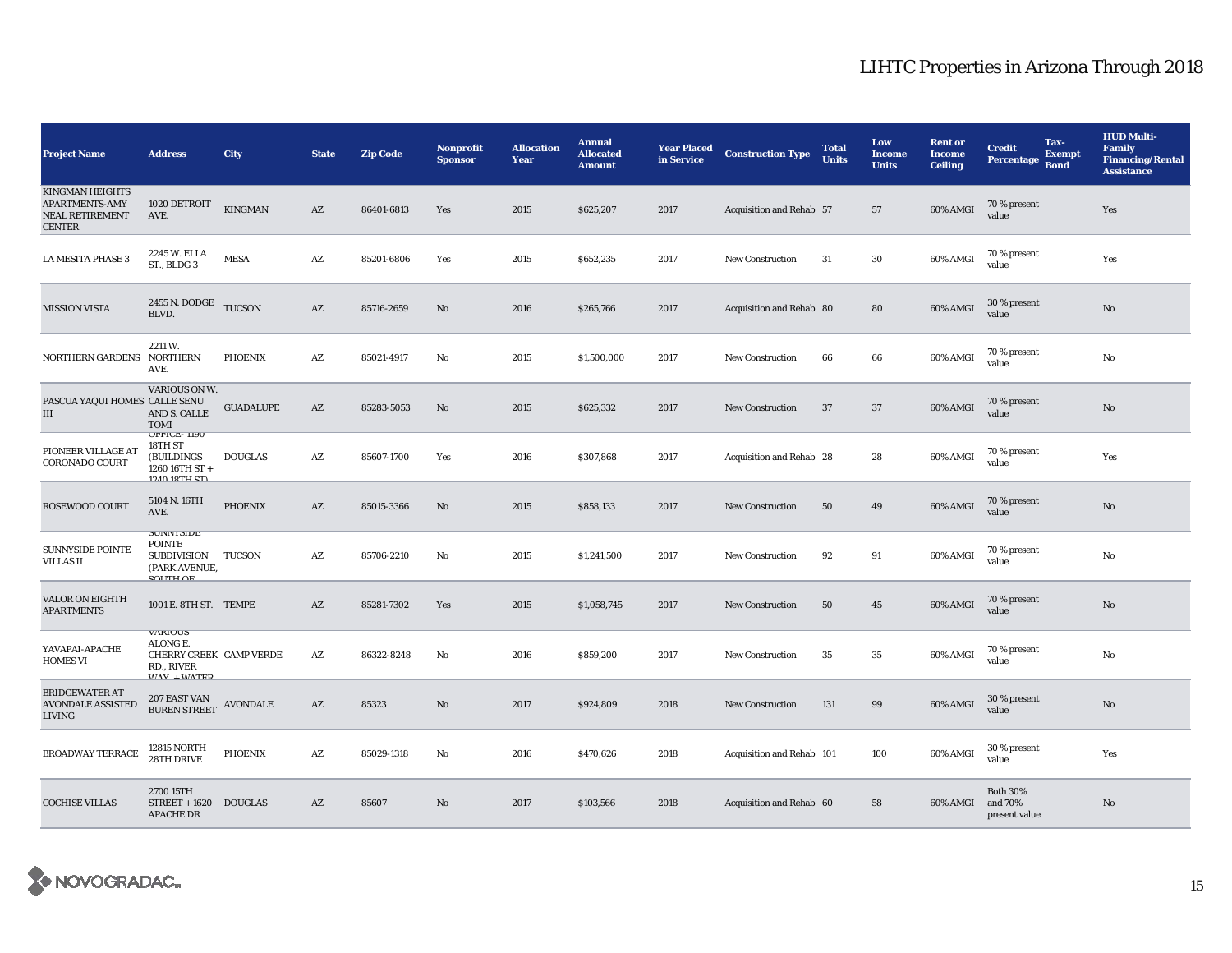| <b>Project Name</b>                                                                 | <b>Address</b>                                                                           | City             | <b>State</b>           | <b>Zip Code</b> | <b>Nonprofit</b><br><b>Sponsor</b> | <b>Allocation</b><br>Year | <b>Annual</b><br><b>Allocated</b><br><b>Amount</b> | <b>Year Placed</b><br>in Service | <b>Construction Type</b>  | <b>Total</b><br><b>Units</b> | Low<br><b>Income</b><br><b>Units</b> | <b>Rent or</b><br><b>Income</b><br><b>Ceiling</b> | <b>Credit</b><br><b>Percentage</b>          | Tax-<br><b>Exempt</b><br><b>Bond</b> | <b>HUD Multi-</b><br><b>Family</b><br><b>Financing/Rental</b><br><b>Assistance</b> |
|-------------------------------------------------------------------------------------|------------------------------------------------------------------------------------------|------------------|------------------------|-----------------|------------------------------------|---------------------------|----------------------------------------------------|----------------------------------|---------------------------|------------------------------|--------------------------------------|---------------------------------------------------|---------------------------------------------|--------------------------------------|------------------------------------------------------------------------------------|
| <b>KINGMAN HEIGHTS</b><br><b>APARTMENTS-AMY</b><br>NEAL RETIREMENT<br><b>CENTER</b> | 1020 DETROIT<br>AVE.                                                                     | KINGMAN          | AZ                     | 86401-6813      | Yes                                | 2015                      | \$625,207                                          | 2017                             | Acquisition and Rehab 57  |                              | 57                                   | 60% AMGI                                          | 70 % present<br>value                       |                                      | Yes                                                                                |
| <b>LA MESITA PHASE 3</b>                                                            | 2245 W. ELLA<br>ST., BLDG 3                                                              | <b>MESA</b>      | AZ                     | 85201-6806      | Yes                                | 2015                      | \$652,235                                          | 2017                             | <b>New Construction</b>   | 31                           | ${\bf 30}$                           | 60% AMGI                                          | 70 % present<br>value                       |                                      | Yes                                                                                |
| <b>MISSION VISTA</b>                                                                | 2455 N. DODGE TUCSON<br>BLVD.                                                            |                  | AZ                     | 85716-2659      | No                                 | 2016                      | \$265,766                                          | 2017                             | Acquisition and Rehab 80  |                              | 80                                   | 60% AMGI                                          | 30 % present<br>value                       |                                      | No                                                                                 |
| NORTHERN GARDENS NORTHERN                                                           | 2211 W.<br>AVE.                                                                          | PHOENIX          | AZ                     | 85021-4917      | No                                 | 2015                      | \$1,500,000                                        | 2017                             | <b>New Construction</b>   | 66                           | 66                                   | 60% AMGI                                          | 70 % present<br>value                       |                                      | No                                                                                 |
| PASCUA YAQUI HOMES CALLE SENU<br>$\rm III$                                          | VARIOUS ON W.<br>AND S. CALLE<br><b>TOMI</b>                                             | <b>GUADALUPE</b> | $\mathbf{A}\mathbf{Z}$ | 85283-5053      | No                                 | 2015                      | \$625,332                                          | 2017                             | <b>New Construction</b>   | 37                           | 37                                   | 60% AMGI                                          | 70 % present<br>value                       |                                      | No                                                                                 |
| PIONEER VILLAGE AT<br><b>CORONADO COURT</b>                                         | <b>UFFICE-1190</b><br>18TH ST<br>(BUILDINGS)<br>1260 16TH ST +<br>1940 18TH CT)          | <b>DOUGLAS</b>   | AZ                     | 85607-1700      | Yes                                | 2016                      | \$307,868                                          | 2017                             | Acquisition and Rehab 28  |                              | 28                                   | 60% AMGI                                          | 70 % present<br>value                       |                                      | Yes                                                                                |
| ROSEWOOD COURT                                                                      | 5104 N. 16TH<br>AVE.                                                                     | <b>PHOENIX</b>   | AZ                     | 85015-3366      | No                                 | 2015                      | \$858,133                                          | 2017                             | <b>New Construction</b>   | 50                           | 49                                   | 60% AMGI                                          | 70 % present<br>value                       |                                      | No                                                                                 |
| <b>SUNNYSIDE POINTE</b><br><b>VILLAS II</b>                                         | <b>SUIVIVI SIDE</b><br><b>POINTE</b><br><b>SUBDIVISION</b><br>(PARK AVENUE,<br>SOLITH OF | TUCSON           | AZ                     | 85706-2210      | No                                 | 2015                      | \$1,241,500                                        | 2017                             | <b>New Construction</b>   | 92                           | 91                                   | 60% AMGI                                          | 70 % present<br>value                       |                                      | No                                                                                 |
| <b>VALOR ON EIGHTH</b><br><b>APARTMENTS</b>                                         | 1001 E. 8TH ST. TEMPE                                                                    |                  | AZ                     | 85281-7302      | Yes                                | 2015                      | \$1,058,745                                        | 2017                             | <b>New Construction</b>   | 50                           | 45                                   | 60% AMGI                                          | 70 % present<br>value                       |                                      | No                                                                                 |
| YAVAPAI-APACHE<br><b>HOMES VI</b>                                                   | <b>VARIOUS</b><br>ALONG E.<br>CHERRY CREEK CAMP VERDE<br>RD., RIVER<br>$MAV + MATFD$     |                  | AZ                     | 86322-8248      | No                                 | 2016                      | \$859,200                                          | 2017                             | <b>New Construction</b>   | 35                           | 35                                   | 60% AMGI                                          | 70 % present<br>value                       |                                      | No                                                                                 |
| <b>BRIDGEWATER AT</b><br><b>AVONDALE ASSISTED</b><br><b>LIVING</b>                  | 207 EAST VAN<br><b>BUREN STREET</b>                                                      | AVONDALE         | AZ                     | 85323           | No                                 | 2017                      | \$924,809                                          | 2018                             | <b>New Construction</b>   | 131                          | 99                                   | 60% AMGI                                          | 30 % present<br>value                       |                                      | No                                                                                 |
| <b>BROADWAY TERRACE</b>                                                             | <b>12815 NORTH</b><br>28TH DRIVE                                                         | <b>PHOENIX</b>   | AZ                     | 85029-1318      | No                                 | 2016                      | \$470,626                                          | 2018                             | Acquisition and Rehab 101 |                              | 100                                  | 60% AMGI                                          | 30 % present<br>value                       |                                      | Yes                                                                                |
| <b>COCHISE VILLAS</b>                                                               | 2700 15TH<br>STREET + 1620 DOUGLAS<br><b>APACHE DR</b>                                   |                  | AZ                     | 85607           | No                                 | 2017                      | \$103,566                                          | 2018                             | Acquisition and Rehab 60  |                              | 58                                   | 60% AMGI                                          | <b>Both 30%</b><br>and 70%<br>present value |                                      | No                                                                                 |

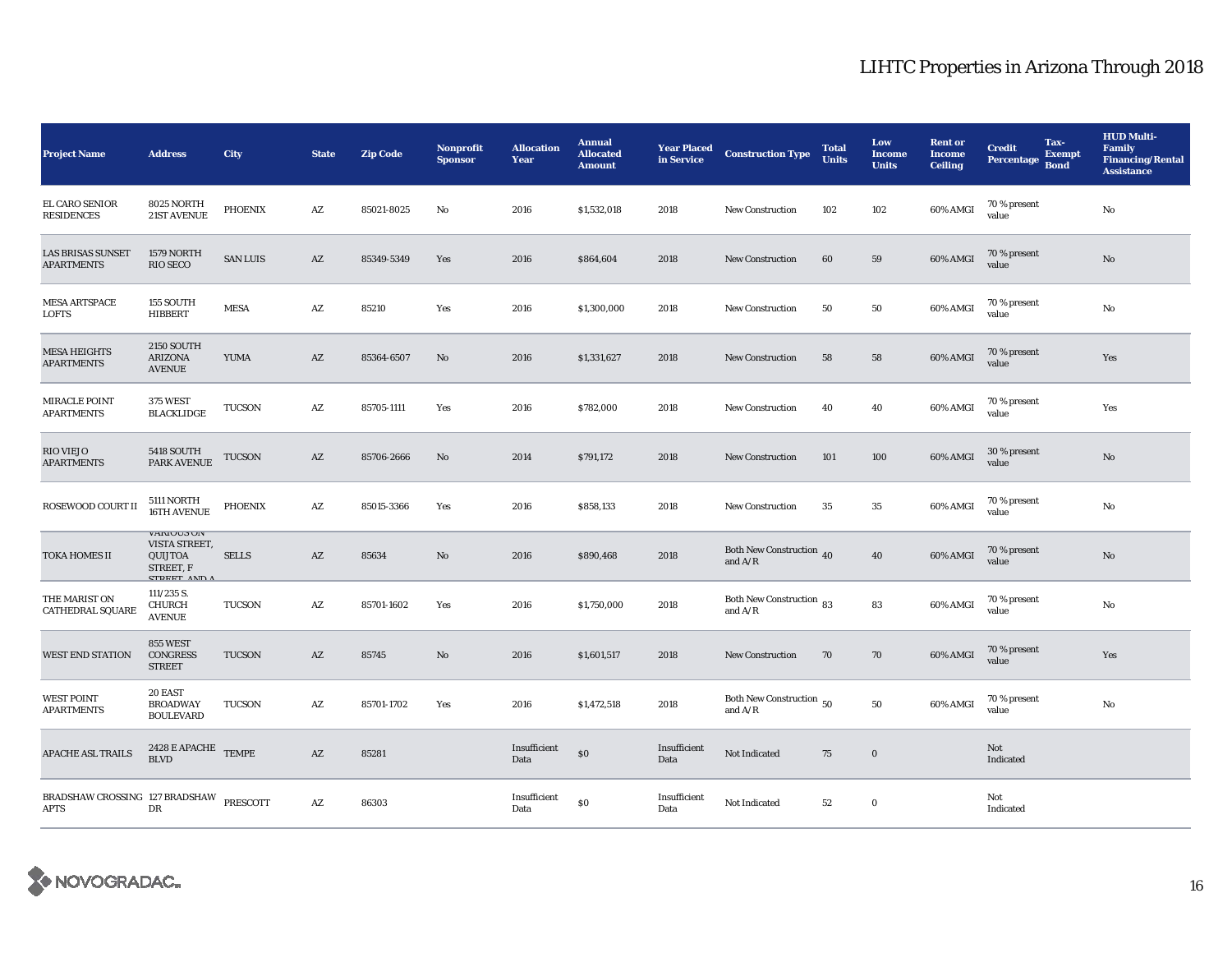| <b>Project Name</b>                                    | <b>Address</b>                                                                           | City            | <b>State</b>           | <b>Zip Code</b> | Nonprofit<br><b>Sponsor</b> | <b>Allocation</b><br>Year | <b>Annual</b><br><b>Allocated</b><br><b>Amount</b> | <b>Year Placed</b><br>in Service | <b>Construction Type</b>                        | <b>Total</b><br><b>Units</b> | Low<br><b>Income</b><br><b>Units</b> | <b>Rent or</b><br><b>Income</b><br><b>Ceiling</b> | <b>Credit</b><br>Percentage | Tax-<br><b>Exempt</b><br><b>Bond</b> | <b>HUD Multi-</b><br>Family<br><b>Financing/Rental</b><br><b>Assistance</b> |
|--------------------------------------------------------|------------------------------------------------------------------------------------------|-----------------|------------------------|-----------------|-----------------------------|---------------------------|----------------------------------------------------|----------------------------------|-------------------------------------------------|------------------------------|--------------------------------------|---------------------------------------------------|-----------------------------|--------------------------------------|-----------------------------------------------------------------------------|
| EL CARO SENIOR<br><b>RESIDENCES</b>                    | 8025 NORTH<br>21ST AVENUE                                                                | <b>PHOENIX</b>  | AZ                     | 85021-8025      | No                          | 2016                      | \$1,532,018                                        | 2018                             | New Construction                                | 102                          | 102                                  | 60% AMGI                                          | 70 % present<br>value       |                                      | No                                                                          |
| <b>LAS BRISAS SUNSET</b><br><b>APARTMENTS</b>          | 1579 NORTH<br><b>RIO SECO</b>                                                            | <b>SAN LUIS</b> | $\mathbf{A}\mathbf{Z}$ | 85349-5349      | Yes                         | 2016                      | \$864,604                                          | 2018                             | <b>New Construction</b>                         | 60                           | 59                                   | 60% AMGI                                          | 70 % present<br>value       |                                      | $\mathbf{N}\mathbf{o}$                                                      |
| <b>MESA ARTSPACE</b><br><b>LOFTS</b>                   | 155 SOUTH<br>HIBBERT                                                                     | <b>MESA</b>     | AZ                     | 85210           | Yes                         | 2016                      | \$1,300,000                                        | 2018                             | <b>New Construction</b>                         | 50                           | 50                                   | 60% AMGI                                          | 70 % present<br>value       |                                      | No                                                                          |
| <b>MESA HEIGHTS</b><br><b>APARTMENTS</b>               | <b>2150 SOUTH</b><br><b>ARIZONA</b><br><b>AVENUE</b>                                     | <b>YUMA</b>     | $\mathbf{A}\mathbf{Z}$ | 85364-6507      | No                          | 2016                      | \$1,331,627                                        | 2018                             | <b>New Construction</b>                         | 58                           | 58                                   | 60% AMGI                                          | 70 % present<br>value       |                                      | Yes                                                                         |
| MIRACLE POINT<br><b>APARTMENTS</b>                     | <b>375 WEST</b><br><b>BLACKLIDGE</b>                                                     | <b>TUCSON</b>   | AZ                     | 85705-1111      | Yes                         | 2016                      | \$782,000                                          | 2018                             | <b>New Construction</b>                         | 40                           | 40                                   | 60% AMGI                                          | 70 % present<br>value       |                                      | Yes                                                                         |
| <b>RIO VIEJO</b><br><b>APARTMENTS</b>                  | <b>5418 SOUTH</b><br>PARK AVENUE                                                         | <b>TUCSON</b>   | AZ                     | 85706-2666      | No                          | 2014                      | \$791,172                                          | 2018                             | <b>New Construction</b>                         | 101                          | 100                                  | 60% AMGI                                          | 30 % present<br>value       |                                      | No                                                                          |
| ROSEWOOD COURT II                                      | 5111 NORTH<br>16TH AVENUE                                                                | <b>PHOENIX</b>  | AZ                     | 85015-3366      | Yes                         | 2016                      | \$858,133                                          | 2018                             | <b>New Construction</b>                         | 35                           | 35                                   | 60% AMGI                                          | 70 % present<br>value       |                                      | No                                                                          |
| <b>TOKA HOMES II</b>                                   | <b>VARIOUS UN</b><br>VISTA STREET,<br><b>QUIJTOA</b><br>STREET, F<br><b>STREET AND A</b> | <b>SELLS</b>    | AZ                     | 85634           | No                          | 2016                      | \$890,468                                          | 2018                             | Both New Construction 40<br>and $A/R$           |                              | 40                                   | 60% AMGI                                          | 70 % present<br>value       |                                      | $\mathbf{N}\mathbf{o}$                                                      |
| THE MARIST ON<br><b>CATHEDRAL SQUARE</b>               | 111/235 S.<br><b>CHURCH</b><br><b>AVENUE</b>                                             | <b>TUCSON</b>   | AZ                     | 85701-1602      | Yes                         | 2016                      | \$1,750,000                                        | 2018                             | Both New Construction 83<br>and $A/R$           |                              | 83                                   | 60% AMGI                                          | 70 % present<br>value       |                                      | No                                                                          |
| <b>WEST END STATION</b>                                | 855 WEST<br><b>CONGRESS</b><br><b>STREET</b>                                             | <b>TUCSON</b>   | AZ                     | 85745           | No                          | 2016                      | \$1,601,517                                        | 2018                             | <b>New Construction</b>                         | 70                           | 70                                   | 60% AMGI                                          | 70 % present<br>value       |                                      | Yes                                                                         |
| <b>WEST POINT</b><br><b>APARTMENTS</b>                 | 20 EAST<br><b>BROADWAY</b><br><b>BOULEVARD</b>                                           | <b>TUCSON</b>   | AZ                     | 85701-1702      | Yes                         | 2016                      | \$1,472,518                                        | 2018                             | Both New Construction $\,$ 50 $\,$<br>and $A/R$ |                              | 50                                   | 60% AMGI                                          | 70 % present<br>value       |                                      | No                                                                          |
| <b>APACHE ASL TRAILS</b>                               | $2428$ E APACHE TEMPE<br><b>BLVD</b>                                                     |                 | AZ                     | 85281           |                             | Insufficient<br>Data      | \$0                                                | Insufficient<br>Data             | Not Indicated                                   | 75                           | $\bf{0}$                             |                                                   | Not<br>Indicated            |                                      |                                                                             |
| BRADSHAW CROSSING 127 BRADSHAW PRESCOTT<br><b>APTS</b> | DR                                                                                       |                 | AZ                     | 86303           |                             | Insufficient<br>Data      | \$0                                                | Insufficient<br>Data             | Not Indicated                                   | 52                           | $\bf{0}$                             |                                                   | Not<br>Indicated            |                                      |                                                                             |

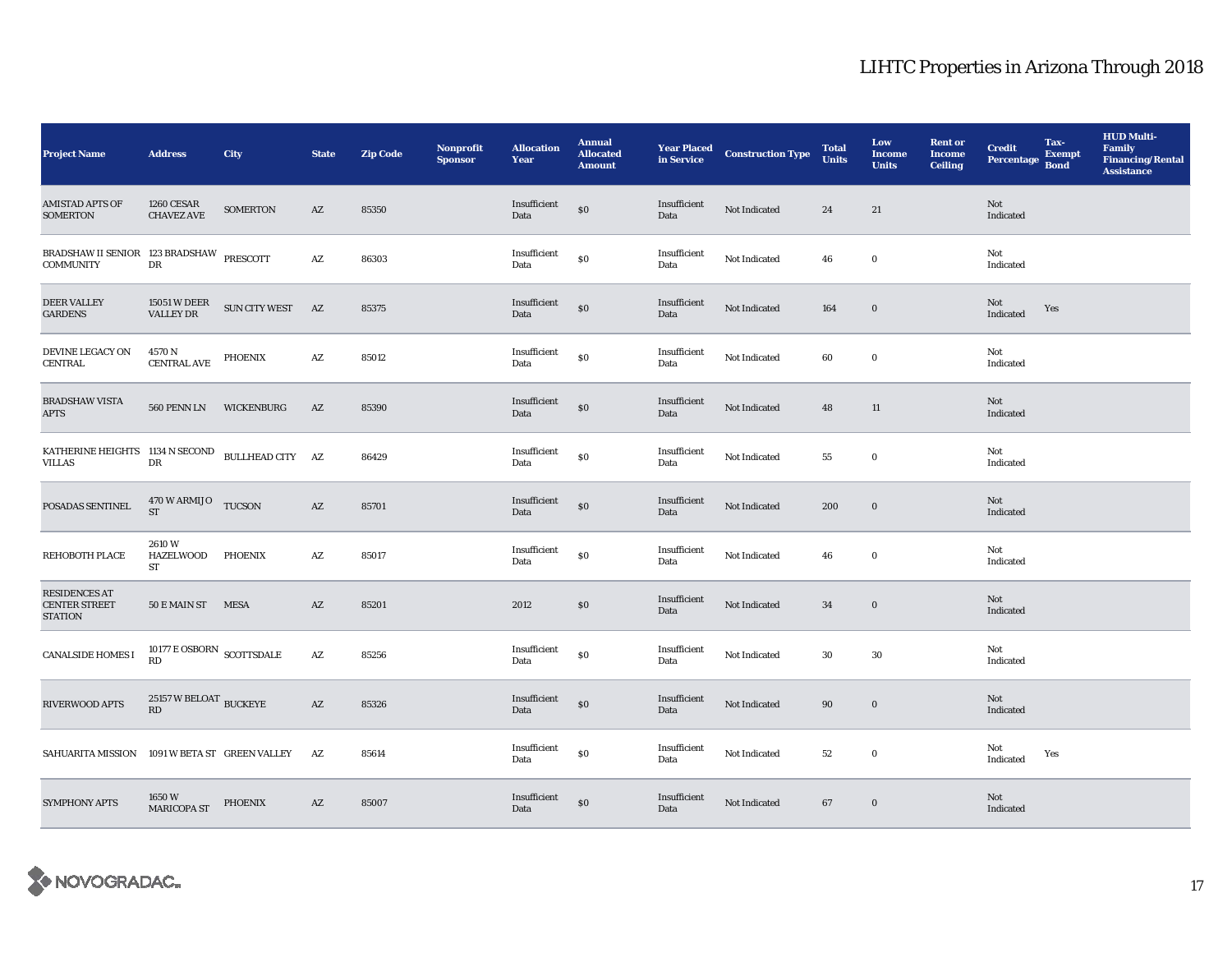| <b>Project Name</b>                                            | <b>Address</b>                                     | City              | <b>State</b>           | <b>Zip Code</b> | Nonprofit<br><b>Sponsor</b> | <b>Allocation</b><br>Year | <b>Annual</b><br><b>Allocated</b><br><b>Amount</b> | <b>Year Placed<br/>in Service</b> | <b>Construction Type</b> | <b>Total</b><br><b>Units</b> | Low<br><b>Income</b><br><b>Units</b> | <b>Rent or</b><br><b>Income</b><br><b>Ceiling</b> | <b>Credit</b><br>Percentage | Tax-<br><b>Exempt</b><br><b>Bond</b> | <b>HUD Multi-</b><br><b>Family</b><br><b>Financing/Rental</b><br><b>Assistance</b> |
|----------------------------------------------------------------|----------------------------------------------------|-------------------|------------------------|-----------------|-----------------------------|---------------------------|----------------------------------------------------|-----------------------------------|--------------------------|------------------------------|--------------------------------------|---------------------------------------------------|-----------------------------|--------------------------------------|------------------------------------------------------------------------------------|
| <b>AMISTAD APTS OF</b><br><b>SOMERTON</b>                      | 1260 CESAR<br><b>CHAVEZ AVE</b>                    | <b>SOMERTON</b>   | AZ                     | 85350           |                             | Insufficient<br>Data      | \$0                                                | Insufficient<br>Data              | Not Indicated            | 24                           | 21                                   |                                                   | Not<br>Indicated            |                                      |                                                                                    |
| BRADSHAW II SENIOR 123 BRADSHAW PRESCOTT<br><b>COMMUNITY</b>   | ${\rm DR}$                                         |                   | $\mathbf{A}\mathbf{Z}$ | 86303           |                             | Insufficient<br>Data      | $\$0$                                              | Insufficient<br>Data              | Not Indicated            | 46                           | $\bf{0}$                             |                                                   | Not<br>Indicated            |                                      |                                                                                    |
| <b>DEER VALLEY</b><br><b>GARDENS</b>                           | 15051 W DEER<br>VALLEY DR                          | SUN CITY WEST AZ  |                        | 85375           |                             | Insufficient<br>Data      | $\$0$                                              | Insufficient<br>Data              | Not Indicated            | 164                          | $\bf{0}$                             |                                                   | Not<br>Indicated            | Yes                                  |                                                                                    |
| DEVINE LEGACY ON<br><b>CENTRAL</b>                             | 4570 N<br><b>CENTRAL AVE</b>                       | PHOENIX           | $\mathbf{A}\mathbf{Z}$ | 85012           |                             | Insufficient<br>Data      | ${\bf S0}$                                         | Insufficient<br>Data              | Not Indicated            | 60                           | $\mathbf 0$                          |                                                   | Not<br>Indicated            |                                      |                                                                                    |
| <b>BRADSHAW VISTA</b><br><b>APTS</b>                           | 560 PENN LN                                        | <b>WICKENBURG</b> | AZ                     | 85390           |                             | Insufficient<br>Data      | \$0                                                | Insufficient<br>Data              | Not Indicated            | 48                           | 11                                   |                                                   | Not<br>Indicated            |                                      |                                                                                    |
|                                                                |                                                    |                   |                        | 86429           |                             | Insufficient<br>Data      | $\$0$                                              | Insufficient<br>Data              | Not Indicated            | 55                           | $\bf{0}$                             |                                                   | Not<br>Indicated            |                                      |                                                                                    |
| POSADAS SENTINEL                                               | 470 W ARMIJO TUCSON<br><b>ST</b>                   |                   | AZ                     | 85701           |                             | Insufficient<br>Data      | $\$0$                                              | Insufficient<br>Data              | Not Indicated            | 200                          | $\bf{0}$                             |                                                   | Not<br>Indicated            |                                      |                                                                                    |
| REHOBOTH PLACE                                                 | 2610W<br><b>HAZELWOOD</b><br>ST                    | PHOENIX           | A Z                    | 85017           |                             | Insufficient<br>Data      | \$0                                                | Insufficient<br>Data              | Not Indicated            | 46                           | $\bf{0}$                             |                                                   | Not<br>Indicated            |                                      |                                                                                    |
| <b>RESIDENCES AT</b><br><b>CENTER STREET</b><br><b>STATION</b> | 50 E MAIN ST MESA                                  |                   | AZ                     | 85201           |                             | 2012                      | \$0\$                                              | Insufficient<br>Data              | Not Indicated            | 34                           | $\bf{0}$                             |                                                   | <b>Not</b><br>Indicated     |                                      |                                                                                    |
| <b>CANALSIDE HOMES I</b>                                       | $10177 \to \text{OSBORN}$ SCOTTSDALE<br>RD         |                   | AZ                     | 85256           |                             | Insufficient<br>Data      | $\$0$                                              | Insufficient<br>Data              | Not Indicated            | 30                           | 30                                   |                                                   | Not<br>Indicated            |                                      |                                                                                    |
| RIVERWOOD APTS                                                 | $25157\,\mathrm{W}\,\mathrm{BELOAT}$ BUCKEYE<br>RD |                   | $\mathbf{A}\mathbf{Z}$ | 85326           |                             | Insufficient<br>Data      | $\$0$                                              | Insufficient<br>Data              | Not Indicated            | 90                           | $\bf{0}$                             |                                                   | Not<br>Indicated            |                                      |                                                                                    |
| SAHUARITA MISSION 1091 W BETA ST GREEN VALLEY                  |                                                    |                   | AZ                     | 85614           |                             | Insufficient<br>Data      | $\$0$                                              | Insufficient<br>Data              | Not Indicated            | 52                           | $\bf{0}$                             |                                                   | Not<br>Indicated            | Yes                                  |                                                                                    |
| <b>SYMPHONY APTS</b>                                           | 1650 W<br>MARICOPA ST                              | PHOENIX           | AZ                     | 85007           |                             | Insufficient<br>Data      | \$0                                                | Insufficient<br>Data              | Not Indicated            | 67                           | $\bf{0}$                             |                                                   | Not<br>Indicated            |                                      |                                                                                    |

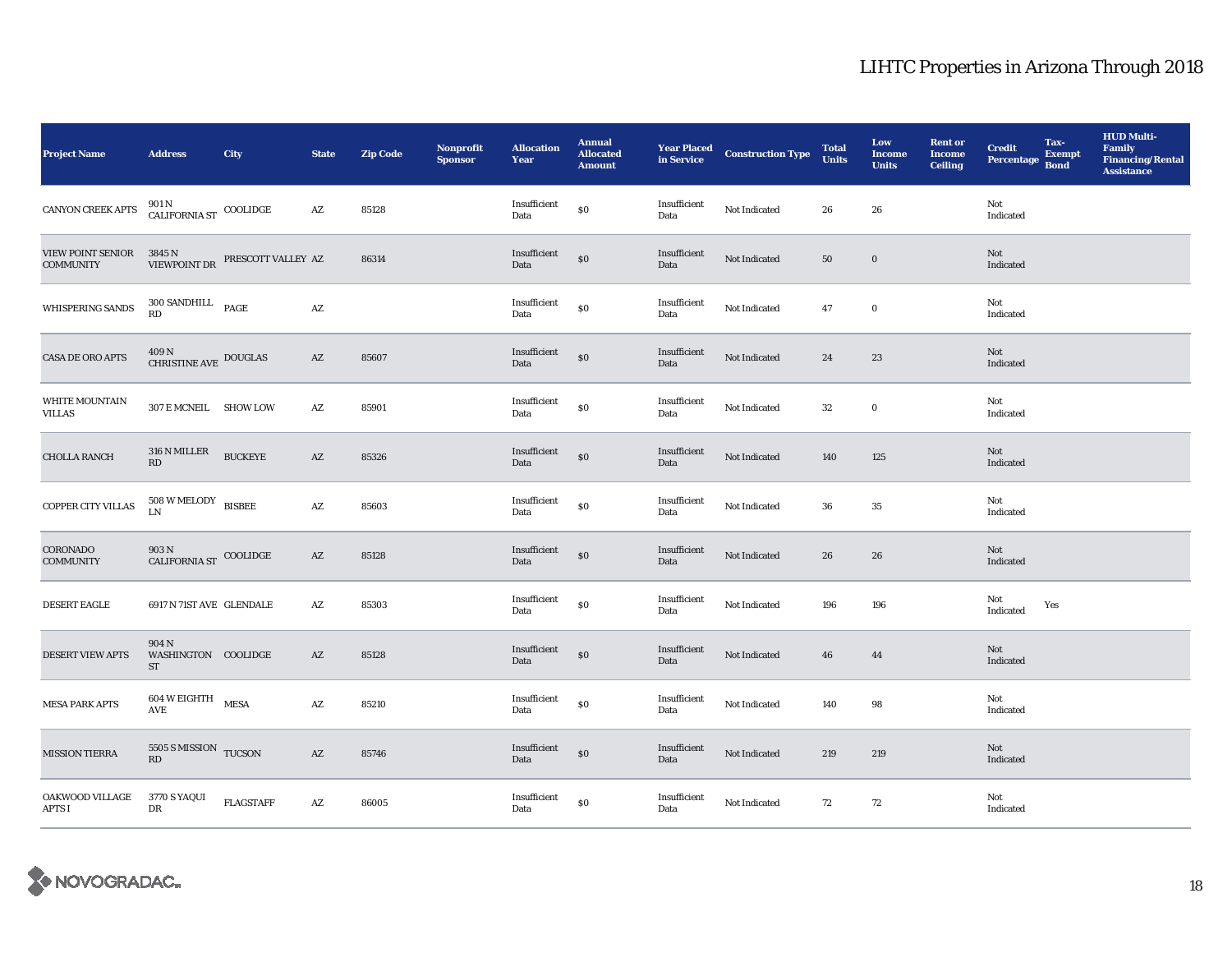| <b>Project Name</b>                                                                                                                                                   | <b>Address</b>                           | City           | <b>State</b>           | Zip Code | Nonprofit<br><b>Sponsor</b> | <b>Allocation</b><br>Year | <b>Annual</b><br><b>Allocated</b><br><b>Amount</b> |                      | <b>Year Placed Construction Type</b><br>in Service | <b>Total</b><br><b>Units</b> | Low<br><b>Income</b><br><b>Units</b> | <b>Rent or</b><br><b>Income</b><br><b>Ceiling</b> | <b>Credit</b><br>Percentage Bond | Tax-<br><b>Exempt</b> | <b>HUD Multi-</b><br>Family<br><b>Financing/Rental</b><br><b>Assistance</b> |
|-----------------------------------------------------------------------------------------------------------------------------------------------------------------------|------------------------------------------|----------------|------------------------|----------|-----------------------------|---------------------------|----------------------------------------------------|----------------------|----------------------------------------------------|------------------------------|--------------------------------------|---------------------------------------------------|----------------------------------|-----------------------|-----------------------------------------------------------------------------|
| CANYON CREEK APTS                                                                                                                                                     | $901\,\mathrm{N}$ COOLIDGE CALIFORNIA ST |                | $A\mathbf{Z}$          | 85128    |                             | Insufficient<br>Data      | \$0                                                | Insufficient<br>Data | Not Indicated                                      | 26                           | 26                                   |                                                   | Not<br>Indicated                 |                       |                                                                             |
| $\begin{tabular}{ll} \hline \texttt{VIEW POINT SENDR} & 3845\,\textit{N} \\ \texttt{COMMUNITTY} & \texttt{VIEW POINT DR} & \texttt{PRESCOTT VALUEY AZ} \end{tabular}$ |                                          |                |                        | 86314    |                             | Insufficient<br>Data      | \$0                                                | Insufficient<br>Data | Not Indicated                                      | 50                           | $\bf{0}$                             |                                                   | Not<br>Indicated                 |                       |                                                                             |
| WHISPERING SANDS                                                                                                                                                      | 300 SANDHILL PAGE<br><b>RD</b>           |                | $\mathbf{A}\mathbf{Z}$ |          |                             | Insufficient<br>Data      | \$0                                                | Insufficient<br>Data | Not Indicated                                      | 47                           | $\bf{0}$                             |                                                   | Not<br>Indicated                 |                       |                                                                             |
| <b>CASA DE ORO APTS</b>                                                                                                                                               | $409\,\mathrm{N}$ CHRISTINE AVE DOUGLAS  |                | $\mathbf{A}\mathbf{Z}$ | 85607    |                             | Insufficient<br>Data      | \$0                                                | Insufficient<br>Data | Not Indicated                                      | 24                           | $\bf 23$                             |                                                   | Not<br>Indicated                 |                       |                                                                             |
| <b>WHITE MOUNTAIN</b><br>VILLAS                                                                                                                                       | 307 E MCNEIL SHOW LOW                    |                | AZ                     | 85901    |                             | Insufficient<br>Data      | \$0                                                | Insufficient<br>Data | Not Indicated                                      | 32                           | $\bf{0}$                             |                                                   | Not<br>Indicated                 |                       |                                                                             |
| <b>CHOLLA RANCH</b>                                                                                                                                                   | 316 N MILLER<br>RD                       | <b>BUCKEYE</b> | AZ                     | 85326    |                             | Insufficient<br>Data      | $\$0$                                              | Insufficient<br>Data | Not Indicated                                      | 140                          | 125                                  |                                                   | Not<br>Indicated                 |                       |                                                                             |
| <b>COPPER CITY VILLAS</b>                                                                                                                                             | $508$ W MELODY BISBEE<br>LN              |                | $\mathbf{A}\mathbf{Z}$ | 85603    |                             | Insufficient<br>Data      | \$0                                                | Insufficient<br>Data | Not Indicated                                      | 36                           | $35\,$                               |                                                   | Not<br>Indicated                 |                       |                                                                             |
| <b>CORONADO</b><br><b>COMMUNITY</b>                                                                                                                                   | 903 N<br>CALIFORNIA ST COOLIDGE          |                | $\mathbf{A}\mathbf{Z}$ | 85128    |                             | Insufficient<br>Data      | \$0                                                | Insufficient<br>Data | Not Indicated                                      | 26                           | 26                                   |                                                   | Not<br>Indicated                 |                       |                                                                             |
| <b>DESERT EAGLE</b>                                                                                                                                                   | 6917 N 71ST AVE GLENDALE                 |                | AZ                     | 85303    |                             | Insufficient<br>Data      | \$0                                                | Insufficient<br>Data | Not Indicated                                      | 196                          | 196                                  |                                                   | Not<br>Indicated                 | Yes                   |                                                                             |
| <b>DESERT VIEW APTS</b>                                                                                                                                               | 904 N<br>WASHINGTON COOLIDGE<br>ST       |                | AZ                     | 85128    |                             | Insufficient<br>Data      | $\$0$                                              | Insufficient<br>Data | Not Indicated                                      | 46                           | 44                                   |                                                   | Not<br>Indicated                 |                       |                                                                             |
| <b>MESA PARK APTS</b>                                                                                                                                                 | $604$ W EIGHTH $$\tt MESA$$<br>AVE       |                | $\mathbf{A}\mathbf{Z}$ | 85210    |                             | Insufficient<br>Data      | \$0                                                | Insufficient<br>Data | Not Indicated                                      | 140                          | 98                                   |                                                   | Not<br>Indicated                 |                       |                                                                             |
| <b>MISSION TIERRA</b>                                                                                                                                                 | 5505 S MISSION TUCSON<br>RD              |                | AZ                     | 85746    |                             | Insufficient<br>Data      | \$0                                                | Insufficient<br>Data | Not Indicated                                      | 219                          | 219                                  |                                                   | Not<br>Indicated                 |                       |                                                                             |
| OAKWOOD VILLAGE<br><b>APTS I</b>                                                                                                                                      | 3770 S YAQUI<br>DR                       | FLAGSTAFF      | AZ                     | 86005    |                             | Insufficient<br>Data      | $\boldsymbol{\mathsf{S}}\boldsymbol{\mathsf{0}}$   | Insufficient<br>Data | Not Indicated                                      | 72                           | 72                                   |                                                   | Not<br>Indicated                 |                       |                                                                             |

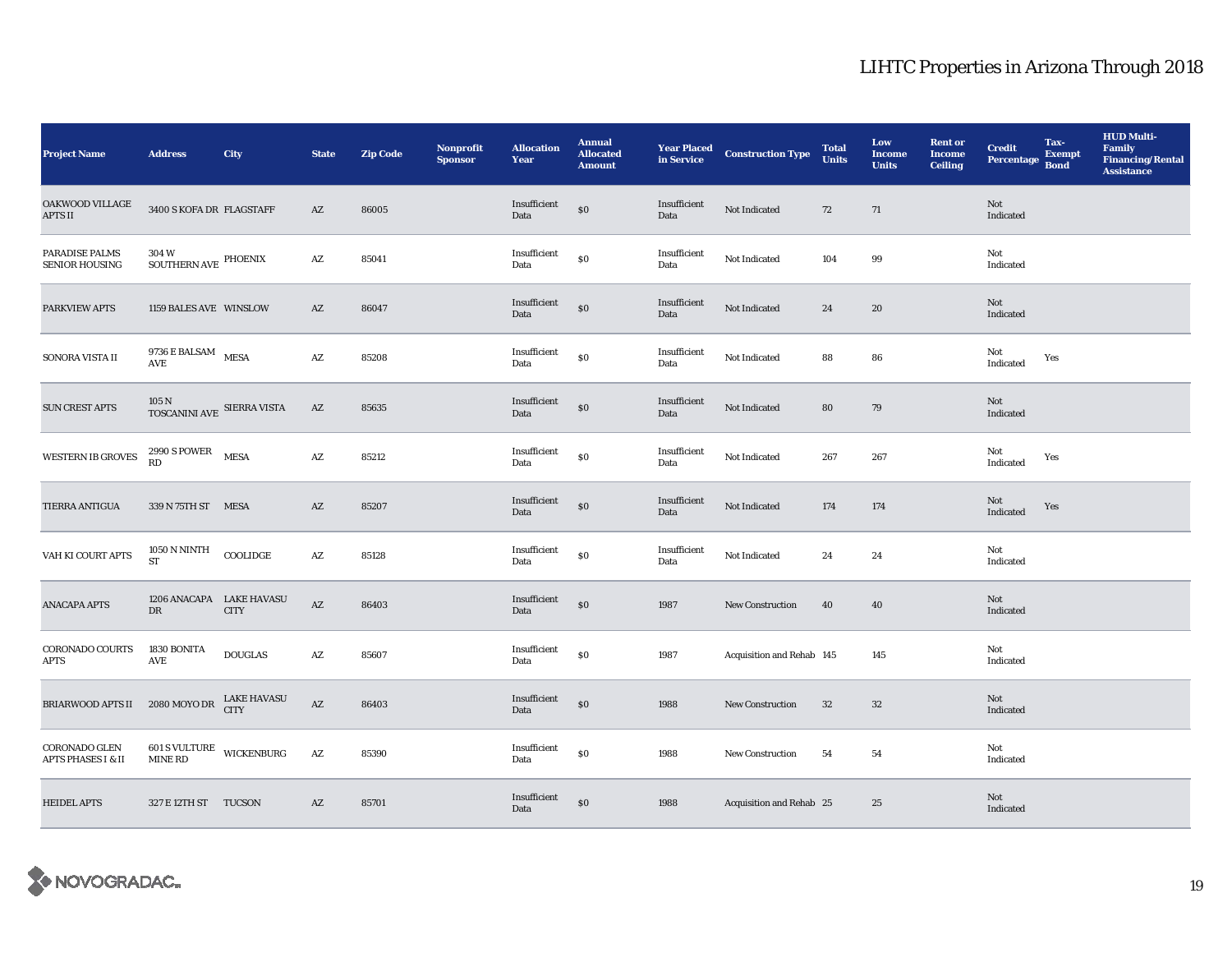| <b>Project Name</b>                            | <b>Address</b>                               | City                              | <b>State</b>           | <b>Zip Code</b> | <b>Nonprofit</b><br><b>Sponsor</b> | <b>Allocation</b><br>Year | <b>Annual</b><br><b>Allocated</b><br><b>Amount</b> | <b>Year Placed<br/>in Service</b> | <b>Construction Type</b>  | <b>Total</b><br><b>Units</b> | Low<br><b>Income</b><br><b>Units</b> | <b>Rent or</b><br><b>Income</b><br><b>Ceiling</b> | <b>Credit</b><br><b>Percentage</b> | Tax-<br><b>Exempt</b><br><b>Bond</b> | <b>HUD Multi-</b><br><b>Family</b><br><b>Financing/Rental</b><br><b>Assistance</b> |
|------------------------------------------------|----------------------------------------------|-----------------------------------|------------------------|-----------------|------------------------------------|---------------------------|----------------------------------------------------|-----------------------------------|---------------------------|------------------------------|--------------------------------------|---------------------------------------------------|------------------------------------|--------------------------------------|------------------------------------------------------------------------------------|
| OAKWOOD VILLAGE<br><b>APTS II</b>              | 3400 S KOFA DR FLAGSTAFF                     |                                   | AZ                     | 86005           |                                    | Insufficient<br>Data      | \$0                                                | Insufficient<br>Data              | Not Indicated             | 72                           | 71                                   |                                                   | Not<br>Indicated                   |                                      |                                                                                    |
| PARADISE PALMS<br>SENIOR HOUSING               | 304 W<br>SOUTHERN AVE $\,$ PHOENIX           |                                   | $\mathbf{A}\mathbf{Z}$ | 85041           |                                    | Insufficient<br>Data      | \$0                                                | Insufficient<br>Data              | Not Indicated             | 104                          | 99                                   |                                                   | Not<br>Indicated                   |                                      |                                                                                    |
| PARKVIEW APTS                                  | 1159 BALES AVE WINSLOW                       |                                   | AZ                     | 86047           |                                    | Insufficient<br>Data      | $\$0$                                              | Insufficient<br>Data              | Not Indicated             | 24                           | 20                                   |                                                   | Not<br>Indicated                   |                                      |                                                                                    |
| SONORA VISTA II                                | 9736 E BALSAM MESA<br>AVE                    |                                   | $\mathbf{A}\mathbf{Z}$ | 85208           |                                    | Insufficient<br>Data      | $\$0$                                              | Insufficient<br>Data              | Not Indicated             | 88                           | ${\bf 86}$                           |                                                   | Not<br>Indicated                   | Yes                                  |                                                                                    |
| <b>SUN CREST APTS</b>                          | $105\,\mathrm{N}$ TOSCANINI AVE SIERRA VISTA |                                   | AZ                     | 85635           |                                    | Insufficient<br>Data      | \$0                                                | Insufficient<br>Data              | Not Indicated             | 80                           | 79                                   |                                                   | Not<br>Indicated                   |                                      |                                                                                    |
| WESTERN IB GROVES                              | $2990$ S POWER $$\tt{MESA}$$                 |                                   | $\mathbf{A}\mathbf{Z}$ | 85212           |                                    | Insufficient<br>Data      | $\$0$                                              | Insufficient<br>Data              | Not Indicated             | 267                          | 267                                  |                                                   | Not<br>Indicated                   | Yes                                  |                                                                                    |
| TIERRA ANTIGUA                                 | 339 N 75TH ST MESA                           |                                   | AZ                     | 85207           |                                    | Insufficient<br>Data      | $\$0$                                              | Insufficient<br>Data              | Not Indicated             | 174                          | 174                                  |                                                   | Not<br>Indicated                   | Yes                                  |                                                                                    |
| VAH KI COURT APTS                              | <b>1050 N NINTH</b><br><b>ST</b>             | $\rm COOLIDGE$                    | $\mathbf{A}\mathbf{Z}$ | 85128           |                                    | Insufficient<br>Data      | \$0                                                | Insufficient<br>Data              | Not Indicated             | 24                           | $\bf 24$                             |                                                   | Not<br>Indicated                   |                                      |                                                                                    |
| <b>ANACAPA APTS</b>                            | 1206 ANACAPA LAKE HAVASU<br>DR               | <b>CITY</b>                       | $\mathbf{A}\mathbf{Z}$ | 86403           |                                    | Insufficient<br>Data      | $\$0$                                              | 1987                              | New Construction          | 40                           | 40                                   |                                                   | Not<br>Indicated                   |                                      |                                                                                    |
| CORONADO COURTS<br><b>APTS</b>                 | 1830 BONITA<br>$\operatorname{AVE}$          | <b>DOUGLAS</b>                    | AZ                     | 85607           |                                    | Insufficient<br>Data      | $\$0$                                              | 1987                              | Acquisition and Rehab 145 |                              | 145                                  |                                                   | Not<br>Indicated                   |                                      |                                                                                    |
| <b>BRIARWOOD APTS II</b>                       | 2080 MOYO DR                                 | <b>LAKE HAVASU</b><br><b>CITY</b> | $\mathbf{A}\mathbf{Z}$ | 86403           |                                    | Insufficient<br>Data      | \$0                                                | 1988                              | New Construction          | 32                           | $32\,$                               |                                                   | Not<br>Indicated                   |                                      |                                                                                    |
| CORONADO GLEN<br><b>APTS PHASES I &amp; II</b> | 601 S VULTURE WICKENBURG<br><b>MINE RD</b>   |                                   | $\mathbf{A}\mathbf{Z}$ | 85390           |                                    | Insufficient<br>Data      | $\$0$                                              | 1988                              | <b>New Construction</b>   | 54                           | 54                                   |                                                   | Not<br>Indicated                   |                                      |                                                                                    |
| <b>HEIDEL APTS</b>                             | 327 E 12TH ST TUCSON                         |                                   | AZ                     | 85701           |                                    | Insufficient<br>Data      | \$0                                                | 1988                              | Acquisition and Rehab 25  |                              | 25                                   |                                                   | Not<br>Indicated                   |                                      |                                                                                    |

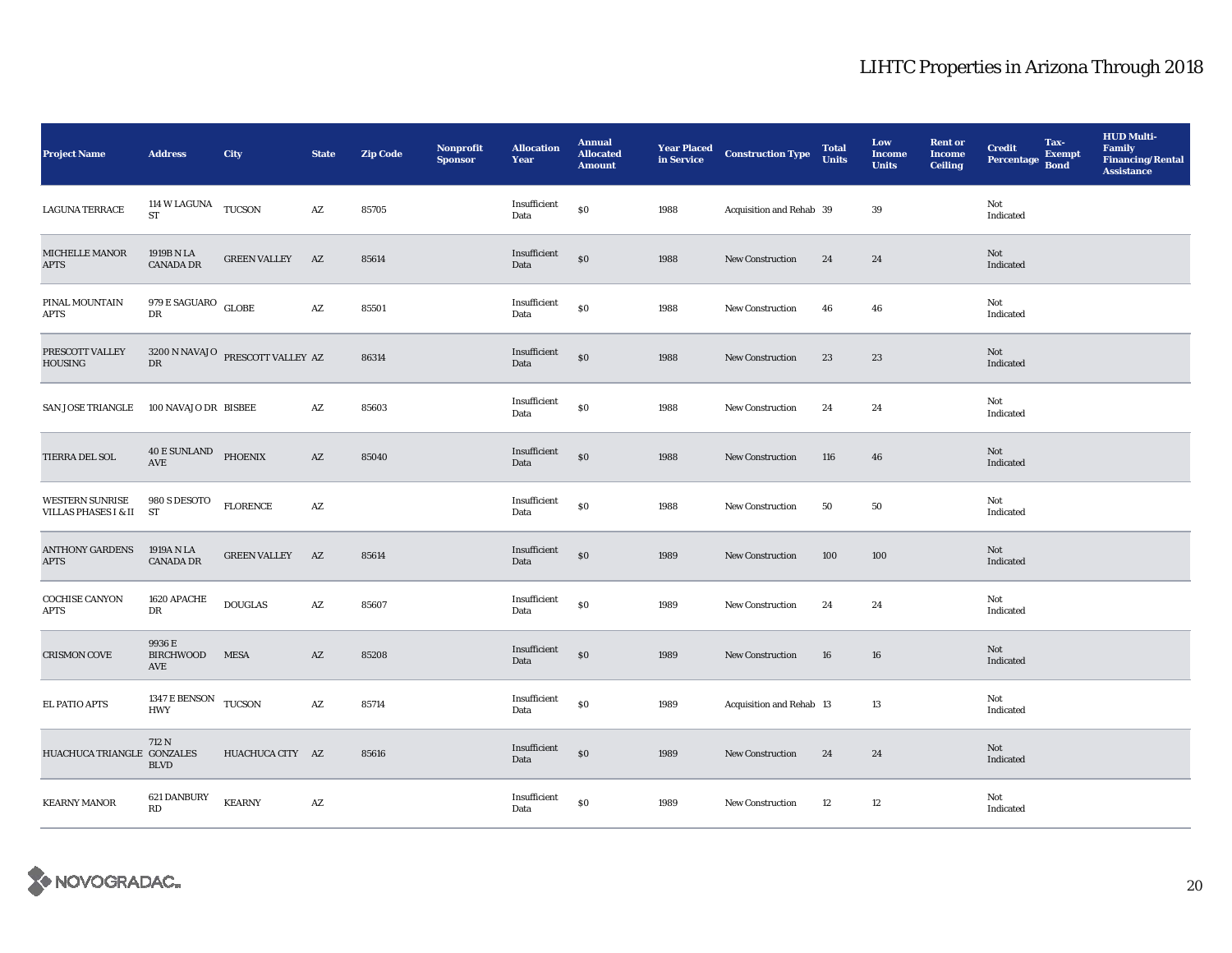| <b>Project Name</b>                                | <b>Address</b>                                               | City                                         | <b>State</b>           | Zip Code | Nonprofit<br><b>Sponsor</b> | <b>Allocation</b><br>Year | <b>Annual</b><br><b>Allocated</b><br><b>Amount</b> | <b>Year Placed<br/>in Service</b> | <b>Construction Type</b> | <b>Total</b><br><b>Units</b> | Low<br><b>Income</b><br><b>Units</b> | <b>Rent or</b><br><b>Income</b><br><b>Ceiling</b> | <b>Credit</b><br>Percentage Bond | Tax-<br><b>Exempt</b> | <b>HUD Multi-</b><br>Family<br><b>Financing/Rental</b><br><b>Assistance</b> |
|----------------------------------------------------|--------------------------------------------------------------|----------------------------------------------|------------------------|----------|-----------------------------|---------------------------|----------------------------------------------------|-----------------------------------|--------------------------|------------------------------|--------------------------------------|---------------------------------------------------|----------------------------------|-----------------------|-----------------------------------------------------------------------------|
| <b>LAGUNA TERRACE</b>                              | 114 W LAGUNA $\,$ TUCSON $\,$<br>ST                          |                                              | $\mathbf{A}\mathbf{Z}$ | 85705    |                             | Insufficient<br>Data      | \$0                                                | 1988                              | Acquisition and Rehab 39 |                              | 39                                   |                                                   | Not<br>Indicated                 |                       |                                                                             |
| MICHELLE MANOR<br><b>APTS</b>                      | 1919B N LA<br><b>CANADA DR</b>                               | <b>GREEN VALLEY</b>                          | AZ                     | 85614    |                             | Insufficient<br>Data      | \$0                                                | 1988                              | <b>New Construction</b>  | 24                           | 24                                   |                                                   | Not<br>Indicated                 |                       |                                                                             |
| PINAL MOUNTAIN<br><b>APTS</b>                      | $979\,\mathrm{E}\,\mathrm{SAGUARO}\quad\mathrm{GLOBE}$<br>DR |                                              | $\mathbf{A}\mathbf{Z}$ | 85501    |                             | Insufficient<br>Data      | \$0                                                | 1988                              | <b>New Construction</b>  | 46                           | 46                                   |                                                   | Not<br>Indicated                 |                       |                                                                             |
| PRESCOTT VALLEY<br><b>HOUSING</b>                  | DR                                                           | $3200$ N NAVAJO $\,$ PRESCOTT VALLEY $\,$ AZ |                        | 86314    |                             | Insufficient<br>Data      | $\$0$                                              | 1988                              | New Construction         | 23                           | 23                                   |                                                   | Not<br>Indicated                 |                       |                                                                             |
| SAN JOSE TRIANGLE                                  | 100 NAVAJO DR BISBEE                                         |                                              | AZ                     | 85603    |                             | Insufficient<br>Data      | \$0                                                | 1988                              | New Construction         | 24                           | 24                                   |                                                   | Not<br>Indicated                 |                       |                                                                             |
| TIERRA DEL SOL                                     | 40 E SUNLAND PHOENIX<br>$\operatorname{AVE}$                 |                                              | AZ                     | 85040    |                             | Insufficient<br>Data      | \$0                                                | 1988                              | New Construction         | 116                          | 46                                   |                                                   | Not<br>Indicated                 |                       |                                                                             |
| WESTERN SUNRISE<br><b>VILLAS PHASES I &amp; II</b> | 980 S DESOTO<br>ST                                           | <b>FLORENCE</b>                              | $\mathbf{A}\mathbf{Z}$ |          |                             | Insufficient<br>Data      | \$0                                                | 1988                              | New Construction         | 50                           | 50                                   |                                                   | Not<br>Indicated                 |                       |                                                                             |
| <b>ANTHONY GARDENS</b><br><b>APTS</b>              | 1919A N LA<br><b>CANADA DR</b>                               | <b>GREEN VALLEY</b>                          | AZ                     | 85614    |                             | Insufficient<br>Data      | \$0                                                | 1989                              | New Construction         | 100                          | 100                                  |                                                   | Not<br>Indicated                 |                       |                                                                             |
| <b>COCHISE CANYON</b><br><b>APTS</b>               | 1620 APACHE<br>DR                                            | <b>DOUGLAS</b>                               | AZ                     | 85607    |                             | Insufficient<br>Data      | \$0                                                | 1989                              | <b>New Construction</b>  | 24                           | 24                                   |                                                   | Not<br>Indicated                 |                       |                                                                             |
| <b>CRISMON COVE</b>                                | 9936 E<br><b>BIRCHWOOD</b><br>AVE                            | <b>MESA</b>                                  | AZ                     | 85208    |                             | Insufficient<br>Data      | \$0                                                | 1989                              | <b>New Construction</b>  | 16                           | 16                                   |                                                   | Not<br>Indicated                 |                       |                                                                             |
| <b>EL PATIO APTS</b>                               | 1347 E BENSON TUCSON<br><b>HWY</b>                           |                                              | AZ                     | 85714    |                             | Insufficient<br>Data      | \$0                                                | 1989                              | Acquisition and Rehab 13 |                              | 13                                   |                                                   | Not<br>Indicated                 |                       |                                                                             |
| HUACHUCA TRIANGLE GONZALES                         | 712 N<br><b>BLVD</b>                                         | HUACHUCA CITY AZ                             |                        | 85616    |                             | Insufficient<br>Data      | \$0                                                | 1989                              | New Construction         | 24                           | 24                                   |                                                   | Not<br>Indicated                 |                       |                                                                             |
| <b>KEARNY MANOR</b>                                | 621 DANBURY<br><b>RD</b>                                     | <b>KEARNY</b>                                | AZ                     |          |                             | Insufficient<br>Data      | $\boldsymbol{\mathsf{S}}\boldsymbol{\mathsf{O}}$   | 1989                              | New Construction         | 12                           | 12                                   |                                                   | Not<br>Indicated                 |                       |                                                                             |

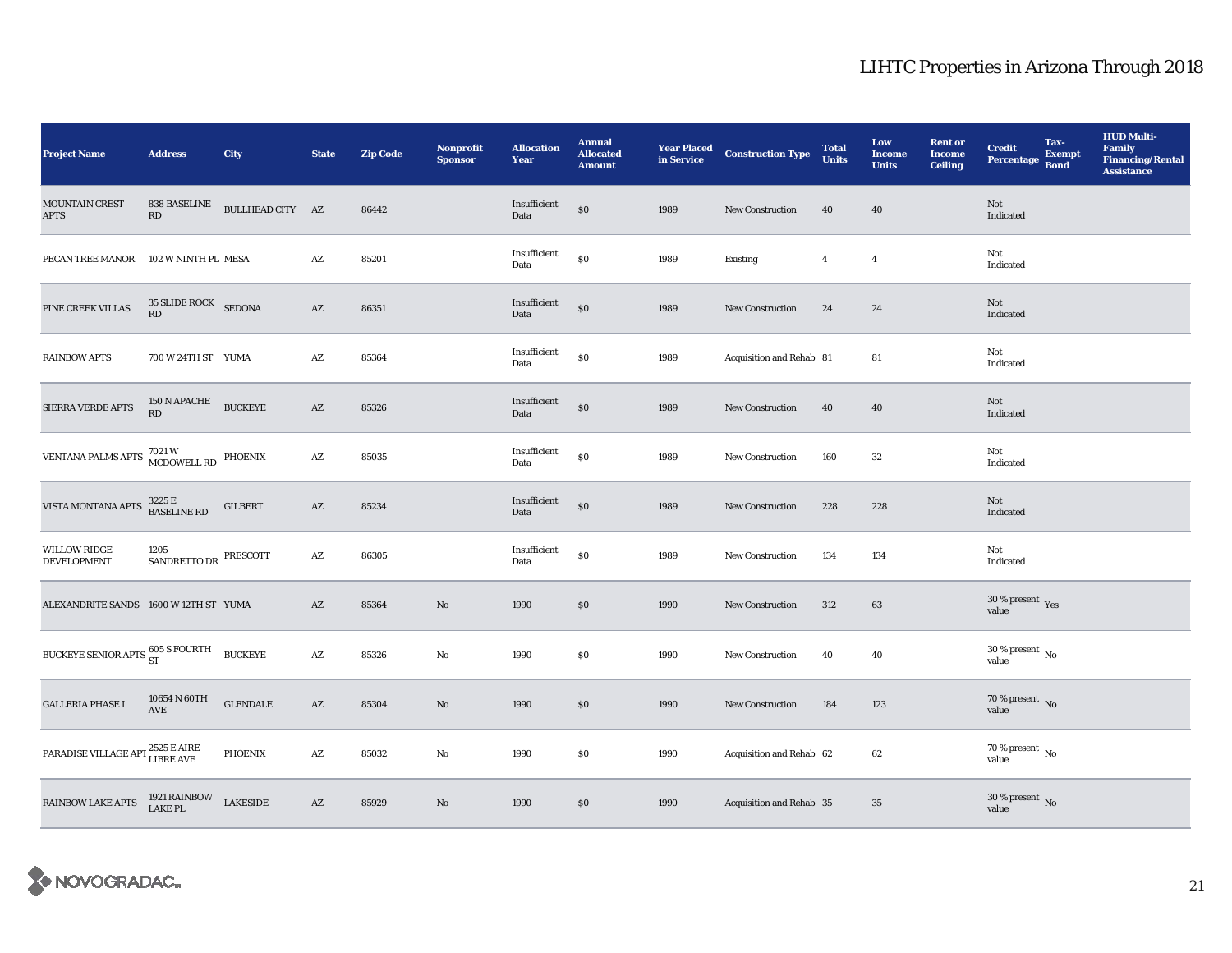| <b>Project Name</b>                                                                                                                    | <b>Address</b>                    | City             | <b>State</b>           | <b>Zip Code</b> | Nonprofit<br><b>Sponsor</b> | <b>Allocation</b><br>Year | <b>Annual</b><br><b>Allocated</b><br><b>Amount</b> | <b>Year Placed<br/>in Service</b> | <b>Construction Type</b> | <b>Total</b><br><b>Units</b> | Low<br><b>Income</b><br><b>Units</b> | <b>Rent</b> or<br><b>Income</b><br>Ceiling | <b>Credit</b><br>Percentage Bond   | Tax-<br><b>Exempt</b> | <b>HUD Multi-</b><br><b>Family</b><br><b>Financing/Rental</b><br><b>Assistance</b> |
|----------------------------------------------------------------------------------------------------------------------------------------|-----------------------------------|------------------|------------------------|-----------------|-----------------------------|---------------------------|----------------------------------------------------|-----------------------------------|--------------------------|------------------------------|--------------------------------------|--------------------------------------------|------------------------------------|-----------------------|------------------------------------------------------------------------------------|
| <b>MOUNTAIN CREST</b><br><b>APTS</b>                                                                                                   | 838 BASELINE<br>RD                | BULLHEAD CITY AZ |                        | 86442           |                             | Insufficient<br>Data      | \$0                                                | 1989                              | <b>New Construction</b>  | 40                           | 40                                   |                                            | Not<br>Indicated                   |                       |                                                                                    |
| PECAN TREE MANOR                                                                                                                       | 102 W NINTH PL MESA               |                  | $\mathbf{A}\mathbf{Z}$ | 85201           |                             | Insufficient<br>Data      | $\$0$                                              | 1989                              | Existing                 | $\overline{4}$               | $\overline{4}$                       |                                            | Not<br>Indicated                   |                       |                                                                                    |
| PINE CREEK VILLAS                                                                                                                      | 35 SLIDE ROCK SEDONA<br><b>RD</b> |                  | $\mathbf{A}\mathbf{Z}$ | 86351           |                             | Insufficient<br>Data      | \$0                                                | 1989                              | New Construction         | 24                           | 24                                   |                                            | Not<br>Indicated                   |                       |                                                                                    |
| <b>RAINBOW APTS</b>                                                                                                                    | 700 W 24TH ST YUMA                |                  | $\mathbf{A}\mathbf{Z}$ | 85364           |                             | Insufficient<br>Data      | \$0                                                | 1989                              | Acquisition and Rehab 81 |                              | 81                                   |                                            | Not<br>Indicated                   |                       |                                                                                    |
| <b>SIERRA VERDE APTS</b>                                                                                                               | $150$ N APACHE<br>RD              | <b>BUCKEYE</b>   | $\mathbf{A}\mathbf{Z}$ | 85326           |                             | Insufficient<br>Data      | \$0                                                | 1989                              | <b>New Construction</b>  | 40                           | 40                                   |                                            | Not<br>Indicated                   |                       |                                                                                    |
| VENTANA PALMS APTS $\stackrel{7021\,\rm{W}}{\text{MCDOWELL RD}}$ PHOENIX                                                               |                                   |                  | $\mathbf{A}\mathbf{Z}$ | 85035           |                             | Insufficient<br>Data      | $\$0$                                              | 1989                              | <b>New Construction</b>  | 160                          | 32                                   |                                            | Not<br>Indicated                   |                       |                                                                                    |
| VISTA MONTANA APTS                                                                                                                     | 3225 E<br>BASELINE RD             | <b>GILBERT</b>   | AZ                     | 85234           |                             | Insufficient<br>Data      | \$0                                                | 1989                              | <b>New Construction</b>  | 228                          | 228                                  |                                            | Not<br>Indicated                   |                       |                                                                                    |
| <b>WILLOW RIDGE</b><br><b>DEVELOPMENT</b>                                                                                              | 1205<br>SANDRETTO DR PRESCOTT     |                  | $\mathbf{A}\mathbf{Z}$ | 86305           |                             | Insufficient<br>Data      | \$0                                                | 1989                              | <b>New Construction</b>  | 134                          | 134                                  |                                            | Not<br>Indicated                   |                       |                                                                                    |
| ALEXANDRITE SANDS 1600 W 12TH ST YUMA                                                                                                  |                                   |                  | AZ                     | 85364           | No                          | 1990                      | \$0                                                | 1990                              | <b>New Construction</b>  | 312                          | 63                                   |                                            | 30 % present Yes<br>value          |                       |                                                                                    |
| BUCKEYE SENIOR APTS 605 S FOURTH                                                                                                       |                                   | <b>BUCKEYE</b>   | $\mathbf{A}\mathbf{Z}$ | 85326           | No                          | 1990                      | \$0                                                | 1990                              | New Construction         | 40                           | 40                                   |                                            | 30 % present $\,$ No $\,$<br>value |                       |                                                                                    |
| <b>GALLERIA PHASE I</b>                                                                                                                | 10654 N 60TH<br>AVE               | ${\tt GLENDALE}$ | $\mathbf{A}\mathbf{Z}$ | 85304           | $\rm\thinspace No$          | 1990                      | $\$0$                                              | 1990                              | New Construction         | 184                          | 123                                  |                                            | $70$ % present $\,$ No value       |                       |                                                                                    |
| PARADISE VILLAGE APT $^{2525}_{\rm LIBRE\;AVE}$                                                                                        |                                   | <b>PHOENIX</b>   | $\mathbf{A}\mathbf{Z}$ | 85032           | No                          | 1990                      | \$0                                                | 1990                              | Acquisition and Rehab 62 |                              | 62                                   |                                            | 70 % present $\hbox{~No}$<br>value |                       |                                                                                    |
| $\begin{tabular}{ll} \bf{RAINBOW LAKE \, APTS} & \begin{tabular}{ll} \bf{1921 \, RAINBOW} & \bf{LAKESIDE} \end{tabular} \end{tabular}$ |                                   |                  | AZ                     | 85929           | No                          | 1990                      | \$0                                                | 1990                              | Acquisition and Rehab 35 |                              | 35                                   |                                            | $30$ % present $\,$ No value       |                       |                                                                                    |

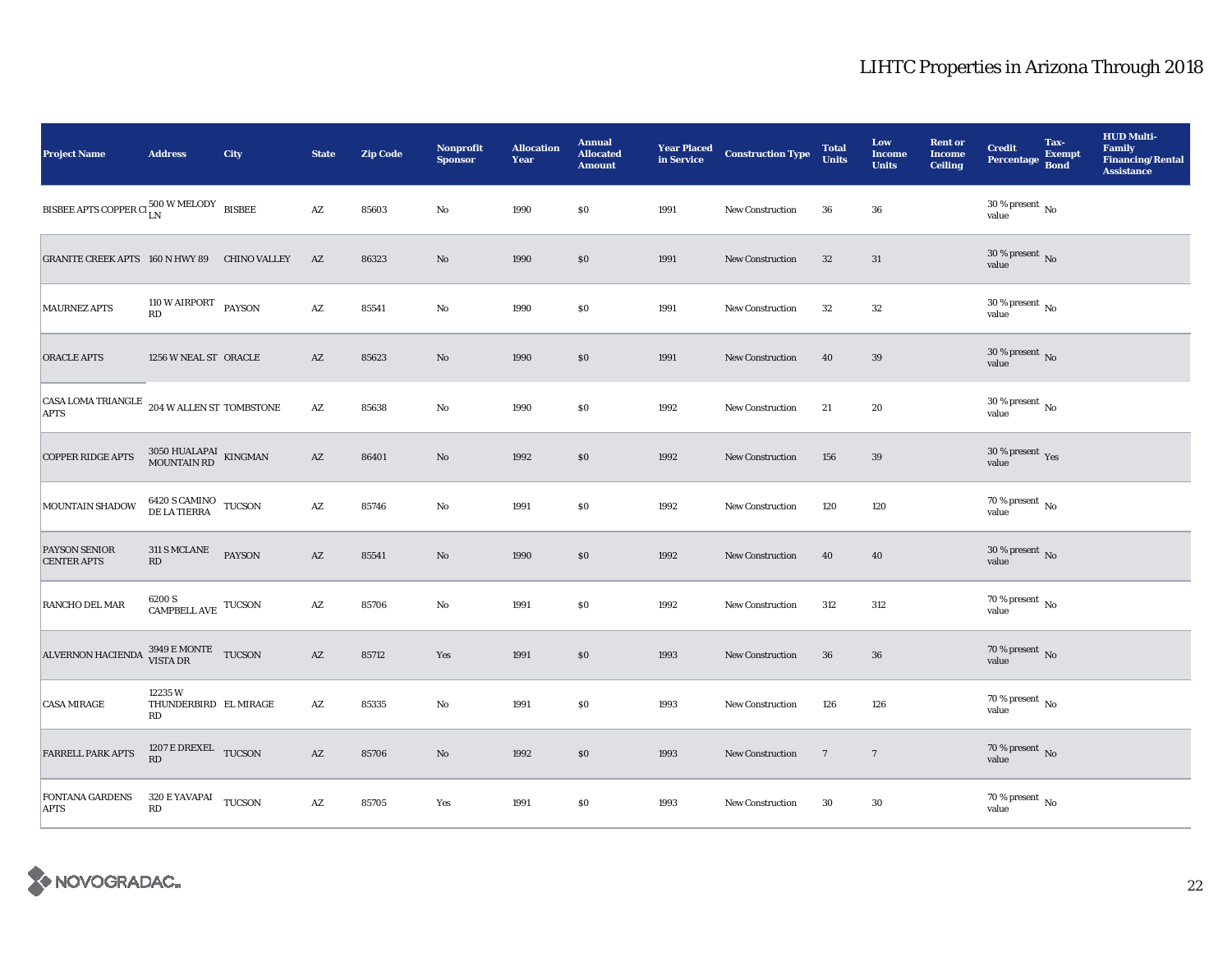| <b>Project Name</b>                                             | <b>Address</b>                                                                                              | City          | <b>State</b>           | <b>Zip Code</b> | <b>Nonprofit</b><br><b>Sponsor</b> | <b>Allocation</b><br>Year | <b>Annual</b><br><b>Allocated</b><br><b>Amount</b> | <b>Year Placed<br/>in Service</b> | <b>Construction Type</b> | <b>Total</b><br><b>Units</b> | Low<br><b>Income</b><br><b>Units</b> | <b>Rent or</b><br><b>Income</b><br><b>Ceiling</b> | <b>Credit</b><br>Percentage Bond       | Tax-<br><b>Exempt</b> | <b>HUD Multi-</b><br><b>Family</b><br><b>Financing/Rental</b><br><b>Assistance</b> |
|-----------------------------------------------------------------|-------------------------------------------------------------------------------------------------------------|---------------|------------------------|-----------------|------------------------------------|---------------------------|----------------------------------------------------|-----------------------------------|--------------------------|------------------------------|--------------------------------------|---------------------------------------------------|----------------------------------------|-----------------------|------------------------------------------------------------------------------------|
| BISBEE APTS COPPER CI $_{\rm LN}^{500\rm~W\,MELODY}$ BISBEE     |                                                                                                             |               | $\mathbf{A}\mathbf{Z}$ | 85603           | $\mathbf{No}$                      | 1990                      | \$0                                                | 1991                              | <b>New Construction</b>  | 36                           | 36                                   |                                                   | $30$ % present $\,$ No $\,$<br>value   |                       |                                                                                    |
| GRANITE CREEK APTS 160 N HWY 89 CHINO VALLEY                    |                                                                                                             |               | $\mathbf{A}\mathbf{Z}$ | 86323           | $\rm No$                           | 1990                      | $\$0$                                              | 1991                              | <b>New Construction</b>  | $32\phantom{.0}$             | 31                                   |                                                   | 30 % present $\,$ No $\,$<br>value     |                       |                                                                                    |
| <b>MAURNEZ APTS</b>                                             | 110 W AIRPORT PAYSON<br>RD                                                                                  |               | $\mathbf{A}\mathbf{Z}$ | 85541           | $\rm No$                           | 1990                      | \$0                                                | 1991                              | New Construction         | 32                           | $32\,$                               |                                                   | $30$ % present $\,$ No $\,$<br>value   |                       |                                                                                    |
| <b>ORACLE APTS</b>                                              | 1256 W NEAL ST ORACLE                                                                                       |               | AZ                     | 85623           | $\rm No$                           | 1990                      | \$0                                                | 1991                              | <b>New Construction</b>  | 40                           | 39                                   |                                                   | $30\,\%$ present $\,$ No $\,$<br>value |                       |                                                                                    |
| CASA LOMA TRIANGLE $_{204}$ W ALLEN ST TOMBSTONE<br><b>APTS</b> |                                                                                                             |               | $\mathbf{A}\mathbf{Z}$ | 85638           | $\rm No$                           | 1990                      | $\$0$                                              | 1992                              | <b>New Construction</b>  | 21                           | 20                                   |                                                   | $30\,\%$ present $\,$ No $\,$<br>value |                       |                                                                                    |
| <b>COPPER RIDGE APTS</b>                                        | $3050$ HUALAPAI $\,$ KINGMAN $\,$ MOUNTAIN RD                                                               |               | $\mathbf{A}\mathbf{Z}$ | 86401           | No                                 | 1992                      | \$0                                                | 1992                              | <b>New Construction</b>  | 156                          | 39                                   |                                                   | $30\,\%$ present $\,$ Yes value        |                       |                                                                                    |
| MOUNTAIN SHADOW                                                 | $\begin{array}{ll} 6420\text{ S CAMINO} & \text{TUCSON} \\ \text{DE LA TIERRA} & \text{TUCSON} \end{array}$ |               | $\mathbf{A}\mathbf{Z}$ | 85746           | No                                 | 1991                      | \$0                                                | 1992                              | <b>New Construction</b>  | 120                          | 120                                  |                                                   | $70$ % present $\,$ No $\,$<br>value   |                       |                                                                                    |
| <b>PAYSON SENIOR</b><br><b>CENTER APTS</b>                      | <b>311 S MCLANE</b><br>RD                                                                                   | <b>PAYSON</b> | $\mathbf{A}\mathbf{Z}$ | 85541           | $\rm No$                           | 1990                      | \$0                                                | 1992                              | <b>New Construction</b>  | 40                           | 40                                   |                                                   | $30\,\%$ present $\,$ No value         |                       |                                                                                    |
| RANCHO DEL MAR                                                  | $6200$ S $\_$ CAMPBELL AVE $\_$ TUCSON $\_$                                                                 |               | $\mathbf{A}\mathbf{Z}$ | 85706           | No                                 | 1991                      | \$0                                                | 1992                              | <b>New Construction</b>  | 312                          | 312                                  |                                                   | $70$ % present $\,$ No $\,$<br>value   |                       |                                                                                    |
| ALVERNON HACIENDA 3949 E MONTE TUCSON                           |                                                                                                             |               | $\mathbf{A}\mathbf{Z}$ | 85712           | Yes                                | 1991                      | \$0                                                | 1993                              | <b>New Construction</b>  | 36                           | 36                                   |                                                   | 70 % present $\,$ No $\,$<br>value     |                       |                                                                                    |
| <b>CASA MIRAGE</b>                                              | 12235W<br>THUNDERBIRD EL MIRAGE<br>RD                                                                       |               | AZ                     | 85335           | No                                 | 1991                      | \$0                                                | 1993                              | <b>New Construction</b>  | 126                          | 126                                  |                                                   | $70$ % present $\,$ No $\,$<br>value   |                       |                                                                                    |
| <b>FARRELL PARK APTS</b>                                        | 1207 E DREXEL TUCSON<br>$\mathbf{R}\mathbf{D}$                                                              |               | $\mathbf{A}\mathbf{Z}$ | 85706           | $\rm No$                           | 1992                      | \$0                                                | 1993                              | <b>New Construction</b>  | $7\phantom{.0}$              | $7\phantom{.0}$                      |                                                   | $70$ % present $\,$ No $\,$<br>value   |                       |                                                                                    |
| <b>FONTANA GARDENS</b><br><b>APTS</b>                           | 320 E YAVAPAI TUCSON<br>RD                                                                                  |               | AZ                     | 85705           | Yes                                | 1991                      | \$0                                                | 1993                              | <b>New Construction</b>  | 30                           | $30\,$                               |                                                   | $70$ % present $\,$ No $\,$<br>value   |                       |                                                                                    |

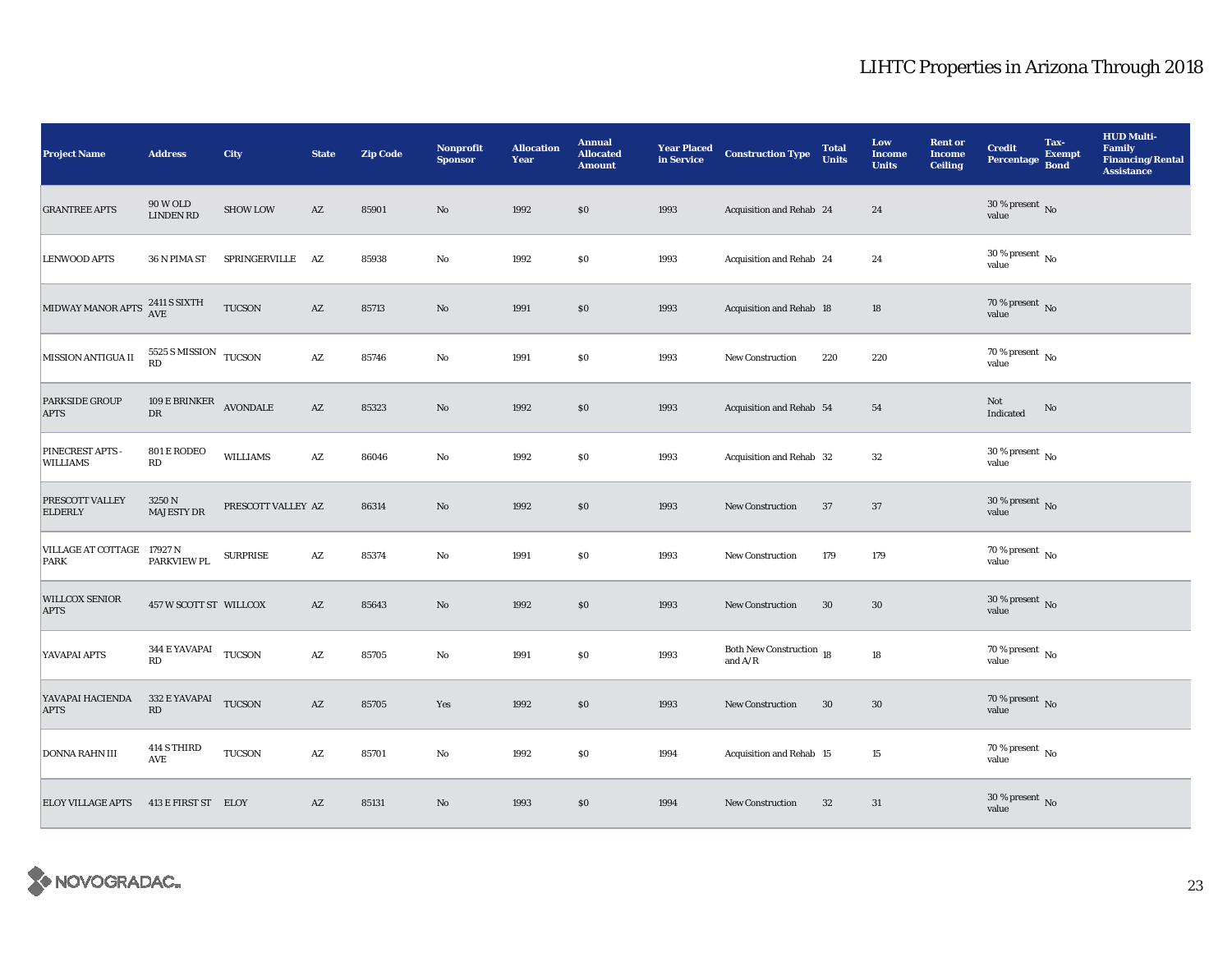| <b>Project Name</b>                  | <b>Address</b>                                 | <b>City</b>        | <b>State</b>           | <b>Zip Code</b> | <b>Nonprofit</b><br><b>Sponsor</b> | <b>Allocation</b><br>Year | <b>Annual</b><br><b>Allocated</b><br><b>Amount</b> | <b>Year Placed<br/>in Service</b> | <b>Construction Type</b>              | <b>Total</b><br><b>Units</b> | Low<br><b>Income</b><br><b>Units</b> | <b>Rent or</b><br><b>Income</b><br><b>Ceiling</b> | <b>Credit</b><br>Percentage            | Tax-<br><b>Exempt</b><br><b>Bond</b> | <b>HUD Multi-</b><br><b>Family</b><br><b>Financing/Rental</b><br><b>Assistance</b> |
|--------------------------------------|------------------------------------------------|--------------------|------------------------|-----------------|------------------------------------|---------------------------|----------------------------------------------------|-----------------------------------|---------------------------------------|------------------------------|--------------------------------------|---------------------------------------------------|----------------------------------------|--------------------------------------|------------------------------------------------------------------------------------|
| <b>GRANTREE APTS</b>                 | <b>90 W OLD</b><br><b>LINDEN RD</b>            | <b>SHOW LOW</b>    | $\mathbf{A}\mathbf{Z}$ | 85901           | $\rm No$                           | 1992                      | \$0\$                                              | 1993                              | Acquisition and Rehab 24              |                              | 24                                   |                                                   | $30\,\%$ present $\,$ No value         |                                      |                                                                                    |
| <b>LENWOOD APTS</b>                  | 36 N PIMA ST                                   | SPRINGERVILLE AZ   |                        | 85938           | $\rm No$                           | 1992                      | \$0\$                                              | 1993                              | Acquisition and Rehab 24              |                              | 24                                   |                                                   | 30 % present $\,$ No $\,$<br>value     |                                      |                                                                                    |
| MIDWAY MANOR APTS 2411 S SIXTH       |                                                | TUCSON             | $\mathbf{A}\mathbf{Z}$ | 85713           | $\mathbf{No}$                      | 1991                      | \$0                                                | 1993                              | Acquisition and Rehab 18              |                              | 18                                   |                                                   | 70 % present $\,$ No $\,$<br>value     |                                      |                                                                                    |
| MISSION ANTIGUA II                   | $5525$ S MISSION $$\,{\rm TUCSON}\,$ RD        |                    | $\mathbf{A}\mathbf{Z}$ | 85746           | ${\bf No}$                         | 1991                      | \$0\$                                              | 1993                              | New Construction                      | 220                          | 220                                  |                                                   | 70 % present $\,$ No $\,$<br>value     |                                      |                                                                                    |
| <b>PARKSIDE GROUP</b><br><b>APTS</b> | 109 E BRINKER<br>${\rm D}{\rm R}$              | <b>AVONDALE</b>    | $\mathbf{A}\mathbf{Z}$ | 85323           | No                                 | 1992                      | \$0\$                                              | 1993                              | Acquisition and Rehab 54              |                              | 54                                   |                                                   | Not<br>Indicated                       | No                                   |                                                                                    |
| PINECREST APTS -<br><b>WILLIAMS</b>  | 801 E RODEO<br>RD                              | <b>WILLIAMS</b>    | $\mathbf{A}\mathbf{Z}$ | 86046           | $\mathbf {No}$                     | 1992                      | $\$0$                                              | 1993                              | Acquisition and Rehab 32              |                              | $32\,$                               |                                                   | $30\,\%$ present $\,$ No $\,$<br>value |                                      |                                                                                    |
| PRESCOTT VALLEY<br><b>ELDERLY</b>    | 3250 N<br><b>MAJESTY DR</b>                    | PRESCOTT VALLEY AZ |                        | 86314           | $\mathbf{N}\mathbf{o}$             | 1992                      | \$0                                                | 1993                              | <b>New Construction</b>               | 37                           | 37                                   |                                                   | $30\,\%$ present $\,$ No value         |                                      |                                                                                    |
| VILLAGE AT COTTAGE 17927 N<br>PARK   | <b>PARKVIEW PL</b>                             | <b>SURPRISE</b>    | $\mathbf{A}\mathbf{Z}$ | 85374           | No                                 | 1991                      | $\$0$                                              | 1993                              | <b>New Construction</b>               | 179                          | 179                                  |                                                   | 70 % present $\,$ No $\,$<br>value     |                                      |                                                                                    |
| <b>WILLCOX SENIOR</b><br><b>APTS</b> | 457 W SCOTT ST WILLCOX                         |                    | AZ                     | 85643           | No                                 | 1992                      | \$0\$                                              | 1993                              | New Construction                      | 30                           | 30                                   |                                                   | 30 % present $\,$ No $\,$<br>value     |                                      |                                                                                    |
| YAVAPAI APTS                         | 344 E YAVAPAI TUCSON<br>RD                     |                    | AZ                     | 85705           | $\mathbf{N}\mathbf{o}$             | 1991                      | \$0\$                                              | 1993                              | Both New Construction 18<br>and $A/R$ |                              | 18                                   |                                                   | $70$ % present $\,$ No $\,$<br>value   |                                      |                                                                                    |
| YAVAPAI HACIENDA<br><b>APTS</b>      | 332 E YAVAPAI TUCSON<br>$\mathbf{R}\mathbf{D}$ |                    | $\mathbf{A}\mathbf{Z}$ | 85705           | Yes                                | 1992                      | \$0\$                                              | 1993                              | New Construction                      | 30                           | $30\,$                               |                                                   | 70 % present $\,$ No $\,$<br>value     |                                      |                                                                                    |
| DONNA RAHN III                       | 414 S THIRD<br>$\operatorname{\mathsf{AVE}}$   | <b>TUCSON</b>      | $\mathbf{A}\mathbf{Z}$ | 85701           | No                                 | 1992                      | \$0                                                | 1994                              | Acquisition and Rehab 15              |                              | 15                                   |                                                   | $70$ % present $\,$ No $\,$<br>value   |                                      |                                                                                    |
| <b>ELOY VILLAGE APTS</b>             | 413 E FIRST ST ELOY                            |                    | $\mathbf{A}\mathbf{Z}$ | 85131           | No                                 | 1993                      | \$0                                                | 1994                              | <b>New Construction</b>               | 32                           | 31                                   |                                                   | $30\,\%$ present $\,$ No value         |                                      |                                                                                    |

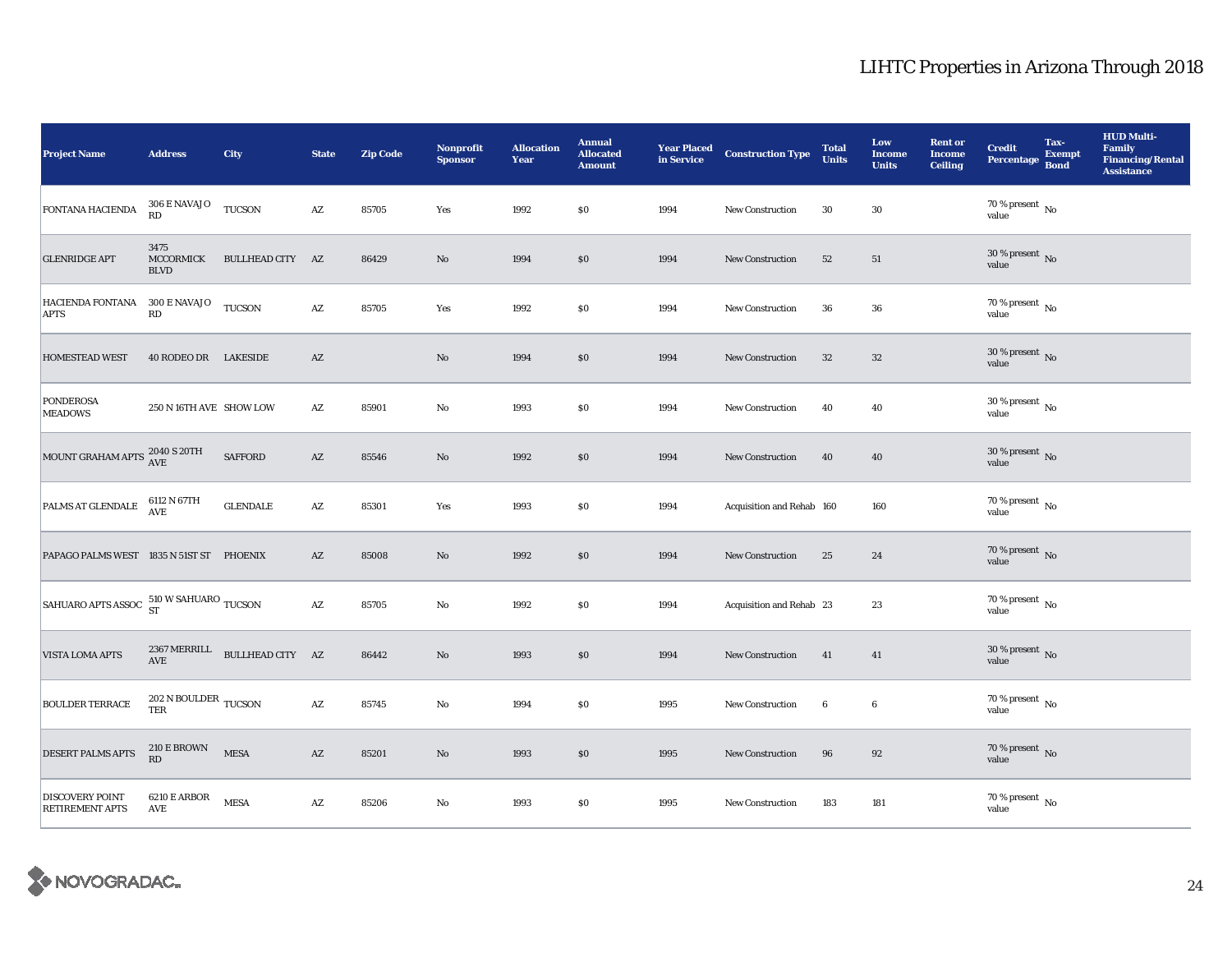| <b>Project Name</b>                              | <b>Address</b>                                 | <b>City</b>                                   | <b>State</b>           | <b>Zip Code</b> | <b>Nonprofit</b><br><b>Sponsor</b> | <b>Allocation</b><br>Year | <b>Annual</b><br><b>Allocated</b><br><b>Amount</b> | <b>Year Placed</b><br>in Service | <b>Construction Type</b>  | <b>Total</b><br><b>Units</b> | Low<br><b>Income</b><br><b>Units</b> | <b>Rent or</b><br><b>Income</b><br><b>Ceiling</b> | <b>Credit</b><br><b>Percentage</b>         | Tax-<br><b>Exempt</b><br><b>Bond</b> | <b>HUD Multi-</b><br><b>Family</b><br><b>Financing/Rental</b><br><b>Assistance</b> |
|--------------------------------------------------|------------------------------------------------|-----------------------------------------------|------------------------|-----------------|------------------------------------|---------------------------|----------------------------------------------------|----------------------------------|---------------------------|------------------------------|--------------------------------------|---------------------------------------------------|--------------------------------------------|--------------------------------------|------------------------------------------------------------------------------------|
| FONTANA HACIENDA                                 | $306\to$ NAVAJO<br>RD                          | <b>TUCSON</b>                                 | $\mathbf{A}\mathbf{Z}$ | 85705           | Yes                                | 1992                      | $\$0$                                              | 1994                             | <b>New Construction</b>   | 30                           | 30                                   |                                                   | $70\%$ present $\overline{N_0}$<br>value   |                                      |                                                                                    |
| <b>GLENRIDGE APT</b>                             | 3475<br>MCCORMICK<br><b>BLVD</b>               | BULLHEAD CITY AZ                              |                        | 86429           | $\rm No$                           | 1994                      | \$0                                                | 1994                             | <b>New Construction</b>   | 52                           | 51                                   |                                                   | 30 % present $\,$ No $\,$<br>value         |                                      |                                                                                    |
| HACIENDA FONTANA 300 E NAVAJO<br><b>APTS</b>     | RD                                             | <b>TUCSON</b>                                 | AZ                     | 85705           | Yes                                | 1992                      | \$0                                                | 1994                             | New Construction          | 36                           | 36                                   |                                                   | $70$ % present $\,$ No $\,$<br>value       |                                      |                                                                                    |
| <b>HOMESTEAD WEST</b>                            | 40 RODEO DR LAKESIDE                           |                                               | $\mathbf{A}\mathbf{Z}$ |                 | $\rm No$                           | 1994                      | \$0                                                | 1994                             | New Construction          | 32                           | $32\,$                               |                                                   | $30$ % present $\,$ No $\,$<br>value       |                                      |                                                                                    |
| <b>PONDEROSA</b><br><b>MEADOWS</b>               | 250 N 16TH AVE SHOW LOW                        |                                               | $\mathbf{A}\mathbf{Z}$ | 85901           | $\mathbf{N}\mathbf{o}$             | 1993                      | $\$0$                                              | 1994                             | <b>New Construction</b>   | 40                           | 40                                   |                                                   | $30$ % present $\,$ No $\,$<br>value       |                                      |                                                                                    |
| MOUNT GRAHAM APTS 2040 S 20TH                    |                                                | <b>SAFFORD</b>                                | $\mathbf{A}\mathbf{Z}$ | 85546           | $\mathbf{No}$                      | 1992                      | \$0                                                | 1994                             | <b>New Construction</b>   | 40                           | 40                                   |                                                   | $30\,\%$ present $\,$ No $\,$<br>value     |                                      |                                                                                    |
| PALMS AT GLENDALE $^{6112}$ N 67TH               |                                                | <b>GLENDALE</b>                               | AZ                     | 85301           | Yes                                | 1993                      | \$0                                                | 1994                             | Acquisition and Rehab 160 |                              | 160                                  |                                                   | $70$ % present $\,$ No $\,$<br>value       |                                      |                                                                                    |
| PAPAGO PALMS WEST 1835 N 51ST ST PHOENIX         |                                                |                                               | $\mathbf{A}\mathbf{Z}$ | 85008           | No                                 | 1992                      | $\$0$                                              | 1994                             | <b>New Construction</b>   | 25                           | 24                                   |                                                   | $70$ % present $\,$ No value               |                                      |                                                                                    |
| SAHUARO APTS ASSOC 510 W SAHUARO TUCSON          |                                                |                                               | $\mathbf{A}\mathbf{Z}$ | 85705           | No                                 | 1992                      | $\$0$                                              | 1994                             | Acquisition and Rehab 23  |                              | 23                                   |                                                   | $70$ % present $\,$ No $\,$<br>value       |                                      |                                                                                    |
| VISTA LOMA APTS                                  | AVE                                            | 2367 MERRILL $\quad$ BULLHEAD CITY $\quad$ AZ |                        | 86442           | No                                 | 1993                      | \$0                                                | 1994                             | <b>New Construction</b>   | 41                           | 41                                   |                                                   | 30 % present $\,$ No $\,$<br>value         |                                      |                                                                                    |
| <b>BOULDER TERRACE</b>                           | $202$ N BOULDER $\,$ TUCSON $\,$<br><b>TER</b> |                                               | A Z                    | 85745           | $\mathbf{N}\mathbf{o}$             | 1994                      | \$0                                                | 1995                             | New Construction          | 6                            | $\boldsymbol{6}$                     |                                                   | $70$ % present $\,$ No $\,$<br>value       |                                      |                                                                                    |
| <b>DESERT PALMS APTS</b>                         | 210 E BROWN<br>RD                              | <b>MESA</b>                                   | $\mathbf{A}\mathbf{Z}$ | 85201           | $\rm No$                           | 1993                      | \$0                                                | 1995                             | New Construction          | 96                           | 92                                   |                                                   | 70 % present $\,$ No $\,$<br>value         |                                      |                                                                                    |
| <b>DISCOVERY POINT</b><br><b>RETIREMENT APTS</b> | 6210 E ARBOR<br><b>AVE</b>                     | <b>MESA</b>                                   | $\mathbf{A}\mathbf{Z}$ | 85206           | $\rm No$                           | 1993                      | \$0                                                | 1995                             | New Construction          | 183                          | 181                                  |                                                   | $70\,\%$ present $\overline{N_0}$<br>value |                                      |                                                                                    |

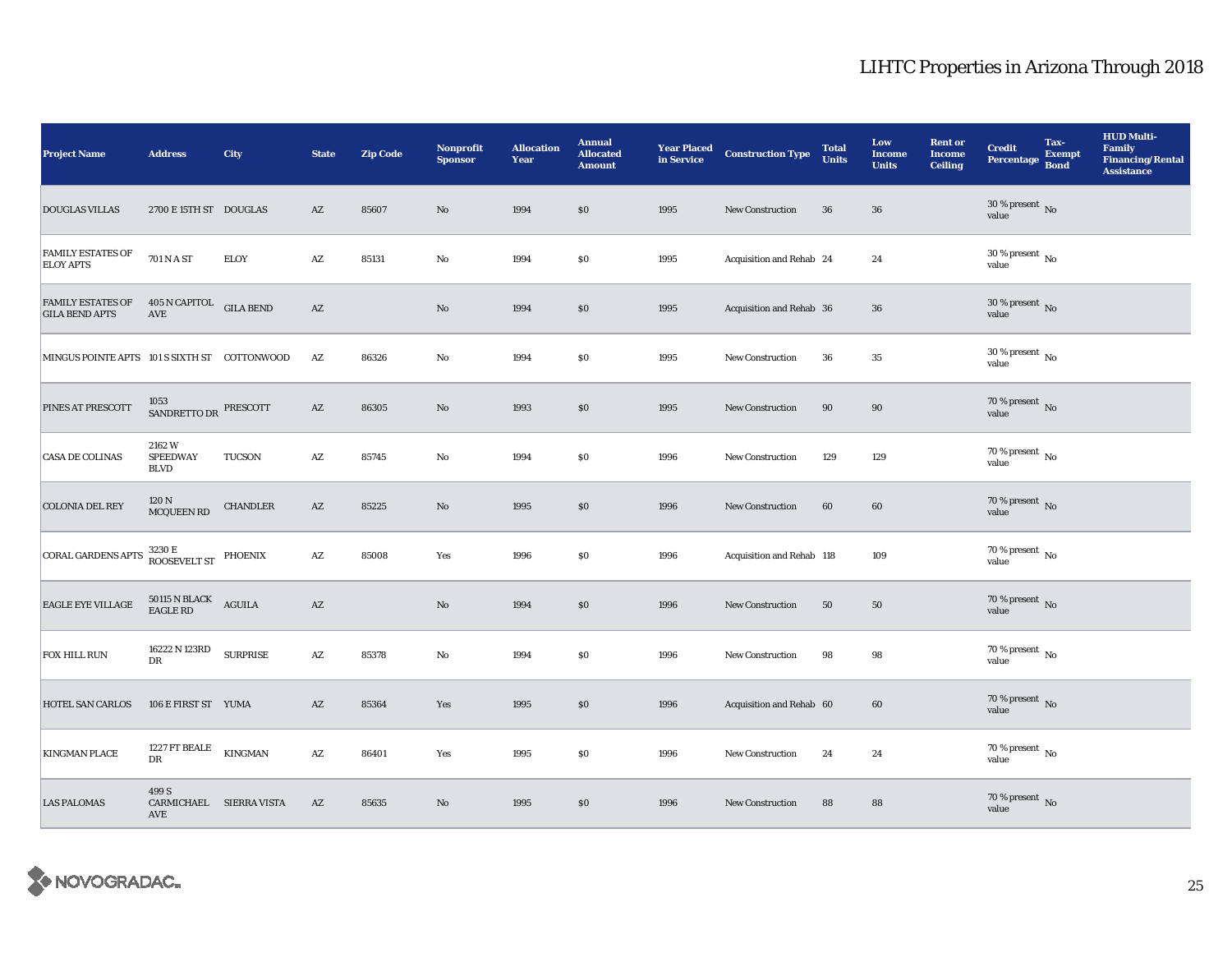| <b>Project Name</b>                                                | <b>Address</b>                                 | <b>City</b>     | <b>State</b>           | <b>Zip Code</b> | <b>Nonprofit</b><br><b>Sponsor</b> | <b>Allocation</b><br>Year | <b>Annual</b><br><b>Allocated</b><br><b>Amount</b> | <b>Year Placed</b><br>in Service | <b>Construction Type</b>  | <b>Total</b><br><b>Units</b> | Low<br><b>Income</b><br><b>Units</b> | <b>Rent or</b><br><b>Income</b><br><b>Ceiling</b> | <b>Credit</b><br><b>Percentage</b>       | Tax-<br><b>Exempt</b><br><b>Bond</b> | <b>HUD Multi-</b><br><b>Family</b><br><b>Financing/Rental</b><br><b>Assistance</b> |
|--------------------------------------------------------------------|------------------------------------------------|-----------------|------------------------|-----------------|------------------------------------|---------------------------|----------------------------------------------------|----------------------------------|---------------------------|------------------------------|--------------------------------------|---------------------------------------------------|------------------------------------------|--------------------------------------|------------------------------------------------------------------------------------|
| <b>DOUGLAS VILLAS</b>                                              | 2700 E 15TH ST DOUGLAS                         |                 | $\mathbf{A}\mathbf{Z}$ | 85607           | No                                 | 1994                      | \$0                                                | 1995                             | <b>New Construction</b>   | 36                           | ${\bf 36}$                           |                                                   | $30\,\%$ present $\,$ No value           |                                      |                                                                                    |
| <b>FAMILY ESTATES OF</b><br><b>ELOY APTS</b>                       | $701\,\mathrm{N}$ A ST                         | <b>ELOY</b>     | $\mathbf{A}\mathbf{Z}$ | 85131           | No                                 | 1994                      | \$0\$                                              | 1995                             | Acquisition and Rehab 24  |                              | 24                                   |                                                   | 30 % present $\,$ No $\,$<br>value       |                                      |                                                                                    |
| FAMILY ESTATES OF 405 N CAPITOL GILA BEND<br><b>GILA BEND APTS</b> | $\operatorname{AVE}$                           |                 | $\mathbf{A}\mathbf{Z}$ |                 | $\mathbf{No}$                      | 1994                      | \$0                                                | 1995                             | Acquisition and Rehab 36  |                              | 36                                   |                                                   | $30\,\%$ present $\,$ No value           |                                      |                                                                                    |
| MINGUS POINTE APTS 101 S SIXTH ST COTTONWOOD                       |                                                |                 | AZ                     | 86326           | No                                 | 1994                      | \$0\$                                              | 1995                             | <b>New Construction</b>   | 36                           | $\bf 35$                             |                                                   | $30\,\%$ present $\,$ No $\,$<br>value   |                                      |                                                                                    |
| <b>PINES AT PRESCOTT</b>                                           | 1053<br>SANDRETTO DR PRESCOTT                  |                 | $\mathbf{A}\mathbf{Z}$ | 86305           | $\mathbf{No}$                      | 1993                      | \$0                                                | 1995                             | New Construction          | 90                           | $90\,$                               |                                                   | $70$ % present $\,$ No value             |                                      |                                                                                    |
| <b>CASA DE COLINAS</b>                                             | 2162W<br><b>SPEEDWAY</b><br><b>BLVD</b>        | <b>TUCSON</b>   | $\mathbf{A}\mathbf{Z}$ | 85745           | No                                 | 1994                      | \$0\$                                              | 1996                             | New Construction          | 129                          | 129                                  |                                                   | $70\%$ present $\overline{N_0}$<br>value |                                      |                                                                                    |
| <b>COLONIA DEL REY</b>                                             | 120 N<br>MCQUEEN RD                            | <b>CHANDLER</b> | $\mathbf{A}\mathbf{Z}$ | 85225           | $\mathbf{No}$                      | 1995                      | $\$0$                                              | 1996                             | New Construction          | 60                           | 60                                   |                                                   | $70\,\%$ present $\,$ No value           |                                      |                                                                                    |
| <b>CORAL GARDENS APTS</b>                                          | 3230 E<br>ROOSEVELT ST                         | PHOENIX         | AZ                     | 85008           | Yes                                | 1996                      | \$0                                                | 1996                             | Acquisition and Rehab 118 |                              | 109                                  |                                                   | 70 % present $\,$ No $\,$<br>value       |                                      |                                                                                    |
| <b>EAGLE EYE VILLAGE</b>                                           | $50115$ N BLACK<br>AGUILA<br>EAGLE RD<br>      |                 | $\mathbf{A}\mathbf{Z}$ |                 | $\mathbf{No}$                      | 1994                      | $\$0$                                              | 1996                             | New Construction          | 50                           | 50                                   |                                                   | $70\,\%$ present $\,$ No value           |                                      |                                                                                    |
| FOX HILL RUN                                                       | 16222 N 123RD<br>DR                            | <b>SURPRISE</b> | $\mathbf{A}\mathbf{Z}$ | 85378           | No                                 | 1994                      | \$0                                                | 1996                             | New Construction          | 98                           | 98                                   |                                                   | 70 % present $\,$ No $\,$<br>value       |                                      |                                                                                    |
| <b>HOTEL SAN CARLOS</b>                                            | 106 E FIRST ST YUMA                            |                 | $\mathbf{A}\mathbf{Z}$ | 85364           | Yes                                | 1995                      | \$0                                                | 1996                             | Acquisition and Rehab 60  |                              | 60                                   |                                                   | 70 % present $\,$ No $\,$<br>value       |                                      |                                                                                    |
| <b>KINGMAN PLACE</b>                                               | 1227 FT BEALE<br>${\rm DR}$                    | <b>KINGMAN</b>  | $\mathbf{A}\mathbf{Z}$ | 86401           | Yes                                | 1995                      | \$0\$                                              | 1996                             | <b>New Construction</b>   | 24                           | 24                                   |                                                   | 70 % present $\,$ No $\,$<br>value       |                                      |                                                                                    |
| <b>LAS PALOMAS</b>                                                 | 499 S<br>CARMICHAEL SIERRA VISTA<br><b>AVE</b> |                 | AZ                     | 85635           | No                                 | 1995                      | \$0\$                                              | 1996                             | <b>New Construction</b>   | 88                           | 88                                   |                                                   | $70\,\%$ present $\,$ No value           |                                      |                                                                                    |

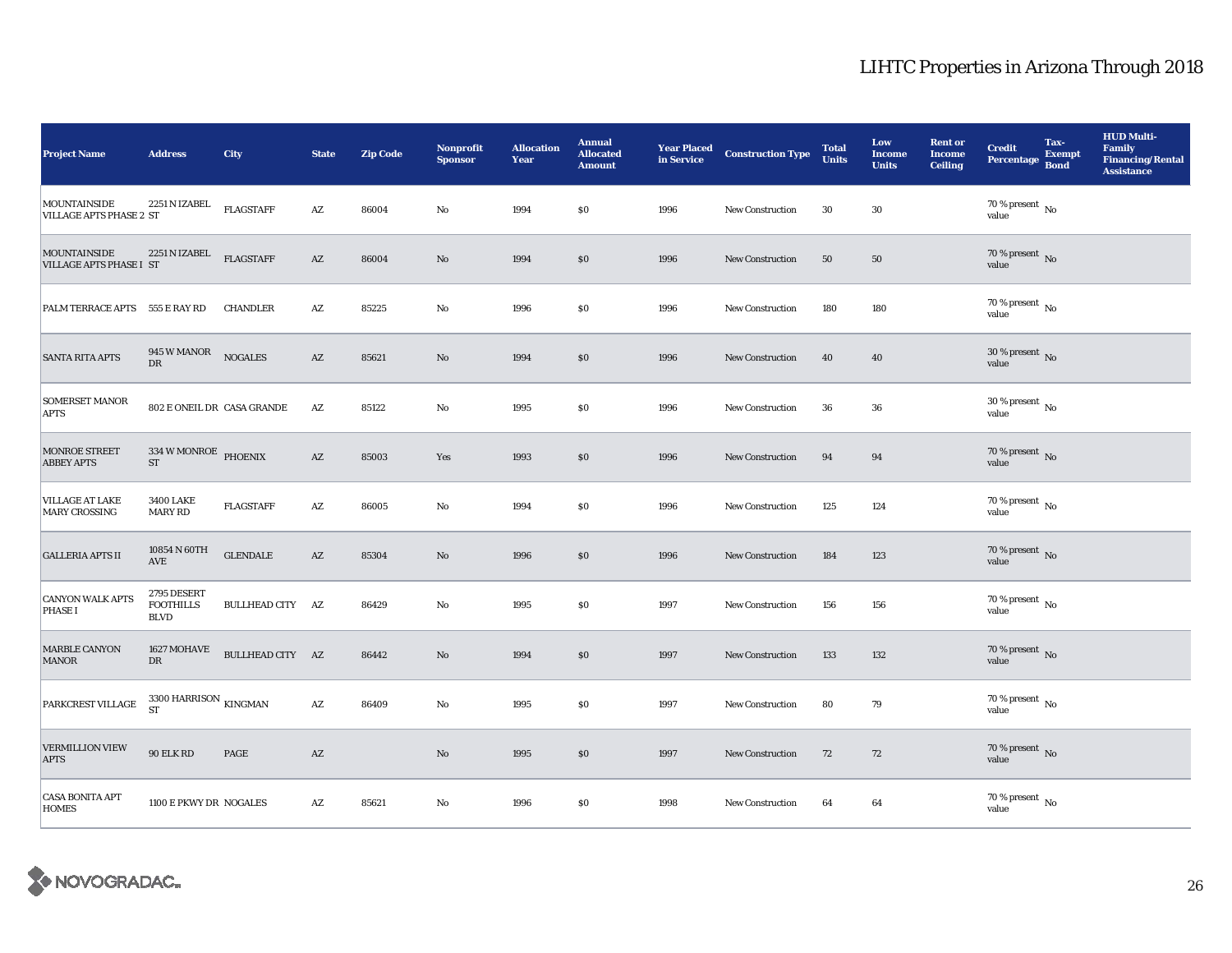| <b>Project Name</b>                                   | <b>Address</b>                                 | <b>City</b>             | <b>State</b>           | <b>Zip Code</b> | Nonprofit<br><b>Sponsor</b> | <b>Allocation</b><br>Year | <b>Annual</b><br><b>Allocated</b><br><b>Amount</b> | <b>Year Placed</b><br>in Service | <b>Construction Type</b> | <b>Total</b><br><b>Units</b> | Low<br><b>Income</b><br><b>Units</b> | <b>Rent or</b><br><b>Income</b><br><b>Ceiling</b> | <b>Credit</b><br><b>Percentage</b>         | Tax-<br><b>Exempt</b><br><b>Bond</b> | <b>HUD Multi-</b><br><b>Family</b><br><b>Financing/Rental</b><br><b>Assistance</b> |
|-------------------------------------------------------|------------------------------------------------|-------------------------|------------------------|-----------------|-----------------------------|---------------------------|----------------------------------------------------|----------------------------------|--------------------------|------------------------------|--------------------------------------|---------------------------------------------------|--------------------------------------------|--------------------------------------|------------------------------------------------------------------------------------|
| MOUNTAINSIDE<br><b>VILLAGE APTS PHASE 2 ST</b>        | 2251 N IZABEL                                  | <b>FLAGSTAFF</b>        | $\mathbf{A}\mathbf{Z}$ | 86004           | No                          | 1994                      | \$0                                                | 1996                             | <b>New Construction</b>  | 30                           | 30                                   |                                                   | $70\%$ present $\overline{N_0}$<br>value   |                                      |                                                                                    |
| <b>MOUNTAINSIDE</b><br><b>VILLAGE APTS PHASE I ST</b> | 2251 N IZABEL                                  | <b>FLAGSTAFF</b>        | AZ                     | 86004           | $\rm No$                    | 1994                      | \$0                                                | 1996                             | <b>New Construction</b>  | 50                           | 50                                   |                                                   | 70 % present $\overline{N}$<br>value       |                                      |                                                                                    |
| PALM TERRACE APTS 555 E RAY RD                        |                                                | <b>CHANDLER</b>         | AZ                     | 85225           | No                          | 1996                      | \$0                                                | 1996                             | New Construction         | 180                          | 180                                  |                                                   | $70$ % present $\,$ No $\,$<br>value       |                                      |                                                                                    |
| <b>SANTA RITA APTS</b>                                | 945 W MANOR NOGALES<br>DR                      |                         | AZ                     | 85621           | $\rm No$                    | 1994                      | \$0                                                | 1996                             | New Construction         | 40                           | 40                                   |                                                   | $30$ % present $\,$ No $\,$<br>value       |                                      |                                                                                    |
| <b>SOMERSET MANOR</b><br><b>APTS</b>                  | 802 E ONEIL DR CASA GRANDE                     |                         | $\mathbf{A}\mathbf{Z}$ | 85122           | $\mathbf{N}\mathbf{o}$      | 1995                      | $\$0$                                              | 1996                             | <b>New Construction</b>  | 36                           | 36                                   |                                                   | $30$ % present $\,$ No $\,$<br>value       |                                      |                                                                                    |
| <b>MONROE STREET</b><br><b>ABBEY APTS</b>             | $334\,\rm{W}$ MONROE PHOENIX<br><b>ST</b>      |                         | $\mathbf{A}\mathbf{Z}$ | 85003           | Yes                         | 1993                      | \$0                                                | 1996                             | <b>New Construction</b>  | 94                           | 94                                   |                                                   | 70 % present $\,$ No $\,$<br>value         |                                      |                                                                                    |
| <b>VILLAGE AT LAKE</b><br><b>MARY CROSSING</b>        | <b>3400 LAKE</b><br><b>MARY RD</b>             | <b>FLAGSTAFF</b>        | AZ                     | 86005           | No                          | 1994                      | \$0                                                | 1996                             | <b>New Construction</b>  | 125                          | 124                                  |                                                   | $70$ % present $\,$ No $\,$<br>value       |                                      |                                                                                    |
| <b>GALLERIA APTS II</b>                               | 10854 N 60TH<br><b>AVE</b>                     | <b>GLENDALE</b>         | $\mathbf{A}\mathbf{Z}$ | 85304           | No                          | 1996                      | $\$0$                                              | 1996                             | <b>New Construction</b>  | 184                          | 123                                  |                                                   | 70 % present $\,$ No $\,$<br>value         |                                      |                                                                                    |
| <b>CANYON WALK APTS</b><br>PHASE I                    | 2795 DESERT<br><b>FOOTHILLS</b><br><b>BLVD</b> | <b>BULLHEAD CITY AZ</b> |                        | 86429           | No                          | 1995                      | $\$0$                                              | 1997                             | <b>New Construction</b>  | 156                          | 156                                  |                                                   | $70$ % present $\,$ No $\,$<br>value       |                                      |                                                                                    |
| MARBLE CANYON<br><b>MANOR</b>                         | 1627 MOHAVE<br>DR                              | BULLHEAD CITY AZ        |                        | 86442           | No                          | 1994                      | \$0                                                | 1997                             | <b>New Construction</b>  | 133                          | 132                                  |                                                   | $70\,\%$ present No<br>value               |                                      |                                                                                    |
| PARKCREST VILLAGE                                     | 3300 HARRISON $_{\rm{KINGMAN}}$<br><b>ST</b>   |                         | A Z                    | 86409           | $\mathbf{N}\mathbf{o}$      | 1995                      | \$0                                                | 1997                             | New Construction         | 80                           | 79                                   |                                                   | $70$ % present $\,$ No $\,$<br>value       |                                      |                                                                                    |
| <b>VERMILLION VIEW</b><br><b>APTS</b>                 | 90 ELK RD                                      | PAGE                    | AZ                     |                 | $\rm No$                    | 1995                      | \$0                                                | 1997                             | New Construction         | 72                           | 72                                   |                                                   | 70 % present $\overline{N}$<br>value       |                                      |                                                                                    |
| <b>CASA BONITA APT</b><br><b>HOMES</b>                | 1100 E PKWY DR NOGALES                         |                         | $\mathbf{A}\mathbf{Z}$ | 85621           | $\rm No$                    | 1996                      | \$0                                                | 1998                             | New Construction         | 64                           | 64                                   |                                                   | $70\,\%$ present $\overline{N_0}$<br>value |                                      |                                                                                    |

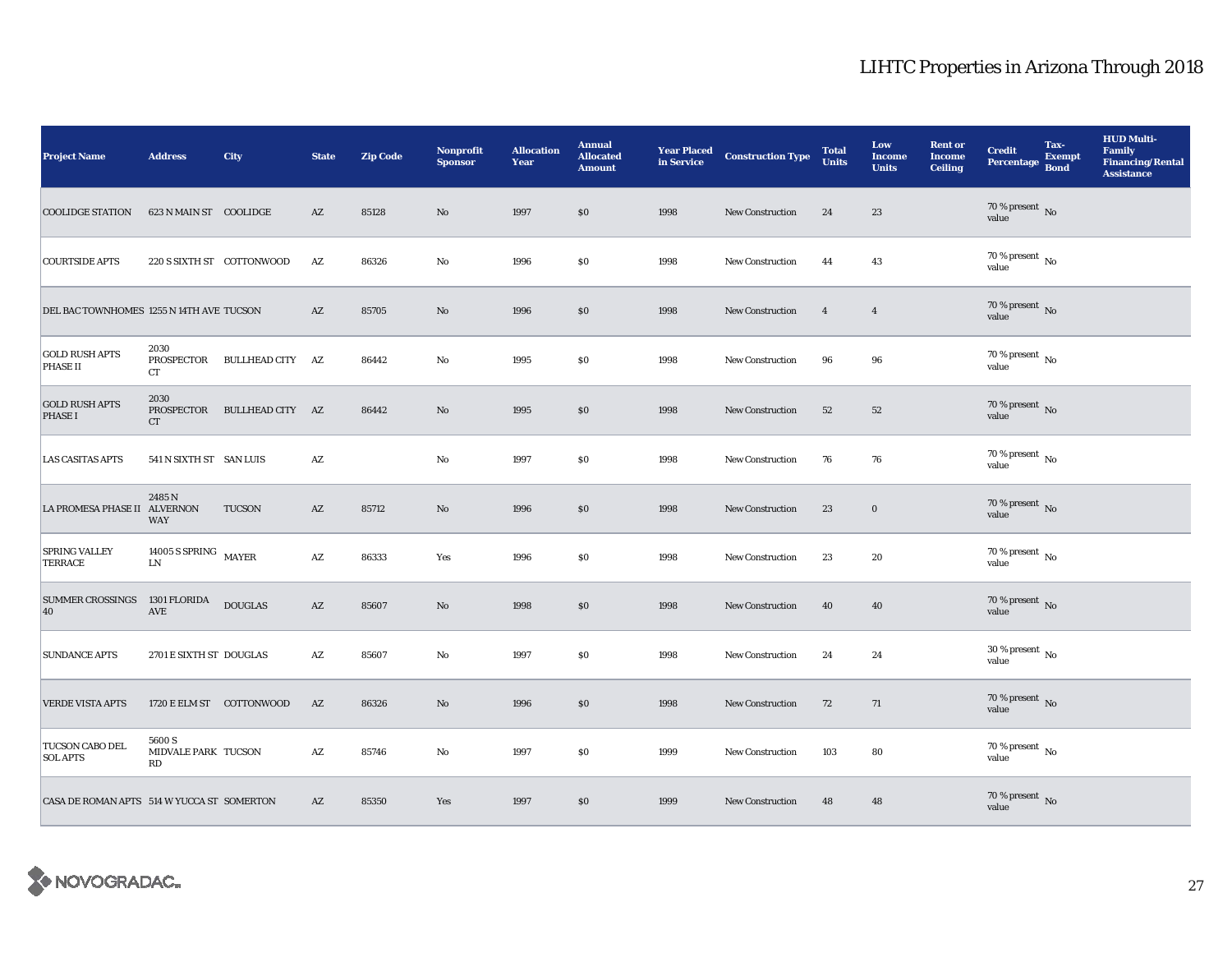| <b>Project Name</b>                        | <b>Address</b>                                          | <b>City</b>                 | <b>State</b>           | <b>Zip Code</b> | <b>Nonprofit</b><br><b>Sponsor</b> | <b>Allocation</b><br>Year | <b>Annual</b><br><b>Allocated</b><br><b>Amount</b> | <b>Year Placed</b><br>in Service | <b>Construction Type</b> | <b>Total</b><br><b>Units</b> | Low<br><b>Income</b><br><b>Units</b> | <b>Rent or</b><br><b>Income</b><br><b>Ceiling</b> | <b>Credit</b><br><b>Percentage</b>       | Tax-<br><b>Exempt</b><br><b>Bond</b> | <b>HUD Multi-</b><br><b>Family</b><br><b>Financing/Rental</b><br><b>Assistance</b> |
|--------------------------------------------|---------------------------------------------------------|-----------------------------|------------------------|-----------------|------------------------------------|---------------------------|----------------------------------------------------|----------------------------------|--------------------------|------------------------------|--------------------------------------|---------------------------------------------------|------------------------------------------|--------------------------------------|------------------------------------------------------------------------------------|
| <b>COOLIDGE STATION</b>                    | 623 N MAIN ST COOLIDGE                                  |                             | AZ                     | 85128           | No                                 | 1997                      | \$0                                                | 1998                             | <b>New Construction</b>  | 24                           | 23                                   |                                                   | $70\,\%$ present $\,$ No value           |                                      |                                                                                    |
| <b>COURTSIDE APTS</b>                      |                                                         | 220 S SIXTH ST COTTONWOOD   | AZ                     | 86326           | $\mathbf{No}$                      | 1996                      | $\$0$                                              | 1998                             | New Construction         | 44                           | 43                                   |                                                   | $70\%$ present $\overline{N_0}$<br>value |                                      |                                                                                    |
| DEL BAC TOWNHOMES 1255 N 14TH AVE TUCSON   |                                                         |                             | $\mathbf{A}\mathbf{Z}$ | 85705           | No                                 | 1996                      | \$0                                                | 1998                             | <b>New Construction</b>  | $\overline{4}$               | $\overline{4}$                       |                                                   | 70 % present $\,$ No $\,$<br>value       |                                      |                                                                                    |
| <b>GOLD RUSH APTS</b><br>PHASE II          | 2030<br>PROSPECTOR<br>CT                                | BULLHEAD CITY AZ            |                        | 86442           | $\mathbf{N}\mathbf{o}$             | 1995                      | $\$0$                                              | 1998                             | <b>New Construction</b>  | 96                           | 96                                   |                                                   | $70$ % present $\,$ No value             |                                      |                                                                                    |
| <b>GOLD RUSH APTS</b><br><b>PHASE I</b>    | 2030<br>CT                                              | PROSPECTOR BULLHEAD CITY AZ |                        | 86442           | $\mathbf{No}$                      | 1995                      | $\$0$                                              | 1998                             | New Construction         | 52                           | $52\,$                               |                                                   | 70 % present $\,$ No $\,$<br>value       |                                      |                                                                                    |
| <b>LAS CASITAS APTS</b>                    | 541 N SIXTH ST SAN LUIS                                 |                             | AZ                     |                 | No                                 | 1997                      | $\$0$                                              | 1998                             | New Construction         | 76                           | 76                                   |                                                   | 70 % present $\,$ No $\,$<br>value       |                                      |                                                                                    |
| LA PROMESA PHASE II ALVERNON               | 2485N<br><b>WAY</b>                                     | TUCSON                      | $\mathbf{A}\mathbf{Z}$ | 85712           | $\rm No$                           | 1996                      | \$0\$                                              | 1998                             | <b>New Construction</b>  | 23                           | $\bf{0}$                             |                                                   | 70 % present $\,$ No $\,$<br>value       |                                      |                                                                                    |
| <b>SPRING VALLEY</b><br>TERRACE            | 14005 S SPRING MAYER<br>${\rm LN}$                      |                             | $\mathbf{A}\mathbf{Z}$ | 86333           | Yes                                | 1996                      | $\$0$                                              | 1998                             | <b>New Construction</b>  | 23                           | 20                                   |                                                   | $70$ % present $\,$ No $\,$<br>value     |                                      |                                                                                    |
| SUMMER CROSSINGS 1301 FLORIDA<br>40        | <b>AVE</b>                                              | <b>DOUGLAS</b>              | $\mathbf{A}\mathbf{Z}$ | 85607           | No                                 | 1998                      | \$0\$                                              | 1998                             | New Construction         | 40                           | 40                                   |                                                   | 70 % present $\,$ No $\,$<br>value       |                                      |                                                                                    |
| <b>SUNDANCE APTS</b>                       | 2701 E SIXTH ST DOUGLAS                                 |                             | $\mathbf{A}\mathbf{Z}$ | 85607           | $\rm No$                           | 1997                      | $\$0$                                              | 1998                             | New Construction         | 24                           | 24                                   |                                                   | $30$ % present $\,$ No $\,$<br>value     |                                      |                                                                                    |
| <b>VERDE VISTA APTS</b>                    |                                                         | 1720 E ELM ST COTTONWOOD    | AZ                     | 86326           | $\rm No$                           | 1996                      | \$0\$                                              | 1998                             | <b>New Construction</b>  | 72                           | 71                                   |                                                   | 70 % present $\,$ No $\,$<br>value       |                                      |                                                                                    |
| TUCSON CABO DEL<br><b>SOL APTS</b>         | 5600 S<br>MIDVALE PARK TUCSON<br>$\mathbb{R}\mathbb{D}$ |                             | AZ                     | 85746           | No                                 | 1997                      | \$0\$                                              | 1999                             | New Construction         | 103                          | 80                                   |                                                   | 70 % present $\,$ No $\,$<br>value       |                                      |                                                                                    |
| CASA DE ROMAN APTS 514 W YUCCA ST SOMERTON |                                                         |                             | AZ                     | 85350           | Yes                                | 1997                      | \$0\$                                              | 1999                             | New Construction         | 48                           | 48                                   |                                                   | 70 % present $\,$ No $\,$<br>value       |                                      |                                                                                    |

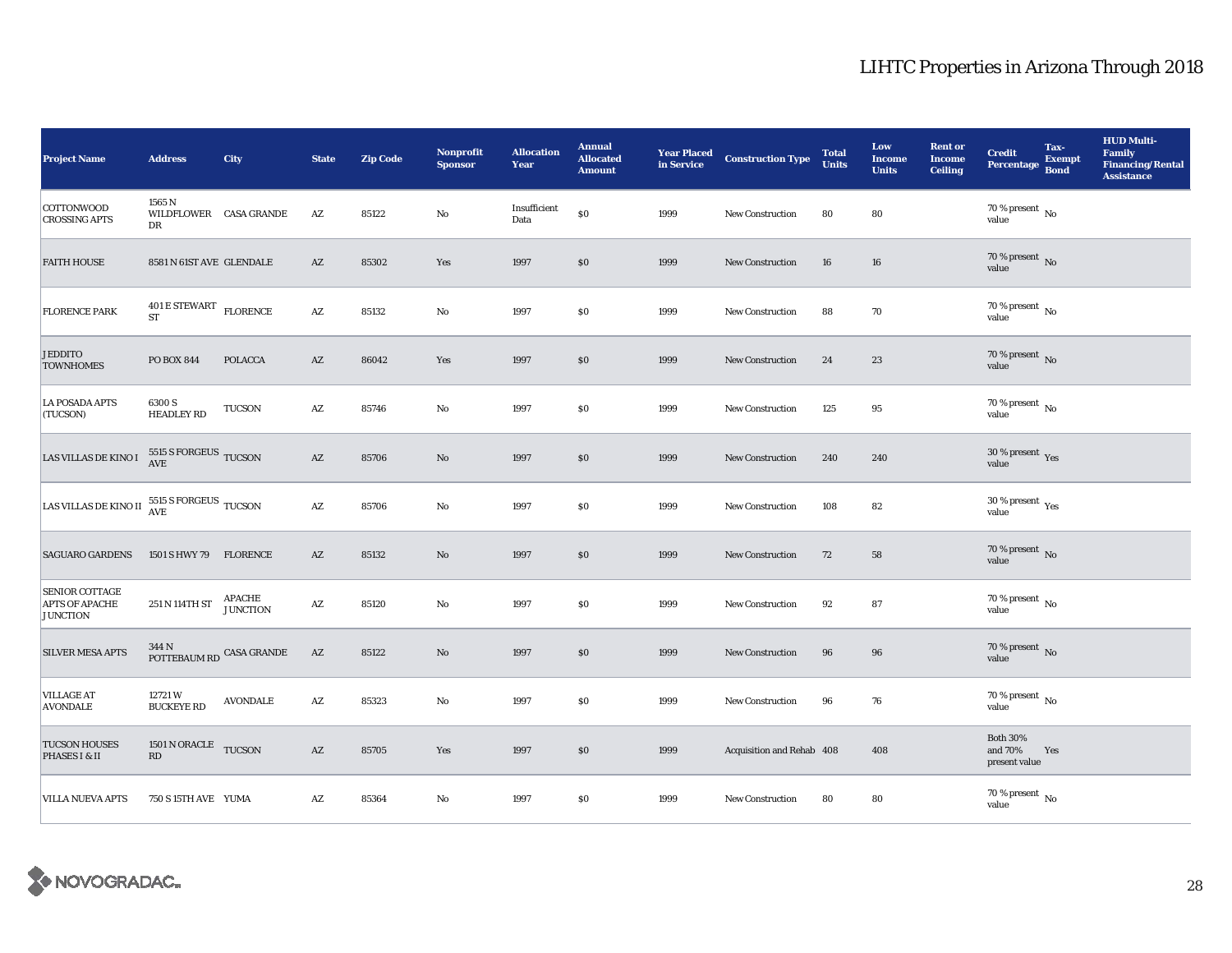| <b>Project Name</b>                                                              | <b>Address</b>                                                 | City                             | <b>State</b>           | <b>Zip Code</b> | Nonprofit<br><b>Sponsor</b> | <b>Allocation</b><br>Year | <b>Annual</b><br><b>Allocated</b><br><b>Amount</b> | <b>Year Placed</b><br>in Service | <b>Construction Type</b>  | <b>Total</b><br><b>Units</b> | Low<br><b>Income</b><br><b>Units</b> | <b>Rent or</b><br><b>Income</b><br>Ceiling | <b>Credit</b><br><b>Percentage</b>          | Tax-<br><b>Exempt</b><br><b>Bond</b> | <b>HUD Multi-</b><br>Family<br><b>Financing/Rental</b><br><b>Assistance</b> |
|----------------------------------------------------------------------------------|----------------------------------------------------------------|----------------------------------|------------------------|-----------------|-----------------------------|---------------------------|----------------------------------------------------|----------------------------------|---------------------------|------------------------------|--------------------------------------|--------------------------------------------|---------------------------------------------|--------------------------------------|-----------------------------------------------------------------------------|
| <b>COTTONWOOD</b><br><b>CROSSING APTS</b>                                        | 1565 N<br>WILDFLOWER CASA GRANDE<br>DR                         |                                  | AZ                     | 85122           | $\mathbf{No}$               | Insufficient<br>Data      | $\$0$                                              | 1999                             | New Construction          | 80                           | 80                                   |                                            | 70 % present $\,$ No $\,$<br>value          |                                      |                                                                             |
| <b>FAITH HOUSE</b>                                                               | 8581 N 61ST AVE GLENDALE                                       |                                  | AZ                     | 85302           | Yes                         | 1997                      | \$0                                                | 1999                             | New Construction          | 16                           | 16                                   |                                            | 70 % present $\hbox{~No}$<br>value          |                                      |                                                                             |
| <b>FLORENCE PARK</b>                                                             | $401\,\mathrm{E}\,\mathrm{STEWART}$ $\,$ FLORENCE<br><b>ST</b> |                                  | $\mathbf{A}\mathbf{Z}$ | 85132           | No                          | 1997                      | \$0                                                | 1999                             | New Construction          | 88                           | 70                                   |                                            | $70$ % present $\,$ No $\,$<br>value        |                                      |                                                                             |
| <b>JEDDITO</b><br><b>TOWNHOMES</b>                                               | <b>PO BOX 844</b>                                              | <b>POLACCA</b>                   | AZ                     | 86042           | Yes                         | 1997                      | \$0                                                | 1999                             | <b>New Construction</b>   | 24                           | 23                                   |                                            | $70$ % present $\,$ No value                |                                      |                                                                             |
| <b>LA POSADA APTS</b><br>(TUCSON)                                                | 6300 S<br><b>HEADLEY RD</b>                                    | TUCSON                           | AZ                     | 85746           | $\mathbf{N}\mathbf{o}$      | 1997                      | \$0                                                | 1999                             | New Construction          | 125                          | 95                                   |                                            | 70 % present $\,$ No $\,$<br>value          |                                      |                                                                             |
| LAS VILLAS DE KINO I                                                             | $5515$ S FORGEUS $\,$ TUCSON AVE                               |                                  | $\mathbf{A}\mathbf{Z}$ | 85706           | $\rm No$                    | 1997                      | \$0                                                | 1999                             | New Construction          | 240                          | 240                                  |                                            | $30\,\%$ present $\,$ Yes value             |                                      |                                                                             |
| LAS VILLAS DE KINO II $\frac{5515 \text{ S} \text{ FORGEUS}}{\text{AVE}}$ TUCSON |                                                                |                                  | $\mathbf{A}\mathbf{Z}$ | 85706           | $\mathbf{N}\mathbf{o}$      | 1997                      | \$0                                                | 1999                             | New Construction          | 108                          | 82                                   |                                            | $30\,\%$ present $\,\mathrm{Yes}$ value     |                                      |                                                                             |
| <b>SAGUARO GARDENS</b>                                                           | 1501 S HWY 79 FLORENCE                                         |                                  | AZ                     | 85132           | $\mathbf{No}$               | 1997                      | \$0                                                | 1999                             | New Construction          | 72                           | 58                                   |                                            | 70 % present $\hbox{~No}$<br>value          |                                      |                                                                             |
| <b>SENIOR COTTAGE</b><br><b>APTS OF APACHE</b><br><b>JUNCTION</b>                | $251$ N $114 \mathrm{TH}\:\mathrm{ST}$                         | <b>APACHE</b><br><b>JUNCTION</b> | $\mathbf{A}\mathbf{Z}$ | 85120           | $\rm No$                    | 1997                      | $\$0$                                              | 1999                             | <b>New Construction</b>   | 92                           | 87                                   |                                            | $70$ % present $\,$ No $\,$<br>value        |                                      |                                                                             |
| <b>SILVER MESA APTS</b>                                                          | 344 N<br>POTTEBAUM RD CASA GRANDE                              |                                  | AZ                     | 85122           | $\mathbf{No}$               | 1997                      | \$0                                                | 1999                             | New Construction          | 96                           | 96                                   |                                            | $70\,\%$ present $\,$ No value              |                                      |                                                                             |
| <b>VILLAGE AT</b><br><b>AVONDALE</b>                                             | 12721W<br><b>BUCKEYE RD</b>                                    | $\operatorname{AVONDALE}$        | $\mathbf{A}\mathbf{Z}$ | 85323           | $\mathbf{No}$               | 1997                      | $\$0$                                              | 1999                             | <b>New Construction</b>   | 96                           | 76                                   |                                            | $70$ % present $\,$ No $\,$<br>value        |                                      |                                                                             |
| <b>TUCSON HOUSES</b><br>PHASES I & II                                            | 1501 N ORACLE TUCSON<br>RD                                     |                                  | AZ                     | 85705           | Yes                         | 1997                      | \$0                                                | 1999                             | Acquisition and Rehab 408 |                              | 408                                  |                                            | <b>Both 30%</b><br>and 70%<br>present value | Yes                                  |                                                                             |
| <b>VILLA NUEVA APTS</b>                                                          | 750 S 15TH AVE YUMA                                            |                                  | AZ                     | 85364           | No                          | 1997                      | $\$0$                                              | 1999                             | <b>New Construction</b>   | 80                           | 80                                   |                                            | $70\,\%$ present $\,$ No value              |                                      |                                                                             |

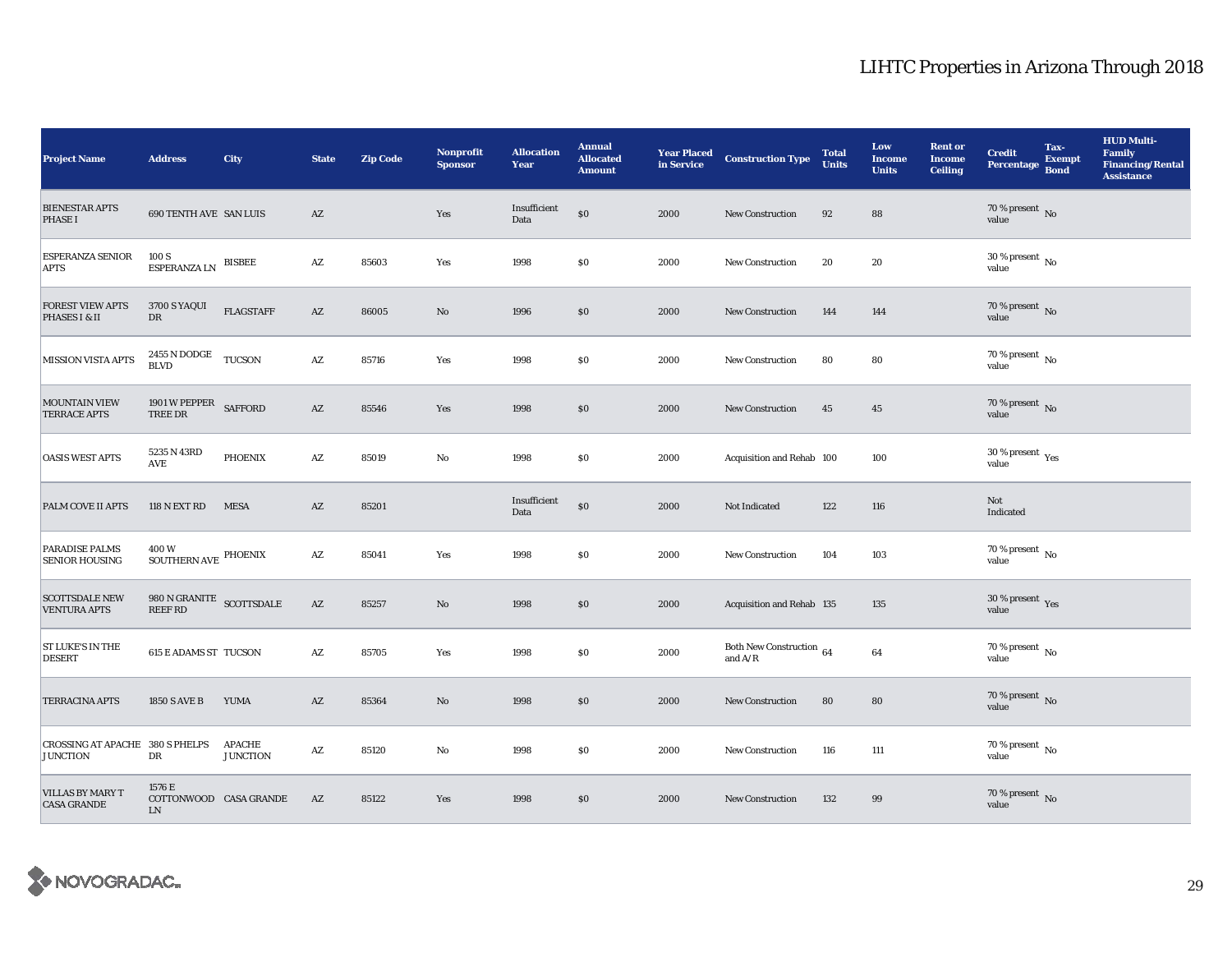| <b>Project Name</b>                                       | <b>Address</b>                           | <b>City</b>                      | <b>State</b>           | <b>Zip Code</b> | <b>Nonprofit</b><br><b>Sponsor</b> | <b>Allocation</b><br>Year | <b>Annual</b><br><b>Allocated</b><br><b>Amount</b> | <b>Year Placed<br/>in Service</b> | <b>Construction Type</b>              | <b>Total</b><br><b>Units</b> | Low<br><b>Income</b><br><b>Units</b> | <b>Rent or</b><br><b>Income</b><br><b>Ceiling</b> | <b>Credit</b><br><b>Percentage</b>          | Tax-<br><b>Exempt</b><br><b>Bond</b> | <b>HUD Multi-</b><br>Family<br><b>Financing/Rental</b><br><b>Assistance</b> |
|-----------------------------------------------------------|------------------------------------------|----------------------------------|------------------------|-----------------|------------------------------------|---------------------------|----------------------------------------------------|-----------------------------------|---------------------------------------|------------------------------|--------------------------------------|---------------------------------------------------|---------------------------------------------|--------------------------------------|-----------------------------------------------------------------------------|
| <b>BIENESTAR APTS</b><br><b>PHASE I</b>                   | <b>690 TENTH AVE SAN LUIS</b>            |                                  | AZ                     |                 | Yes                                | Insufficient<br>Data      | $\$0$                                              | 2000                              | <b>New Construction</b>               | 92                           | 88                                   |                                                   | 70 % present $\,$ No $\,$<br>value          |                                      |                                                                             |
| <b>ESPERANZA SENIOR</b><br><b>APTS</b>                    | 100 S<br><b>ESPERANZA LN</b>             | <b>BISBEE</b>                    | AZ                     | 85603           | Yes                                | 1998                      | \$0                                                | 2000                              | New Construction                      | 20                           | 20                                   |                                                   | 30 % present $\,$ No $\,$<br>value          |                                      |                                                                             |
| <b>FOREST VIEW APTS</b><br>PHASES I & II                  | 3700 S YAQUI<br>DR                       | <b>FLAGSTAFF</b>                 | $\mathbf{A}\mathbf{Z}$ | 86005           | No                                 | 1996                      | \$0                                                | 2000                              | New Construction                      | 144                          | 144                                  |                                                   | $70$ % present $\,$ No value                |                                      |                                                                             |
| <b>MISSION VISTA APTS</b>                                 | $2455$ N DODGE TUCSON BLVD               |                                  | $\mathbf{A}\mathbf{Z}$ | 85716           | Yes                                | 1998                      | \$0                                                | 2000                              | New Construction                      | 80                           | 80                                   |                                                   | $70$ % present $\,$ No value                |                                      |                                                                             |
| <b>MOUNTAIN VIEW</b><br><b>TERRACE APTS</b>               | 1901 W PEPPER<br>TREE DR                 | <b>SAFFORD</b>                   | $\mathbf{A}\mathbf{Z}$ | 85546           | Yes                                | 1998                      | \$0                                                | 2000                              | <b>New Construction</b>               | 45                           | 45                                   |                                                   | $70$ % present $\,$ No value                |                                      |                                                                             |
| <b>OASIS WEST APTS</b>                                    | 5235 N 43RD<br>AVE                       | <b>PHOENIX</b>                   | $\mathbf{A}\mathbf{Z}$ | 85019           | No                                 | 1998                      | <b>SO</b>                                          | 2000                              | Acquisition and Rehab 100             |                              | 100                                  |                                                   | 30 % present $\rm \gamma_{\rm es}$<br>value |                                      |                                                                             |
| PALM COVE II APTS                                         | 118 N EXT RD                             | <b>MESA</b>                      | $\mathbf{A}\mathbf{Z}$ | 85201           |                                    | Insufficient<br>Data      | $\$0$                                              | 2000                              | Not Indicated                         | 122                          | 116                                  |                                                   | Not<br>Indicated                            |                                      |                                                                             |
| PARADISE PALMS<br><b>SENIOR HOUSING</b>                   | 400W<br>SOUTHERN AVE $^\mathrm{PHOENIX}$ |                                  | AZ                     | 85041           | Yes                                | 1998                      | \$0                                                | 2000                              | New Construction                      | 104                          | 103                                  |                                                   | 70 % present $\,$ No $\,$<br>value          |                                      |                                                                             |
| <b>SCOTTSDALE NEW</b><br><b>VENTURA APTS</b>              | 980 N GRANITE SCOTTSDALE<br>REEF RD      |                                  | $\mathbf{A}\mathbf{Z}$ | 85257           | $\rm No$                           | 1998                      | \$0                                                | 2000                              | Acquisition and Rehab 135             |                              | 135                                  |                                                   | $30\,\%$ present $\,$ Yes value             |                                      |                                                                             |
| ST LUKE'S IN THE<br><b>DESERT</b>                         | <b>615 E ADAMS ST TUCSON</b>             |                                  | AZ                     | 85705           | Yes                                | 1998                      | \$0                                                | 2000                              | Both New Construction 64<br>and $A/R$ |                              | 64                                   |                                                   | $70\%$ present $\overline{N_0}$<br>value    |                                      |                                                                             |
| <b>TERRACINA APTS</b>                                     | <b>1850 S AVE B</b>                      | <b>YUMA</b>                      | AZ                     | 85364           | No                                 | 1998                      | \$0                                                | 2000                              | New Construction                      | 80                           | 80                                   |                                                   | $70$ % present $\,$ No value                |                                      |                                                                             |
| <b>CROSSING AT APACHE 380 S PHELPS</b><br><b>JUNCTION</b> | DR                                       | <b>APACHE</b><br><b>JUNCTION</b> | $\mathbf{A}\mathbf{Z}$ | 85120           | No                                 | 1998                      | \$0                                                | 2000                              | New Construction                      | 116                          | 111                                  |                                                   | $70$ % present $\,$ No $\,$<br>value        |                                      |                                                                             |
| <b>VILLAS BY MARY T</b><br><b>CASA GRANDE</b>             | 1576 E<br>COTTONWOOD CASA GRANDE<br>LN   |                                  | AZ                     | 85122           | Yes                                | 1998                      | $\$0$                                              | 2000                              | <b>New Construction</b>               | 132                          | 99                                   |                                                   | $70\,\%$ present $\,$ No value              |                                      |                                                                             |

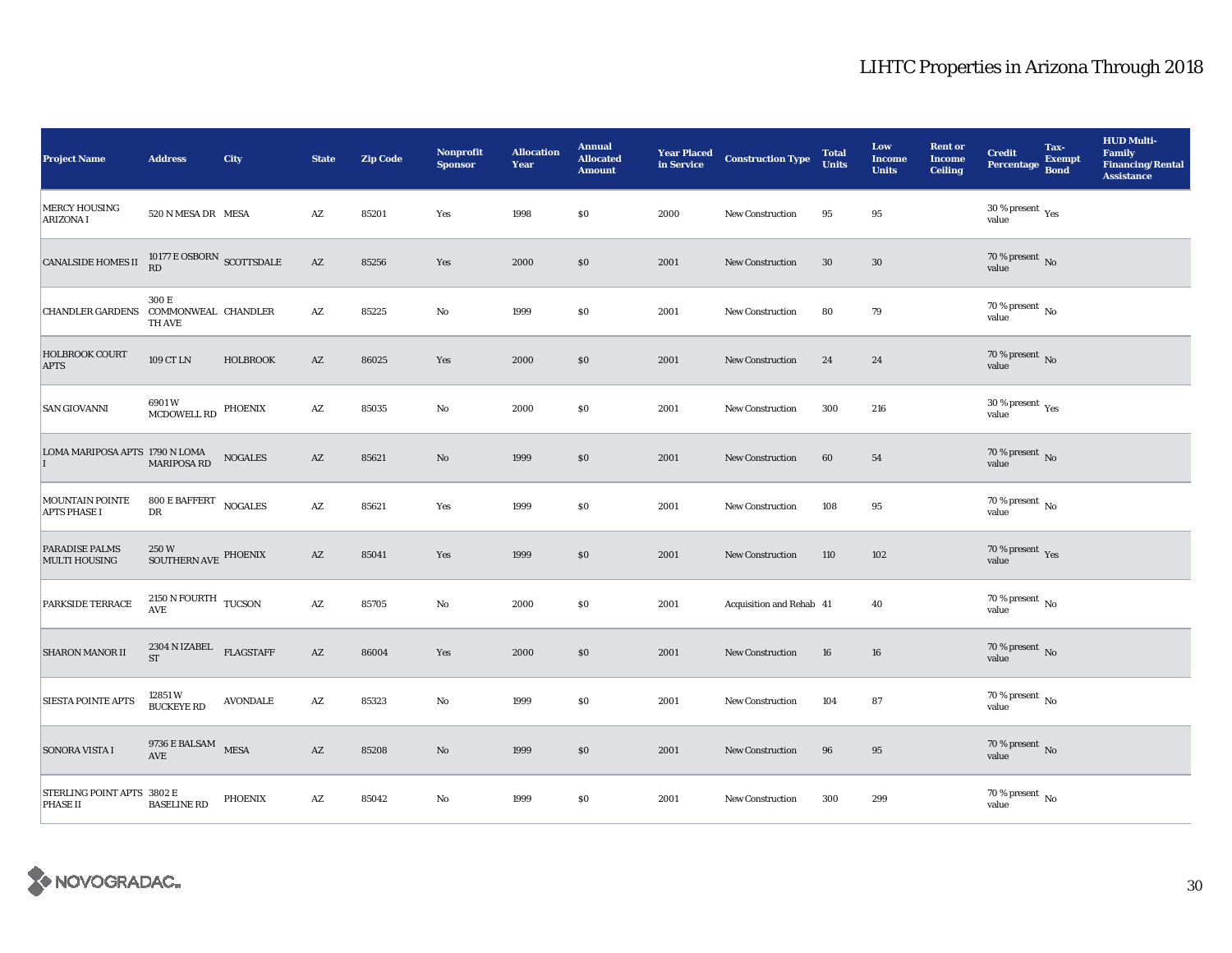| <b>Project Name</b>                           | <b>Address</b>                                           | City            | <b>State</b>           | <b>Zip Code</b> | Nonprofit<br><b>Sponsor</b> | <b>Allocation</b><br>Year | <b>Annual</b><br><b>Allocated</b><br><b>Amount</b> | <b>Year Placed</b><br>in Service | <b>Construction Type</b> | <b>Total</b><br><b>Units</b> | Low<br><b>Income</b><br><b>Units</b> | <b>Rent or</b><br><b>Income</b><br><b>Ceiling</b> | <b>Credit</b><br><b>Percentage</b>          | Tax-<br><b>Exempt</b><br><b>Bond</b> | <b>HUD Multi-</b><br><b>Family</b><br><b>Financing/Rental</b><br><b>Assistance</b> |
|-----------------------------------------------|----------------------------------------------------------|-----------------|------------------------|-----------------|-----------------------------|---------------------------|----------------------------------------------------|----------------------------------|--------------------------|------------------------------|--------------------------------------|---------------------------------------------------|---------------------------------------------|--------------------------------------|------------------------------------------------------------------------------------|
| <b>MERCY HOUSING</b><br><b>ARIZONA I</b>      | 520 N MESA DR MESA                                       |                 | $\mathbf{A}\mathbf{Z}$ | 85201           | Yes                         | 1998                      | \$0                                                | 2000                             | New Construction         | 95                           | 95                                   |                                                   | $30\,\%$ present $\,$ Yes value             |                                      |                                                                                    |
| <b>CANALSIDE HOMES II</b>                     | $10177 \to \text{OSBORN}$ SCOTTSDALE RD                  |                 | $\mathbf{A}\mathbf{Z}$ | 85256           | Yes                         | 2000                      | \$0\$                                              | 2001                             | New Construction         | 30                           | $30\,$                               |                                                   | 70 % present $\,$ No $\,$<br>value          |                                      |                                                                                    |
| CHANDLER GARDENS COMMONWEAL CHANDLER          | 300 E<br><b>TH AVE</b>                                   |                 | $\mathbf{A}\mathbf{Z}$ | 85225           | No                          | 1999                      | \$0                                                | 2001                             | <b>New Construction</b>  | 80                           | 79                                   |                                                   | 70 % present $\hbox{~No}$<br>value          |                                      |                                                                                    |
| <b>HOLBROOK COURT</b><br><b>APTS</b>          | 109 CT LN                                                | <b>HOLBROOK</b> | $\mathbf{A}\mathbf{Z}$ | 86025           | Yes                         | 2000                      | $\$0$                                              | 2001                             | <b>New Construction</b>  | 24                           | 24                                   |                                                   | $70$ % present $\,$ No value                |                                      |                                                                                    |
| <b>SAN GIOVANNI</b>                           | 6901W<br>MCDOWELL RD PHOENIX                             |                 | $\mathbf{A}\mathbf{Z}$ | 85035           | No                          | 2000                      | $\$0$                                              | 2001                             | <b>New Construction</b>  | 300                          | 216                                  |                                                   | 30 % present $\rm\thinspace_{Yes}$<br>value |                                      |                                                                                    |
| LOMA MARIPOSA APTS 1790 N LOMA                | MARIPOSA RD                                              | <b>NOGALES</b>  | $\mathbf{A}\mathbf{Z}$ | 85621           | $\mathbf{N}\mathbf{o}$      | 1999                      | \$0                                                | 2001                             | <b>New Construction</b>  | 60                           | 54                                   |                                                   | 70 % present $\,$ No $\,$<br>value          |                                      |                                                                                    |
| MOUNTAIN POINTE<br><b>APTS PHASE I</b>        | 800 E BAFFERT NOGALES<br>DR                              |                 | $\mathbf{A}\mathbf{Z}$ | 85621           | Yes                         | 1999                      | \$0                                                | 2001                             | New Construction         | 108                          | 95                                   |                                                   | 70 % present $\overline{N_0}$<br>value      |                                      |                                                                                    |
| <b>PARADISE PALMS</b><br><b>MULTI HOUSING</b> | $250\,\rm{W}$ SOUTHERN AVE PHOENIX                       |                 | $\mathbf{A}\mathbf{Z}$ | 85041           | Yes                         | 1999                      | \$0                                                | 2001                             | <b>New Construction</b>  | 110                          | 102                                  |                                                   | 70 % present $\rm\thinspace_{Yes}$<br>value |                                      |                                                                                    |
| PARKSIDE TERRACE                              | $2150$ N FOURTH $\,$ TUCSON $\,$<br>AVE                  |                 | $\mathbf{A}\mathbf{Z}$ | 85705           | No                          | 2000                      | \$0                                                | 2001                             | Acquisition and Rehab 41 |                              | 40                                   |                                                   | $70$ % present $\,$ No value                |                                      |                                                                                    |
| SHARON MANOR II                               | $2304$ N IZABEL $$\rm FLAGSTAFF$$<br>$\operatorname{ST}$ |                 | $\mathbf{A}\mathbf{Z}$ | 86004           | Yes                         | 2000                      | \$0                                                | 2001                             | New Construction         | 16                           | 16                                   |                                                   | 70 % present $\overline{N_0}$<br>value      |                                      |                                                                                    |
| <b>SIESTA POINTE APTS</b>                     | 12851 W<br><b>BUCKEYE RD</b>                             | <b>AVONDALE</b> | $\mathbf{A}\mathbf{Z}$ | 85323           | No                          | 1999                      | \$0                                                | 2001                             | New Construction         | 104                          | 87                                   |                                                   | $70$ % present $\,$ No $\,$<br>value        |                                      |                                                                                    |
| <b>SONORA VISTA I</b>                         | $9736\to$ BALSAM MESA<br>AVE                             |                 | $\mathbf{A}\mathbf{Z}$ | 85208           | No                          | 1999                      | $\$0$                                              | 2001                             | <b>New Construction</b>  | 96                           | 95                                   |                                                   | 70 % present $\,$ No $\,$<br>value          |                                      |                                                                                    |
| STERLING POINT APTS 3802 E<br><b>PHASE II</b> | <b>BASELINE RD</b>                                       | <b>PHOENIX</b>  | AZ                     | 85042           | No                          | 1999                      | \$0                                                | 2001                             | New Construction         | 300                          | 299                                  |                                                   | $70$ % present $\,$ No $\,$<br>value        |                                      |                                                                                    |

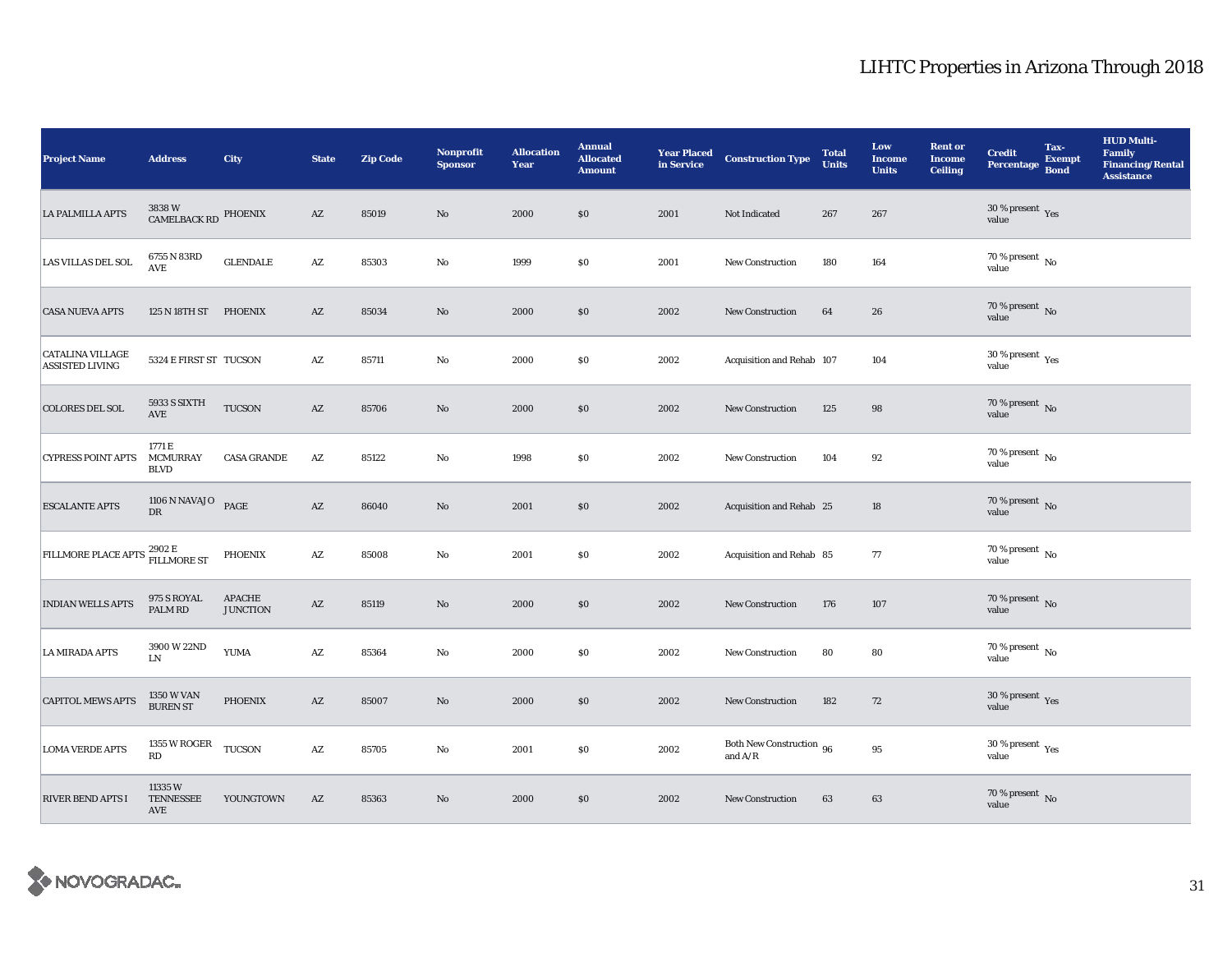| <b>Project Name</b>                                  | <b>Address</b>                               | <b>City</b>                      | <b>State</b>           | <b>Zip Code</b> | <b>Nonprofit</b><br><b>Sponsor</b> | <b>Allocation</b><br>Year | <b>Annual</b><br><b>Allocated</b><br><b>Amount</b> | <b>Year Placed<br/>in Service</b> | <b>Construction Type</b>                   | <b>Total</b><br><b>Units</b> | Low<br><b>Income</b><br><b>Units</b> | <b>Rent or</b><br><b>Income</b><br><b>Ceiling</b> | <b>Credit</b><br><b>Percentage</b>          | Tax-<br><b>Exempt</b><br><b>Bond</b> | <b>HUD Multi-</b><br>Family<br><b>Financing/Rental</b><br><b>Assistance</b> |
|------------------------------------------------------|----------------------------------------------|----------------------------------|------------------------|-----------------|------------------------------------|---------------------------|----------------------------------------------------|-----------------------------------|--------------------------------------------|------------------------------|--------------------------------------|---------------------------------------------------|---------------------------------------------|--------------------------------------|-----------------------------------------------------------------------------|
| <b>LA PALMILLA APTS</b>                              | $3838\;\mathrm{W}$ CAMELBACK RD $\;$ PHOENIX |                                  | $\mathbf{A}\mathbf{Z}$ | 85019           | $\mathbf{No}$                      | 2000                      | \$0                                                | 2001                              | Not Indicated                              | 267                          | 267                                  |                                                   | $30\,\%$ present $\,$ Yes value             |                                      |                                                                             |
| LAS VILLAS DEL SOL                                   | 6755 N 83RD<br><b>AVE</b>                    | <b>GLENDALE</b>                  | $\mathbf{A}\mathbf{Z}$ | 85303           | $\rm No$                           | 1999                      | \$0\$                                              | 2001                              | New Construction                           | 180                          | 164                                  |                                                   | 70 % present $\,$ No $\,$<br>value          |                                      |                                                                             |
| <b>CASA NUEVA APTS</b>                               | 125 N 18TH ST PHOENIX                        |                                  | $\mathbf{A}\mathbf{Z}$ | 85034           | No                                 | 2000                      | \$0\$                                              | 2002                              | New Construction                           | 64                           | 26                                   |                                                   | $70$ % present $\,$ No value                |                                      |                                                                             |
| CATALINA VILLAGE<br><b>ASSISTED LIVING</b>           | 5324 E FIRST ST TUCSON                       |                                  | $\mathbf{A}\mathbf{Z}$ | 85711           | $\mathbf{No}$                      | 2000                      | \$0\$                                              | 2002                              | Acquisition and Rehab 107                  |                              | 104                                  |                                                   | 30 % present $\rm\thinspace_{Yes}$<br>value |                                      |                                                                             |
| <b>COLORES DEL SOL</b>                               | 5933 S SIXTH<br><b>AVE</b>                   | TUCSON                           | $\mathbf{A}\mathbf{Z}$ | 85706           | No                                 | 2000                      | \$0                                                | 2002                              | New Construction                           | 125                          | 98                                   |                                                   | 70 % present $\,$ No $\,$<br>value          |                                      |                                                                             |
| <b>CYPRESS POINT APTS</b>                            | 1771 E<br><b>MCMURRAY</b><br><b>BLVD</b>     | <b>CASA GRANDE</b>               | $\mathbf{A}\mathbf{Z}$ | 85122           | $\rm No$                           | 1998                      | \$0\$                                              | 2002                              | New Construction                           | 104                          | 92                                   |                                                   | $70$ % present $\,$ No $\,$<br>value        |                                      |                                                                             |
| <b>ESCALANTE APTS</b>                                | 1106 N NAVAJO<br><b>DR</b>                   | PAGE                             | $\mathbf{A}\mathbf{Z}$ | 86040           | $\mathbf{N}\mathbf{o}$             | 2001                      | \$0                                                | 2002                              | Acquisition and Rehab 25                   |                              | 18                                   |                                                   | $70$ % present $\,$ No value                |                                      |                                                                             |
| FILLMORE PLACE APTS <sup>2902 E</sup><br>FILLMORE ST |                                              | <b>PHOENIX</b>                   | $\mathbf{A}\mathbf{Z}$ | 85008           | No                                 | 2001                      | \$0\$                                              | 2002                              | Acquisition and Rehab 85                   |                              | 77                                   |                                                   | 70 % present $\,$ No $\,$<br>value          |                                      |                                                                             |
| <b>INDIAN WELLS APTS</b>                             | 975 S ROYAL<br>PALM RD                       | <b>APACHE</b><br><b>JUNCTION</b> | $\mathbf{A}\mathbf{Z}$ | 85119           | $\mathbf{N}\mathbf{o}$             | 2000                      | \$0\$                                              | 2002                              | <b>New Construction</b>                    | 176                          | 107                                  |                                                   | $70\,\%$ present $\,$ No value              |                                      |                                                                             |
| <b>LA MIRADA APTS</b>                                | 3900 W 22ND<br><b>LN</b>                     | <b>YUMA</b>                      | $\mathbf{A}\mathbf{Z}$ | 85364           | No                                 | 2000                      | \$0\$                                              | 2002                              | <b>New Construction</b>                    | 80                           | 80                                   |                                                   | $70$ % present $\,$ No $\,$<br>value        |                                      |                                                                             |
| <b>CAPITOL MEWS APTS</b>                             | $1350\times$ VAN BUREN ST                    | <b>PHOENIX</b>                   | $\mathbf{A}\mathbf{Z}$ | 85007           | No                                 | 2000                      | \$0                                                | 2002                              | <b>New Construction</b>                    | 182                          | 72                                   |                                                   | $30\,\%$ present $\,$ Yes value             |                                      |                                                                             |
| <b>LOMA VERDE APTS</b>                               | 1355 W ROGER<br>RD                           | <b>TUCSON</b>                    | $\mathbf{A}\mathbf{Z}$ | 85705           | No                                 | 2001                      | \$0\$                                              | 2002                              | Both New Construction 96<br>and $\rm{A/R}$ |                              | $\bf{95}$                            |                                                   | 30 % present $\rm\,Yes$<br>value            |                                      |                                                                             |
| <b>RIVER BEND APTS I</b>                             | 11335W<br><b>TENNESSEE</b><br>AVE            | YOUNGTOWN                        | $\mathbf{A}\mathbf{Z}$ | 85363           | $\mathbf{No}$                      | 2000                      | \$0                                                | 2002                              | <b>New Construction</b>                    | 63                           | 63                                   |                                                   | $70\,\%$ present $\,$ No value              |                                      |                                                                             |

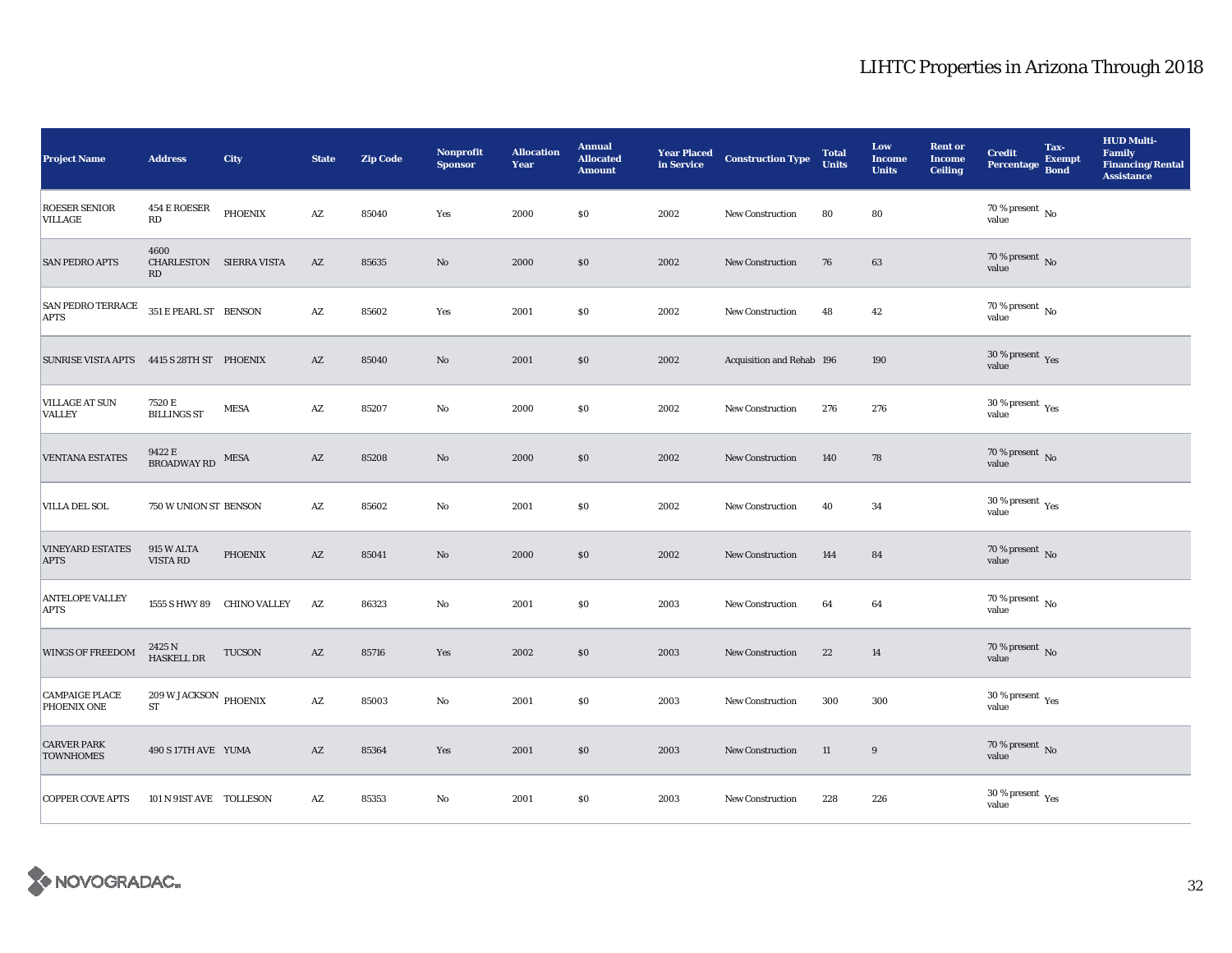| <b>Project Name</b>                       | <b>Address</b>                                      | <b>City</b>                | <b>State</b>           | <b>Zip Code</b> | Nonprofit<br><b>Sponsor</b> | <b>Allocation</b><br>Year | <b>Annual</b><br><b>Allocated</b><br><b>Amount</b> | <b>Year Placed</b><br>in Service | <b>Construction Type</b>  | <b>Total</b><br><b>Units</b> | Low<br><b>Income</b><br><b>Units</b> | <b>Rent or</b><br><b>Income</b><br>Ceiling | <b>Credit</b><br><b>Percentage</b>      | Tax-<br><b>Exempt</b><br><b>Bond</b> | <b>HUD Multi-</b><br><b>Family</b><br><b>Financing/Rental</b><br><b>Assistance</b> |
|-------------------------------------------|-----------------------------------------------------|----------------------------|------------------------|-----------------|-----------------------------|---------------------------|----------------------------------------------------|----------------------------------|---------------------------|------------------------------|--------------------------------------|--------------------------------------------|-----------------------------------------|--------------------------------------|------------------------------------------------------------------------------------|
| <b>ROESER SENIOR</b><br><b>VILLAGE</b>    | 454 E ROESER<br>RD                                  | <b>PHOENIX</b>             | AZ                     | 85040           | Yes                         | 2000                      | \$0                                                | 2002                             | <b>New Construction</b>   | 80                           | 80                                   |                                            | $70$ % present $\,$ No $\,$<br>value    |                                      |                                                                                    |
| <b>SAN PEDRO APTS</b>                     | 4600<br>CHARLESTON SIERRA VISTA<br>RD               |                            | $\mathbf{A}\mathbf{Z}$ | 85635           | $\rm No$                    | 2000                      | \$0                                                | 2002                             | New Construction          | 76                           | 63                                   |                                            | $70$ % present $\,$ No value            |                                      |                                                                                    |
| <b>SAN PEDRO TERRACE</b><br><b>APTS</b>   | 351 E PEARL ST BENSON                               |                            | $\mathbf{A}\mathbf{Z}$ | 85602           | Yes                         | 2001                      | \$0                                                | 2002                             | <b>New Construction</b>   | 48                           | 42                                   |                                            | 70 % present $\,$ No $\,$<br>value      |                                      |                                                                                    |
| SUNRISE VISTA APTS 4415 S 28TH ST PHOENIX |                                                     |                            | AZ                     | 85040           | $\rm No$                    | 2001                      | \$0                                                | 2002                             | Acquisition and Rehab 196 |                              | 190                                  |                                            | $30\,\%$ present $\,$ Yes value         |                                      |                                                                                    |
| <b>VILLAGE AT SUN</b><br><b>VALLEY</b>    | 7520 E<br><b>BILLINGS ST</b>                        | <b>MESA</b>                | $\mathbf{A}\mathbf{Z}$ | 85207           | No                          | 2000                      | \$0                                                | 2002                             | <b>New Construction</b>   | 276                          | 276                                  |                                            | $30$ % present $\,$ $\rm Yes$<br>value  |                                      |                                                                                    |
| <b>VENTANA ESTATES</b>                    | 9422 E<br><b>BROADWAY RD</b>                        | MESA                       | $\mathbf{A}\mathbf{Z}$ | 85208           | No                          | 2000                      | \$0                                                | 2002                             | New Construction          | 140                          | 78                                   |                                            | $70$ % present $\,$ No value            |                                      |                                                                                    |
| <b>VILLA DEL SOL</b>                      | 750 W UNION ST BENSON                               |                            | $\mathbf{A}\mathbf{Z}$ | 85602           | $\rm No$                    | 2001                      | \$0                                                | 2002                             | <b>New Construction</b>   | 40                           | 34                                   |                                            | $30\,\%$ present $\,$ Yes value         |                                      |                                                                                    |
| <b>VINEYARD ESTATES</b><br><b>APTS</b>    | 915 W ALTA<br><b>VISTA RD</b>                       | <b>PHOENIX</b>             | AZ                     | 85041           | No                          | 2000                      | \$0                                                | 2002                             | <b>New Construction</b>   | 144                          | 84                                   |                                            | $70$ % present $_{\rm{No}}$             |                                      |                                                                                    |
| <b>ANTELOPE VALLEY</b><br><b>APTS</b>     |                                                     | 1555 S HWY 89 CHINO VALLEY | $\mathbf{A}\mathbf{Z}$ | 86323           | No                          | 2001                      | \$0                                                | 2003                             | <b>New Construction</b>   | 64                           | $\bf{64}$                            |                                            | $70$ % present $\,$ No value            |                                      |                                                                                    |
| WINGS OF FREEDOM                          | 2425 N<br><b>HASKELL DR</b>                         | <b>TUCSON</b>              | AZ                     | 85716           | Yes                         | 2002                      | \$0                                                | 2003                             | <b>New Construction</b>   | 22                           | 14                                   |                                            | $70\,\%$ present $\,$ No value          |                                      |                                                                                    |
| <b>CAMPAIGE PLACE</b><br>PHOENIX ONE      | $209\,\rm{W}\,$ JACKSON $\rm{PHOENIX}$<br><b>ST</b> |                            | $\mathbf{A}\mathbf{Z}$ | 85003           | $\mathbf{N}\mathbf{o}$      | 2001                      | $\$0$                                              | 2003                             | <b>New Construction</b>   | 300                          | 300                                  |                                            | $30\,\%$ present $\,\mathrm{Yes}$ value |                                      |                                                                                    |
| <b>CARVER PARK</b><br><b>TOWNHOMES</b>    | 490 S 17TH AVE YUMA                                 |                            | $\mathbf{A}\mathbf{Z}$ | 85364           | Yes                         | 2001                      | \$0                                                | 2003                             | <b>New Construction</b>   | 11                           | 9                                    |                                            | $70\,\%$ present $\,$ No value          |                                      |                                                                                    |
| <b>COPPER COVE APTS</b>                   | 101 N 91ST AVE TOLLESON                             |                            | $\mathbf{A}\mathbf{Z}$ | 85353           | $\mathbf{No}$               | 2001                      | $\$0$                                              | 2003                             | New Construction          | 228                          | 226                                  |                                            | $30\,\%$ present $\,$ Yes value         |                                      |                                                                                    |

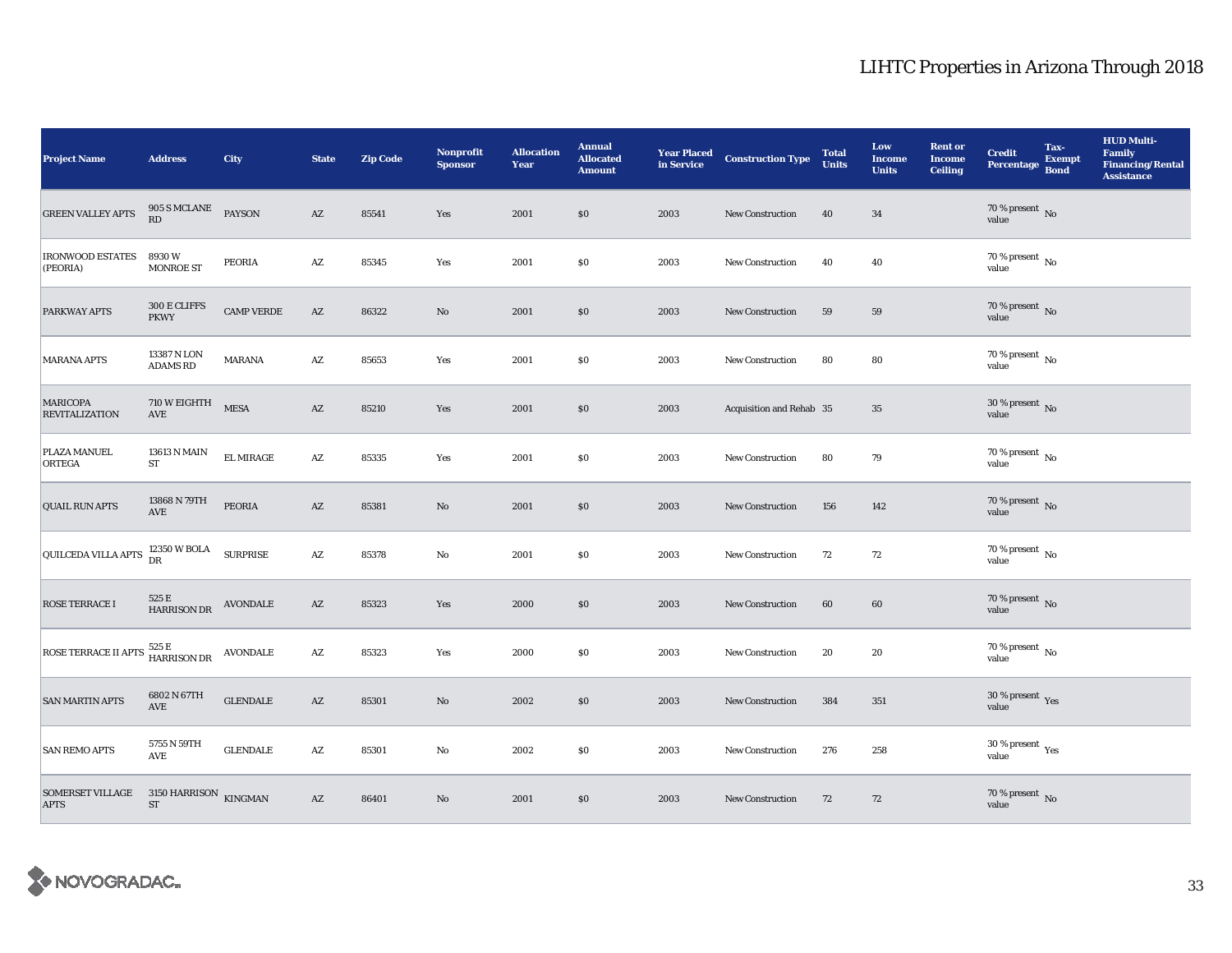| <b>Project Name</b>                       | <b>Address</b>                                    | City              | <b>State</b>           | <b>Zip Code</b> | Nonprofit<br><b>Sponsor</b> | <b>Allocation</b><br>Year | <b>Annual</b><br><b>Allocated</b><br><b>Amount</b> | <b>Year Placed<br/>in Service</b> | <b>Construction Type</b> | <b>Total</b><br><b>Units</b> | Low<br><b>Income</b><br><b>Units</b> | <b>Rent or</b><br><b>Income</b><br><b>Ceiling</b> | <b>Credit</b><br><b>Percentage</b>   | Tax-<br><b>Exempt</b><br><b>Bond</b> | <b>HUD Multi-</b><br><b>Family</b><br><b>Financing/Rental</b><br><b>Assistance</b> |
|-------------------------------------------|---------------------------------------------------|-------------------|------------------------|-----------------|-----------------------------|---------------------------|----------------------------------------------------|-----------------------------------|--------------------------|------------------------------|--------------------------------------|---------------------------------------------------|--------------------------------------|--------------------------------------|------------------------------------------------------------------------------------|
| <b>GREEN VALLEY APTS</b>                  | 905 S MCLANE<br>RD                                | <b>PAYSON</b>     | $\mathbf{A}\mathbf{Z}$ | 85541           | Yes                         | 2001                      | \$0                                                | 2003                              | <b>New Construction</b>  | 40                           | 34                                   |                                                   | $70\,\%$ present $\,$ No value       |                                      |                                                                                    |
| <b>IRONWOOD ESTATES</b><br>(PEORIA)       | 8930W<br><b>MONROE ST</b>                         | PEORIA            | AZ                     | 85345           | Yes                         | 2001                      | \$0                                                | 2003                              | New Construction         | 40                           | 40                                   |                                                   | 70 % present $\,$ No $\,$<br>value   |                                      |                                                                                    |
| <b>PARKWAY APTS</b>                       | $300\,\mathrm{E}\,\mathrm{CLIFFS}$<br><b>PKWY</b> | <b>CAMP VERDE</b> | $\mathbf{A}\mathbf{Z}$ | 86322           | $\mathbf{No}$               | 2001                      | \$0                                                | 2003                              | New Construction         | 59                           | 59                                   |                                                   | $70$ % present $\,$ No value         |                                      |                                                                                    |
| <b>MARANA APTS</b>                        | 13387 N LON<br><b>ADAMS RD</b>                    | <b>MARANA</b>     | $\mathbf{A}\mathbf{Z}$ | 85653           | Yes                         | 2001                      | \$0                                                | 2003                              | New Construction         | 80                           | 80                                   |                                                   | $70$ % present $\,$ No $\,$<br>value |                                      |                                                                                    |
| <b>MARICOPA</b><br><b>REVITALIZATION</b>  | 710 W EIGHTH<br>$\operatorname{AVE}$              | <b>MESA</b>       | $\mathbf{A}\mathbf{Z}$ | 85210           | Yes                         | 2001                      | \$0                                                | 2003                              | Acquisition and Rehab 35 |                              | 35                                   |                                                   | 30 % present $\,$ No $\,$<br>value   |                                      |                                                                                    |
| PLAZA MANUEL<br><b>ORTEGA</b>             | $13613$ N MAIN $\,$<br>${\rm ST}$                 | <b>EL MIRAGE</b>  | $\mathbf{A}\mathbf{Z}$ | 85335           | Yes                         | 2001                      | \$0                                                | 2003                              | New Construction         | 80                           | 79                                   |                                                   | $70$ % present $\,$ No value         |                                      |                                                                                    |
| <b>QUAIL RUN APTS</b>                     | 13868 N 79TH<br>AVE                               | <b>PEORIA</b>     | $\mathbf{A}\mathbf{Z}$ | 85381           | $\mathbf{No}$               | 2001                      | $\$0$                                              | 2003                              | New Construction         | 156                          | 142                                  |                                                   | $70$ % present $\,$ No value         |                                      |                                                                                    |
| QUILCEDA VILLA APTS                       | 12350 W BOLA<br>DR                                | <b>SURPRISE</b>   | $\mathbf{A}\mathbf{Z}$ | 85378           | No                          | 2001                      | \$0                                                | 2003                              | New Construction         | 72                           | 72                                   |                                                   | $70$ % present $\,$ No value         |                                      |                                                                                    |
| <b>ROSE TERRACE I</b>                     | 525 E<br><b>HARRISON DR</b>                       | <b>AVONDALE</b>   | $\mathbf{A}\mathbf{Z}$ | 85323           | Yes                         | 2000                      | \$0                                                | 2003                              | <b>New Construction</b>  | 60                           | 60                                   |                                                   | $70\,\%$ present $\,$ No value       |                                      |                                                                                    |
| ROSE TERRACE II APTS 525 E<br>HARRISON DR |                                                   | <b>AVONDALE</b>   | $\mathbf{A}\mathbf{Z}$ | 85323           | Yes                         | 2000                      | \$0                                                | 2003                              | New Construction         | 20                           | 20                                   |                                                   | $70\,\%$ present $\,$ No value       |                                      |                                                                                    |
| <b>SAN MARTIN APTS</b>                    | 6802 N 67TH<br>$\operatorname{AVE}$               | <b>GLENDALE</b>   | $\mathbf{A}\mathbf{Z}$ | 85301           | $\mathbf{No}$               | 2002                      | $\$0$                                              | 2003                              | <b>New Construction</b>  | 384                          | 351                                  |                                                   | $30\,\%$ present $\,$ Yes value      |                                      |                                                                                    |
| <b>SAN REMO APTS</b>                      | 5755 N 59TH<br>AVE                                | <b>GLENDALE</b>   | $\mathbf{A}\mathbf{Z}$ | 85301           | No                          | 2002                      | \$0                                                | 2003                              | New Construction         | 276                          | 258                                  |                                                   | $30\,\%$ present $\,$ Yes value      |                                      |                                                                                    |
| SOMERSET VILLAGE<br><b>APTS</b>           | $3150\text{ HARRISON}$ KINGMAN<br><b>ST</b>       |                   | $\mathbf{A}\mathbf{Z}$ | 86401           | $\mathbf{No}$               | 2001                      | $\$0$                                              | 2003                              | <b>New Construction</b>  | 72                           | 72                                   |                                                   | $70\,\%$ present $\,$ No value       |                                      |                                                                                    |

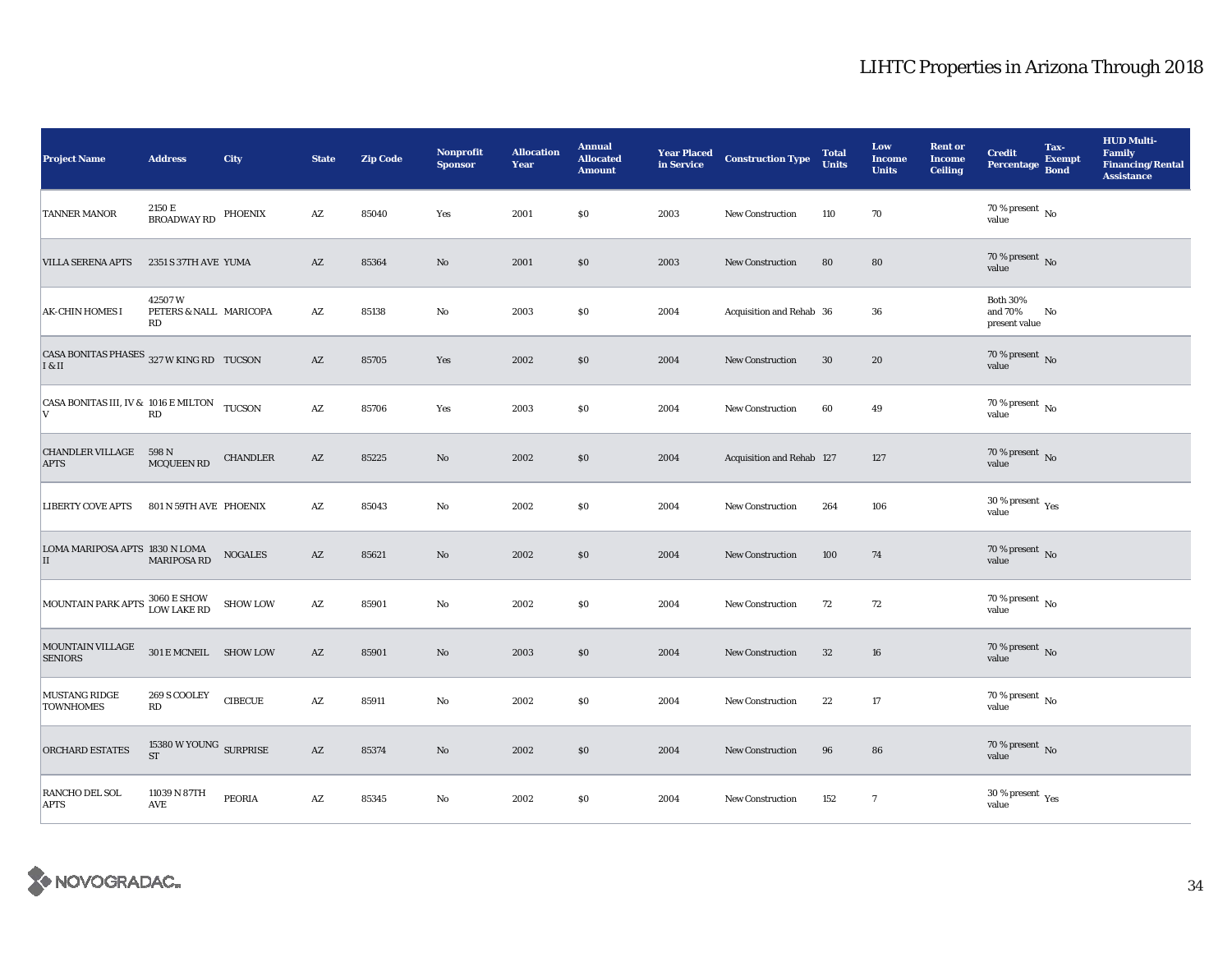| <b>Project Name</b>                                         | <b>Address</b>                         | <b>City</b>     | <b>State</b>           | <b>Zip Code</b> | Nonprofit<br><b>Sponsor</b> | <b>Allocation</b><br>Year | <b>Annual</b><br><b>Allocated</b><br><b>Amount</b> | <b>Year Placed</b><br>in Service | <b>Construction Type</b>  | <b>Total</b><br><b>Units</b> | Low<br><b>Income</b><br><b>Units</b> | <b>Rent or</b><br><b>Income</b><br><b>Ceiling</b> | <b>Credit</b><br><b>Percentage</b>              | Tax-<br><b>Exempt</b><br><b>Bond</b> | <b>HUD Multi-</b><br>Family<br><b>Financing/Rental</b><br><b>Assistance</b> |
|-------------------------------------------------------------|----------------------------------------|-----------------|------------------------|-----------------|-----------------------------|---------------------------|----------------------------------------------------|----------------------------------|---------------------------|------------------------------|--------------------------------------|---------------------------------------------------|-------------------------------------------------|--------------------------------------|-----------------------------------------------------------------------------|
| TANNER MANOR                                                | 2150 E<br>BROADWAY RD PHOENIX          |                 | AZ                     | 85040           | Yes                         | 2001                      | \$0                                                | 2003                             | New Construction          | 110                          | 70                                   |                                                   | 70 % present $\,$ No $\,$<br>value              |                                      |                                                                             |
| <b>VILLA SERENA APTS</b>                                    | 2351 S 37TH AVE YUMA                   |                 | $\mathbf{A}\mathbf{Z}$ | 85364           | $\mathbf{No}$               | 2001                      | $\$0$                                              | 2003                             | New Construction          | 80                           | 80                                   |                                                   | $70$ % present $\,$ No value                    |                                      |                                                                             |
| <b>AK-CHIN HOMES I</b>                                      | 42507W<br>PETERS & NALL MARICOPA<br>RD |                 | AZ                     | 85138           | No                          | 2003                      | \$0                                                | 2004                             | Acquisition and Rehab 36  |                              | 36                                   |                                                   | <b>Both 30%</b><br>and 70%<br>present value     | No                                   |                                                                             |
| CASA BONITAS PHASES 327 W KING RD TUCSON<br>I & II          |                                        |                 | $\mathbf{A}\mathbf{Z}$ | 85705           | Yes                         | 2002                      | $\$0$                                              | 2004                             | New Construction          | 30                           | 20                                   |                                                   | $70\,\%$ present $\,$ No value                  |                                      |                                                                             |
| CASA BONITAS III, IV & 1016 E MILTON TUCSON<br>$\mathbf{V}$ | RD                                     |                 | $\mathbf{A}\mathbf{Z}$ | 85706           | Yes                         | 2003                      | \$0                                                | 2004                             | New Construction          | 60                           | 49                                   |                                                   | 70 % present $\,$ No $\,$<br>value              |                                      |                                                                             |
| <b>CHANDLER VILLAGE 598 N</b><br><b>APTS</b>                | <b>MCQUEEN RD</b>                      | <b>CHANDLER</b> | $\mathbf{A}\mathbf{Z}$ | 85225           | $\mathbf{N}\mathbf{o}$      | 2002                      | $\$0$                                              | 2004                             | Acquisition and Rehab 127 |                              | 127                                  |                                                   | $70$ % present $\,$ No value                    |                                      |                                                                             |
| <b>LIBERTY COVE APTS</b>                                    | 801 N 59TH AVE PHOENIX                 |                 | $\mathbf{A}\mathbf{Z}$ | 85043           | No                          | 2002                      | $\$0$                                              | 2004                             | New Construction          | 264                          | 106                                  |                                                   | $30\,\%$ present $\rm\thinspace_{Yes}$<br>value |                                      |                                                                             |
| LOMA MARIPOSA APTS 1830 N LOMA<br>II                        | <b>MARIPOSA RD</b>                     | <b>NOGALES</b>  | $\mathbf{A}\mathbf{Z}$ | 85621           | $\mathbf{N}\mathbf{o}$      | 2002                      | \$0                                                | 2004                             | <b>New Construction</b>   | 100                          | 74                                   |                                                   | $70$ % present $\,$ No value                    |                                      |                                                                             |
| MOUNTAIN PARK APTS 3060 E SHOW                              |                                        | <b>SHOW LOW</b> | $\mathbf{A}\mathbf{Z}$ | 85901           | No                          | 2002                      | \$0                                                | 2004                             | <b>New Construction</b>   | 72                           | 72                                   |                                                   | 70 % present $\hbox{~No}$<br>value              |                                      |                                                                             |
| <b>MOUNTAIN VILLAGE</b><br><b>SENIORS</b>                   | 301 E MCNEIL SHOW LOW                  |                 | $\mathbf{A}\mathbf{Z}$ | 85901           | $\mathbf{N}\mathbf{o}$      | 2003                      | $\$0$                                              | 2004                             | New Construction          | 32                           | 16                                   |                                                   | $70\,\%$ present $\,$ No value                  |                                      |                                                                             |
| <b>MUSTANG RIDGE</b><br><b>TOWNHOMES</b>                    | 269 S COOLEY<br>$\mathbf{R}\mathbf{D}$ | <b>CIBECUE</b>  | $\mathbf{A}\mathbf{Z}$ | 85911           | No                          | 2002                      | \$0                                                | 2004                             | New Construction          | 22                           | 17                                   |                                                   | $70\,\%$ present $\overline{N_0}$<br>value      |                                      |                                                                             |
| <b>ORCHARD ESTATES</b>                                      | 15380 W YOUNG SURPRISE<br><b>ST</b>    |                 | $\mathbf{A}\mathbf{Z}$ | 85374           | $\mathbf{No}$               | 2002                      | $\$0$                                              | 2004                             | <b>New Construction</b>   | 96                           | 86                                   |                                                   | $70$ % present $\,$ No $\,$<br>value            |                                      |                                                                             |
| RANCHO DEL SOL<br><b>APTS</b>                               | 11039 N 87TH<br>AVE                    | PEORIA          | $\mathbf{A}\mathbf{Z}$ | 85345           | No                          | 2002                      | \$0                                                | 2004                             | New Construction          | 152                          | $7\phantom{.0}$                      |                                                   | $30$ % present $\,$ $\rm Yes$<br>value          |                                      |                                                                             |

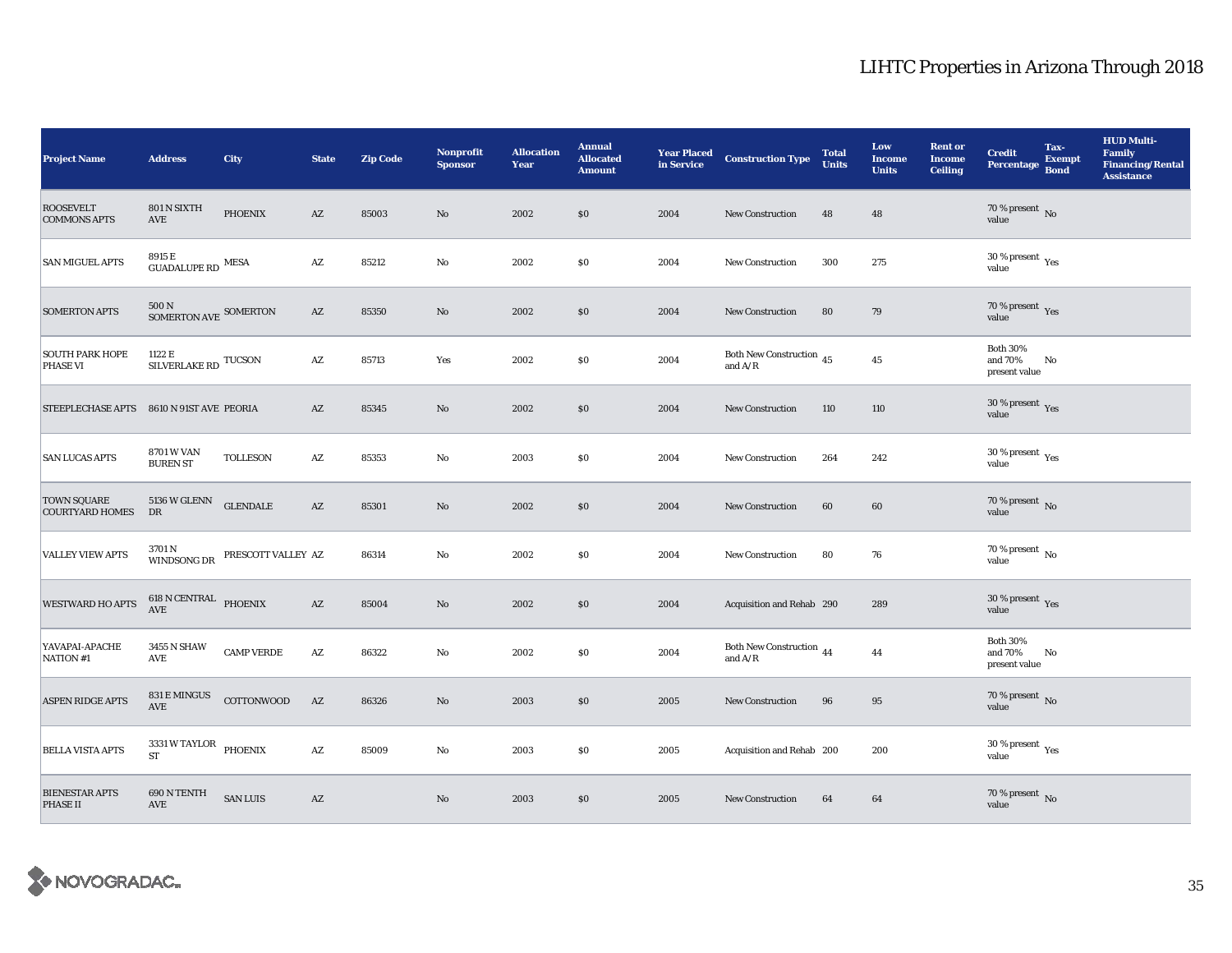| <b>Project Name</b>                          | <b>Address</b>                                            | <b>City</b>        | <b>State</b>           | <b>Zip Code</b> | <b>Nonprofit</b><br><b>Sponsor</b> | <b>Allocation</b><br>Year | <b>Annual</b><br><b>Allocated</b><br><b>Amount</b> | <b>Year Placed<br/>in Service</b> | <b>Construction Type</b>                                                               | <b>Total</b><br><b>Units</b> | Low<br><b>Income</b><br><b>Units</b> | <b>Rent or</b><br><b>Income</b><br><b>Ceiling</b> | <b>Credit</b><br><b>Percentage</b>              | Tax-<br><b>Exempt</b><br><b>Bond</b> | <b>HUD Multi-</b><br>Family<br><b>Financing/Rental</b><br><b>Assistance</b> |
|----------------------------------------------|-----------------------------------------------------------|--------------------|------------------------|-----------------|------------------------------------|---------------------------|----------------------------------------------------|-----------------------------------|----------------------------------------------------------------------------------------|------------------------------|--------------------------------------|---------------------------------------------------|-------------------------------------------------|--------------------------------------|-----------------------------------------------------------------------------|
| <b>ROOSEVELT</b><br><b>COMMONS APTS</b>      | 801 N SIXTH<br>$\operatorname{AVE}$                       | <b>PHOENIX</b>     | $\mathbf{A}\mathbf{Z}$ | 85003           | $\mathbf{No}$                      | 2002                      | \$0                                                | 2004                              | <b>New Construction</b>                                                                | 48                           | 48                                   |                                                   | 70 % present $\overline{N_0}$<br>value          |                                      |                                                                             |
| <b>SAN MIGUEL APTS</b>                       | 8915 E<br>$\mbox{GUADALUPE}\,\mbox{RD}$ $\mbox{MESA}$     |                    | $\mathbf{A}\mathbf{Z}$ | 85212           | $\rm No$                           | 2002                      | \$0\$                                              | 2004                              | New Construction                                                                       | 300                          | 275                                  |                                                   | $30$ % present $\,$ $\rm Yes$<br>value          |                                      |                                                                             |
| <b>SOMERTON APTS</b>                         | $500$ N $_{\rm SOMERTON\;AVE}$ SOMERTON                   |                    | $\mathbf{A}\mathbf{Z}$ | 85350           | $\rm No$                           | 2002                      | \$0\$                                              | 2004                              | New Construction                                                                       | 80                           | 79                                   |                                                   | 70 % present Yes<br>value                       |                                      |                                                                             |
| <b>SOUTH PARK HOPE</b><br><b>PHASE VI</b>    | 1122 E<br>SILVERLAKE RD $\,$ TUCSON $\,$                  |                    | $\mathbf{A}\mathbf{Z}$ | 85713           | Yes                                | 2002                      | \$0\$                                              | 2004                              | Both New Construction $\sqrt{45}$<br>and $\rm{A/R}$                                    |                              | $45\,$                               |                                                   | <b>Both 30%</b><br>and 70%<br>present value     | No                                   |                                                                             |
| <b>STEEPLECHASE APTS</b>                     | 8610 N 91ST AVE PEORIA                                    |                    | $\mathbf{A}\mathbf{Z}$ | 85345           | $\mathbf{N}\mathbf{o}$             | 2002                      | \$0                                                | 2004                              | <b>New Construction</b>                                                                | 110                          | 110                                  |                                                   | 30 % present $\gamma_{\rm{es}}$<br>value        |                                      |                                                                             |
| <b>SAN LUCAS APTS</b>                        | 8701 W VAN<br><b>BUREN ST</b>                             | <b>TOLLESON</b>    | $\mathbf{A}\mathbf{Z}$ | 85353           | No                                 | 2003                      | \$0\$                                              | 2004                              | New Construction                                                                       | 264                          | 242                                  |                                                   | $30\,\%$ present $\rm\thinspace_{Yes}$<br>value |                                      |                                                                             |
| <b>TOWN SQUARE</b><br><b>COURTYARD HOMES</b> | 5136 W GLENN<br>DR                                        | <b>GLENDALE</b>    | $\mathbf{A}\mathbf{Z}$ | 85301           | No                                 | 2002                      | \$0                                                | 2004                              | <b>New Construction</b>                                                                | 60                           | 60                                   |                                                   | $70$ % present $\,$ No value                    |                                      |                                                                             |
| <b>VALLEY VIEW APTS</b>                      | 3701 N<br>WINDSONG DR                                     | PRESCOTT VALLEY AZ |                        | 86314           | No                                 | 2002                      | \$0                                                | 2004                              | New Construction                                                                       | 80                           | 76                                   |                                                   | 70 % present $\,$ No $\,$<br>value              |                                      |                                                                             |
| <b>WESTWARD HO APTS</b>                      | $618$ N CENTRAL $\quad$ PHOENIX AVE                       |                    | $\mathbf{A}\mathbf{Z}$ | 85004           | $\mathbf{N}\mathbf{o}$             | 2002                      | \$0                                                | 2004                              | Acquisition and Rehab 290                                                              |                              | 289                                  |                                                   | $30\,\%$ present $\,$ Yes value                 |                                      |                                                                             |
| YAVAPAI-APACHE<br>NATION #1                  | 3455 N SHAW<br>AVE                                        | <b>CAMP VERDE</b>  | $\mathbf{A}\mathbf{Z}$ | 86322           | No                                 | 2002                      | \$0\$                                              | 2004                              | Both New Construction $\,$ 44<br>and $\ensuremath{\mathrm{A}}/\ensuremath{\mathrm{R}}$ |                              | 44                                   |                                                   | <b>Both 30%</b><br>and 70%<br>present value     | No                                   |                                                                             |
| <b>ASPEN RIDGE APTS</b>                      | $831\,\mathrm{E}\,\mathrm{MINGUS}$ $\quad$ COTTONWOOD AVE |                    | $\mathbf{A}\mathbf{Z}$ | 86326           | No                                 | 2003                      | \$0                                                | 2005                              | <b>New Construction</b>                                                                | 96                           | 95                                   |                                                   | $70\,\%$ present $\,$ No value                  |                                      |                                                                             |
| <b>BELLA VISTA APTS</b>                      | 3331 W TAYLOR PHOENIX<br><b>ST</b>                        |                    | $\mathbf{A}\mathbf{Z}$ | 85009           | No                                 | 2003                      | \$0\$                                              | 2005                              | Acquisition and Rehab 200                                                              |                              | 200                                  |                                                   | 30 % present $\rm\,Yes$<br>value                |                                      |                                                                             |
| <b>BIENESTAR APTS</b><br><b>PHASE II</b>     | 690 N TENTH<br>AVE                                        | <b>SAN LUIS</b>    | $\mathbf{A}\mathbf{Z}$ |                 | $\mathbf{No}$                      | 2003                      | \$0                                                | 2005                              | <b>New Construction</b>                                                                | 64                           | 64                                   |                                                   | $70\,\%$ present $\,$ No value                  |                                      |                                                                             |